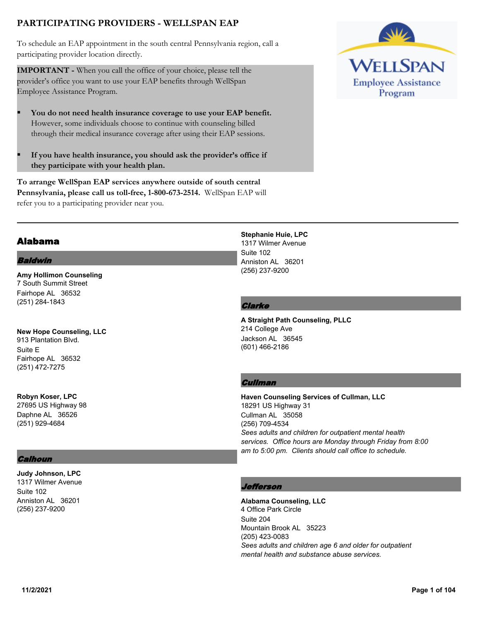# **PARTICIPATING PROVIDERS - WELLSPAN EAP**

To schedule an EAP appointment in the south central Pennsylvania region, call a participating provider location directly.

**IMPORTANT -** When you call the office of your choice, please tell the provider's office you want to use your EAP benefits through WellSpan Employee Assistance Program.

- § **You do not need health insurance coverage to use your EAP benefit.** However, some individuals choose to continue with counseling billed through their medical insurance coverage after using their EAP sessions.
- § **If you have health insurance, you should ask the provider's office if they participate with your health plan.**

**To arrange WellSpan EAP services anywhere outside of south central Pennsylvania, please call us toll-free, 1-800-673-2514.** WellSpan EAP will refer you to a participating provider near you.



# Alabama

#### Baldwin

**Amy Hollimon Counseling** 7 South Summit Street Fairhope AL 36532 (251) 284-1843

**New Hope Counseling, LLC** 913 Plantation Blvd. Suite E Fairhope AL 36532 (251) 472-7275

**Robyn Koser, LPC** 27695 US Highway 98 Daphne AL 36526 (251) 929-4684

#### **Calhoun**

**Judy Johnson, LPC** 1317 Wilmer Avenue Suite 102 Anniston AL 36201 (256) 237-9200

**Stephanie Huie, LPC** 1317 Wilmer Avenue Suite 102 Anniston AL 36201 (256) 237-9200

#### **Clarke**

**A Straight Path Counseling, PLLC** 214 College Ave Jackson AL 36545 (601) 466-2186

#### **Cullman**

**Haven Counseling Services of Cullman, LLC** 18291 US Highway 31 Cullman AL 35058 (256) 709-4534 *Sees adults and children for outpatient mental health services. Office hours are Monday through Friday from 8:00 am to 5:00 pm. Clients should call office to schedule.*

## *<u>efferson</u>*

**Alabama Counseling, LLC** 4 Office Park Circle Suite 204 Mountain Brook AL 35223 (205) 423-0083 *Sees adults and children age 6 and older for outpatient mental health and substance abuse services.*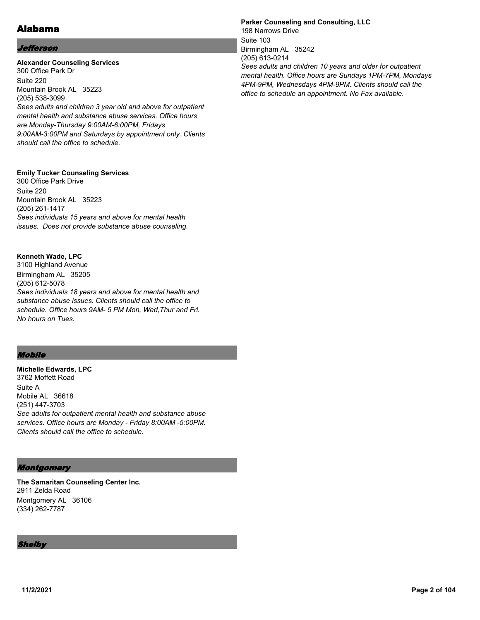# Alabama

## Jefferson

#### **Alexander Counseling Services** 300 Office Park Dr Suite 220 Mountain Brook AL 35223 (205) 538-3099 *Sees adults and children 3 year old and above for outpatient mental health and substance abuse services. Office hours are Monday-Thursday 9:00AM-6:00PM, Fridays 9:00AM-3:00PM and Saturdays by appointment only. Clients should call the office to schedule.*

#### **Emily Tucker Counseling Services**

300 Office Park Drive Suite 220 Mountain Brook AL 35223 (205) 261-1417 *Sees individuals 15 years and above for mental health issues. Does not provide substance abuse counseling.*

#### **Kenneth Wade, LPC**

3100 Highland Avenue Birmingham AL 35205 (205) 612-5078 *Sees individuals 18 years and above for mental health and substance abuse issues. Clients should call the office to schedule. Office hours 9AM- 5 PM Mon, Wed,Thur and Fri. No hours on Tues.*

## Mobile

**Michelle Edwards, LPC** 3762 Moffett Road Suite A Mobile AL 36618 (251) 447-3703 *See adults for outpatient mental health and substance abuse services. Office hours are Monday - Friday 8:00AM -5:00PM. Clients should call the office to schedule.*

## Montgomery

**The Samaritan Counseling Center Inc.** 2911 Zelda Road Montgomery AL 36106 (334) 262-7787

Shelby

**Parker Counseling and Consulting, LLC** 198 Narrows Drive Suite 103 Birmingham AL 35242 (205) 613-0214 *Sees adults and children 10 years and older for outpatient mental health. Office hours are Sundays 1PM-7PM, Mondays 4PM-9PM, Wednesdays 4PM-9PM. Clients should call the office to schedule an appointment. No Fax available.*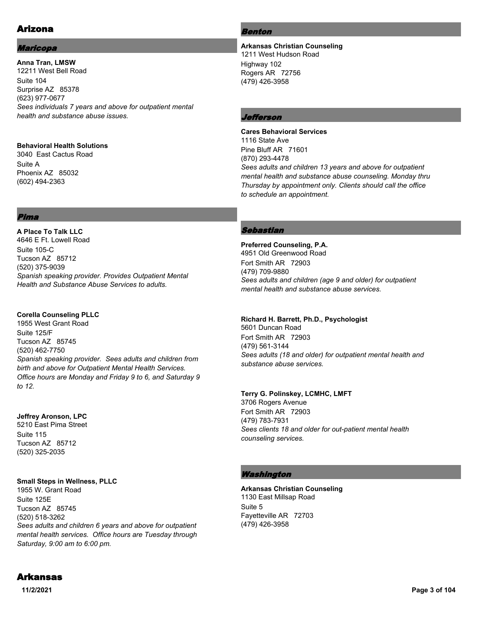# Arizona

# Maricopa

**Anna Tran, LMSW** 12211 West Bell Road Suite 104 Surprise AZ 85378 (623) 977-0677 *Sees individuals 7 years and above for outpatient mental health and substance abuse issues.*

#### **Behavioral Health Solutions**

3040 East Cactus Road Suite A Phoenix AZ 85032 (602) 494-2363

## Pima

**A Place To Talk LLC** 4646 E Ft. Lowell Road Suite 105-C Tucson AZ 85712 (520) 375-9039 *Spanish speaking provider. Provides Outpatient Mental Health and Substance Abuse Services to adults.*

## **Corella Counseling PLLC**

1955 West Grant Road Suite 125/F Tucson AZ 85745 (520) 462-7750 *Spanish speaking provider. Sees adults and children from birth and above for Outpatient Mental Health Services. Office hours are Monday and Friday 9 to 6, and Saturday 9 to 12.*

## **Jeffrey Aronson, LPC**

5210 East Pima Street Suite 115 Tucson AZ 85712 (520) 325-2035

## **Small Steps in Wellness, PLLC**

1955 W. Grant Road Suite 125E Tucson AZ 85745 (520) 518-3262 *Sees adults and children 6 years and above for outpatient mental health services. Office hours are Tuesday through Saturday, 9:00 am to 6:00 pm.*

# **Benton**

**Arkansas Christian Counseling** 1211 West Hudson Road Highway 102 Rogers AR 72756 (479) 426-3958

# Jefferson

#### **Cares Behavioral Services** 1116 State Ave Pine Bluff AR 71601 (870) 293-4478 *Sees adults and children 13 years and above for outpatient mental health and substance abuse counseling. Monday thru Thursday by appointment only. Clients should call the office to schedule an appointment.*

# Sebastian

**Preferred Counseling, P.A.** 4951 Old Greenwood Road Fort Smith AR 72903 (479) 709-9880 *Sees adults and children (age 9 and older) for outpatient mental health and substance abuse services.*

## **Richard H. Barrett, Ph.D., Psychologist**

5601 Duncan Road Fort Smith AR 72903 (479) 561-3144 *Sees adults (18 and older) for outpatient mental health and substance abuse services.*

## **Terry G. Polinskey, LCMHC, LMFT**

3706 Rogers Avenue Fort Smith AR 72903 (479) 783-7931 *Sees clients 18 and older for out-patient mental health counseling services.*

# Washington

**Arkansas Christian Counseling** 1130 East Millsap Road Suite 5 Fayetteville AR 72703 (479) 426-3958

# Arkansas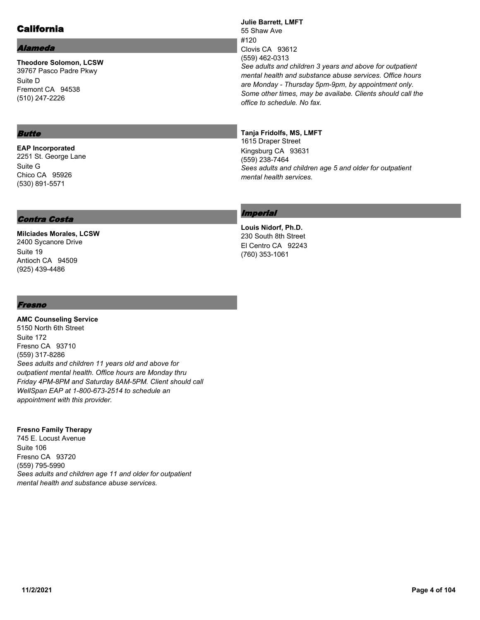# California

## Alameda

**Theodore Solomon, LCSW** 39767 Pasco Padre Pkwy Suite D Fremont CA 94538 (510) 247-2226

## Butte

**EAP Incorporated** 2251 St. George Lane Suite G Chico CA 95926 (530) 891-5571

## Contra Costa

**Milciades Morales, LCSW** 2400 Sycanore Drive Suite 19 Antioch CA 94509 (925) 439-4486

#### **Julie Barrett, LMFT** 55 Shaw Ave #120 Clovis CA 93612 (559) 462-0313 *See adults and children 3 years and above for outpatient mental health and substance abuse services. Office hours are Monday - Thursday 5pm-9pm, by appointment only. Some other times, may be availabe. Clients should call the office to schedule. No fax.*

#### **Tanja Fridolfs, MS, LMFT**

1615 Draper Street Kingsburg CA 93631 (559) 238-7464 *Sees adults and children age 5 and older for outpatient mental health services.*

## **Imperial**

**Louis Nidorf, Ph.D.** 230 South 8th Street El Centro CA 92243 (760) 353-1061

#### Fresno

**AMC Counseling Service** 5150 North 6th Street Suite 172 Fresno CA 93710 (559) 317-8286 *Sees adults and children 11 years old and above for outpatient mental health. Office hours are Monday thru Friday 4PM-8PM and Saturday 8AM-5PM. Client should call WellSpan EAP at 1-800-673-2514 to schedule an appointment with this provider.*

#### **Fresno Family Therapy**

745 E. Locust Avenue Suite 106 Fresno CA 93720 (559) 795-5990 *Sees adults and children age 11 and older for outpatient mental health and substance abuse services.*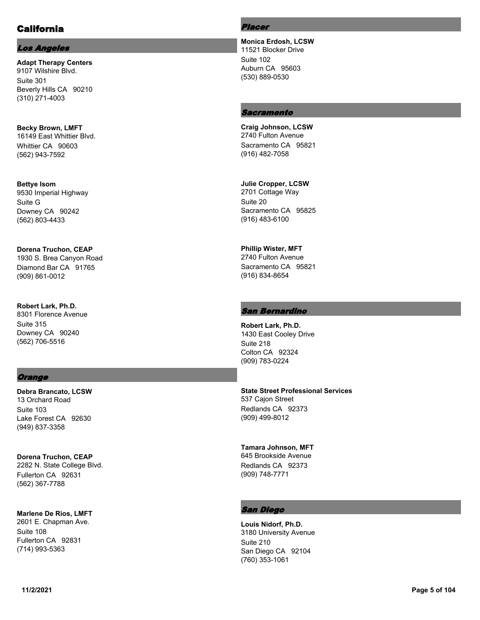# California

## Los Angeles

**Adapt Therapy Centers** 9107 Wilshire Blvd. Suite 301 Beverly Hills CA 90210 (310) 271-4003

**Becky Brown, LMFT** 16149 East Whittier Blvd. Whittier CA 90603 (562) 943-7592

**Bettye Isom** 9530 Imperial Highway Suite G Downey CA 90242 (562) 803-4433

**Dorena Truchon, CEAP** 1930 S. Brea Canyon Road Diamond Bar CA 91765 (909) 861-0012

**Robert Lark, Ph.D.** 8301 Florence Avenue Suite 315 Downey CA 90240 (562) 706-5516

## **Orange**

**Debra Brancato, LCSW** 13 Orchard Road Suite 103 Lake Forest CA 92630 (949) 837-3358

**Dorena Truchon, CEAP** 2282 N. State College Blvd. Fullerton CA 92631 (562) 367-7788

**Marlene De Rios, LMFT** 2601 E. Chapman Ave. Suite 108 Fullerton CA 92831 (714) 993-5363

Placer

**Monica Erdosh, LCSW** 11521 Blocker Drive Suite 102 Auburn CA 95603 (530) 889-0530

## **Sacramento**

**Craig Johnson, LCSW** 2740 Fulton Avenue Sacramento CA 95821 (916) 482-7058

**Julie Cropper, LCSW** 2701 Cottage Way Suite 20 Sacramento CA 95825 (916) 483-6100

**Phillip Wister, MFT** 2740 Fulton Avenue Sacramento CA 95821 (916) 834-8654

#### San Bernardino

**Robert Lark, Ph.D.** 1430 East Cooley Drive Suite 218 Colton CA 92324 (909) 783-0224

**State Street Professional Services** 537 Cajon Street Redlands CA 92373 (909) 499-8012

**Tamara Johnson, MFT** 645 Brookside Avenue Redlands CA 92373 (909) 748-7771

#### San Diego

**Louis Nidorf, Ph.D.** 3180 University Avenue Suite 210 San Diego CA 92104 (760) 353-1061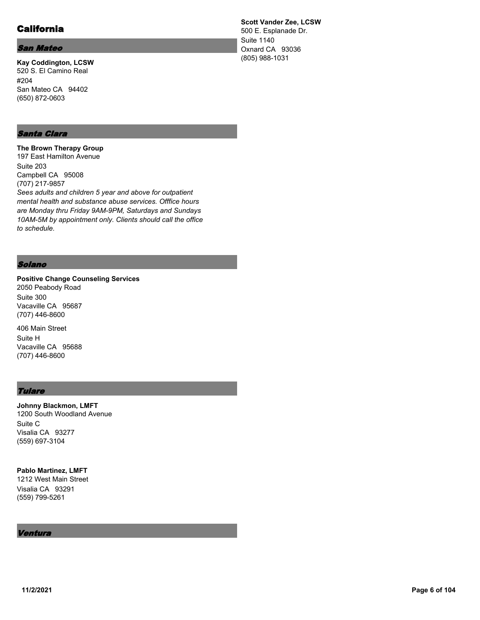# California

#### San Mateo

**Kay Coddington, LCSW** 520 S. El Camino Real #204 San Mateo CA 94402 (650) 872-0603

## Santa Clara

**The Brown Therapy Group** 197 East Hamilton Avenue Suite 203 Campbell CA 95008 (707) 217-9857 *Sees adults and children 5 year and above for outpatient mental health and substance abuse services. Offfice hours are Monday thru Friday 9AM-9PM, Saturdays and Sundays 10AM-5M by appointment only. Clients should call the office to schedule.*

#### Solano

**Positive Change Counseling Services** 2050 Peabody Road Suite 300 Vacaville CA 95687 (707) 446-8600

406 Main Street Suite H Vacaville CA 95688 (707) 446-8600

## **Tulare**

**Johnny Blackmon, LMFT** 1200 South Woodland Avenue Suite C Visalia CA 93277 (559) 697-3104

**Pablo Martinez, LMFT** 1212 West Main Street

Visalia CA 93291 (559) 799-5261

#### Ventura

**Scott Vander Zee, LCSW** 500 E. Esplanade Dr. Suite 1140 Oxnard CA 93036 (805) 988-1031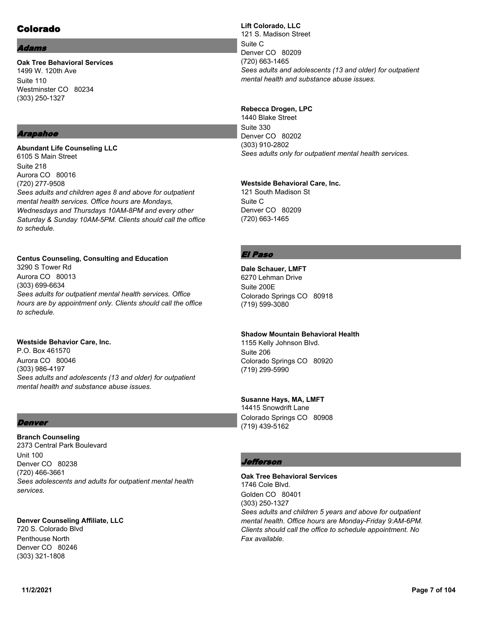# Colorado

#### dams

**Oak Tree Behavioral Services** 1499 W. 120th Ave Suite 110 Westminster CO 80234 (303) 250-1327

## Arapahoe

**Abundant Life Counseling LLC** 6105 S Main Street Suite 218 Aurora CO 80016 (720) 277-9508 *Sees adults and children ages 8 and above for outpatient mental health services. Office hours are Mondays, Wednesdays and Thursdays 10AM-8PM and every other Saturday & Sunday 10AM-5PM. Clients should call the office to schedule.*

## **Centus Counseling, Consulting and Education**

3290 S Tower Rd Aurora CO 80013 (303) 699-6634 *Sees adults for outpatient mental health services. Office hours are by appointment only. Clients should call the office to schedule.*

# **Westside Behavior Care, Inc.**

P.O. Box 461570 Aurora CO 80046 (303) 986-4197 *Sees adults and adolescents (13 and older) for outpatient mental health and substance abuse issues.*

## Denver

**Branch Counseling** 2373 Central Park Boulevard Unit 100 Denver CO 80238 (720) 466-3661 *Sees adolescents and adults for outpatient mental health services.*

**Denver Counseling Affiliate, LLC** 720 S. Colorado Blvd Penthouse North Denver CO 80246 (303) 321-1808

**Lift Colorado, LLC** 121 S. Madison Street Suite C Denver CO 80209 (720) 663-1465 *Sees adults and adolescents (13 and older) for outpatient mental health and substance abuse issues.*

## **Rebecca Drogen, LPC**

1440 Blake Street Suite 330 Denver CO 80202 (303) 910-2802 *Sees adults only for outpatient mental health services.*

#### **Westside Behavioral Care, Inc.**

121 South Madison St Suite C Denver CO 80209 (720) 663-1465

# El Paso

**Dale Schauer, LMFT** 6270 Lehman Drive Suite 200E Colorado Springs CO 80918 (719) 599-3080

## **Shadow Mountain Behavioral Health**

1155 Kelly Johnson Blvd. Suite 206 Colorado Springs CO 80920 (719) 299-5990

#### **Susanne Hays, MA, LMFT**

14415 Snowdrift Lane Colorado Springs CO 80908 (719) 439-5162

## Jefferson

**Oak Tree Behavioral Services** 1746 Cole Blvd. Golden CO 80401 (303) 250-1327 *Sees adults and children 5 years and above for outpatient mental health. Office hours are Monday-Friday 9:AM-6PM. Clients should call the office to schedule appointment. No Fax available.*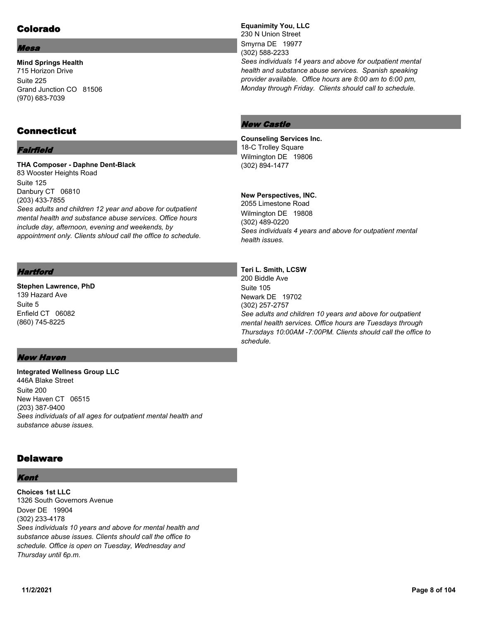# Colorado

#### Mesa

**Mind Springs Health** 715 Horizon Drive Suite 225 Grand Junction CO 81506 (970) 683-7039

# Connecticut

## Fairfield

**THA Composer - Daphne Dent-Black** 83 Wooster Heights Road Suite 125 Danbury CT 06810 (203) 433-7855 *Sees adults and children 12 year and above for outpatient mental health and substance abuse services. Office hours include day, afternoon, evening and weekends, by appointment only. Clients shloud call the office to schedule.*

## **Hartford**

**Stephen Lawrence, PhD** 139 Hazard Ave Suite 5 Enfield CT 06082 (860) 745-8225

**Equanimity You, LLC** 230 N Union Street Smyrna DE 19977 (302) 588-2233 *Sees individuals 14 years and above for outpatient mental health and substance abuse services. Spanish speaking provider available. Office hours are 8:00 am to 6:00 pm, Monday through Friday. Clients should call to schedule.*

# New Castle

#### **Counseling Services Inc.** 18-C Trolley Square Wilmington DE 19806

(302) 894-1477

## **New Perspectives, INC.**

2055 Limestone Road Wilmington DE 19808 (302) 489-0220 *Sees individuals 4 years and above for outpatient mental health issues.*

## **Teri L. Smith, LCSW**

200 Biddle Ave Suite 105 Newark DE 19702 (302) 257-2757 *See adults and children 10 years and above for outpatient mental health services. Office hours are Tuesdays through Thursdays 10:00AM -7:00PM. Clients should call the office to schedule.*

# New Haven

**Integrated Wellness Group LLC** 446A Blake Street Suite 200 New Haven CT 06515 (203) 387-9400 *Sees individuals of all ages for outpatient mental health and substance abuse issues.*

# **Delaware**

## Kent

**Choices 1st LLC** 1326 South Governors Avenue Dover DE 19904 (302) 233-4178 *Sees individuals 10 years and above for mental health and substance abuse issues. Clients should call the office to schedule. Office is open on Tuesday, Wednesday and Thursday until 6p.m.*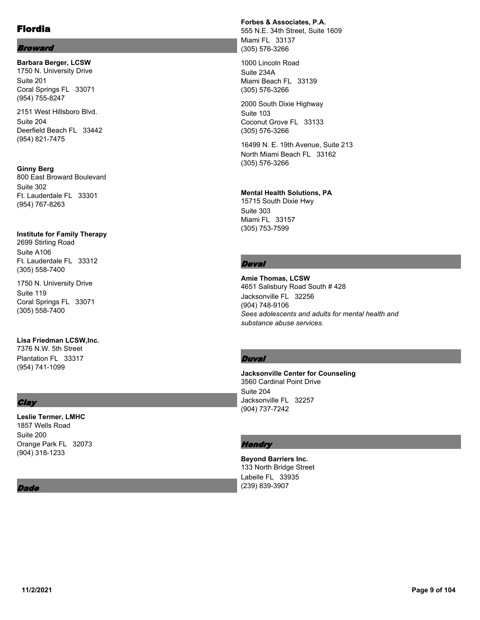## Broward

**Barbara Berger, LCSW** 1750 N. University Drive Suite 201 Coral Springs FL 33071 (954) 755-8247

2151 West Hillsboro Blvd. Suite 204 Deerfield Beach FL 33442 (954) 821-7475

**Ginny Berg** 800 East Broward Boulevard Suite 302 Ft. Lauderdale FL 33301 (954) 767-8263

# **Institute for Family Therapy**

2699 Stirling Road Suite A106 Ft. Lauderdale FL 33312 (305) 558-7400

1750 N. University Drive Suite 119 Coral Springs FL 33071 (305) 558-7400

## **Lisa Friedman LCSW,Inc.**

7376 N.W. 5th Street Plantation FL 33317 (954) 741-1099

# **Clay**

# **Leslie Termer, LMHC** 1857 Wells Road Suite 200

Orange Park FL 32073 (904) 318-1233

#### *Dade*

## **Forbes & Associates, P.A.**

555 N.E. 34th Street, Suite 1609 Miami FL 33137 (305) 576-3266

1000 Lincoln Road Suite 234A Miami Beach FL 33139 (305) 576-3266

2000 South Dixie Highway Suite 103 Coconut Grove FL 33133 (305) 576-3266

16499 N. E. 19th Avenue, Suite 213 North Miami Beach FL 33162 (305) 576-3266

#### **Mental Health Solutions, PA**

15715 South Dixie Hwy Suite 303 Miami FL 33157 (305) 753-7599

## **Deval**

**Amie Thomas, LCSW** 4651 Salisbury Road South # 428 Jacksonville FL 32256 (904) 748-9106 *Sees adolescents and adults for mental health and substance abuse services.*

## Duval

**Jacksonville Center for Counseling** 3560 Cardinal Point Drive Suite 204 Jacksonville FL 32257 (904) 737-7242

## **Hendry**

**Beyond Barriers Inc.** 133 North Bridge Street Labelle FL 33935 (239) 839-3907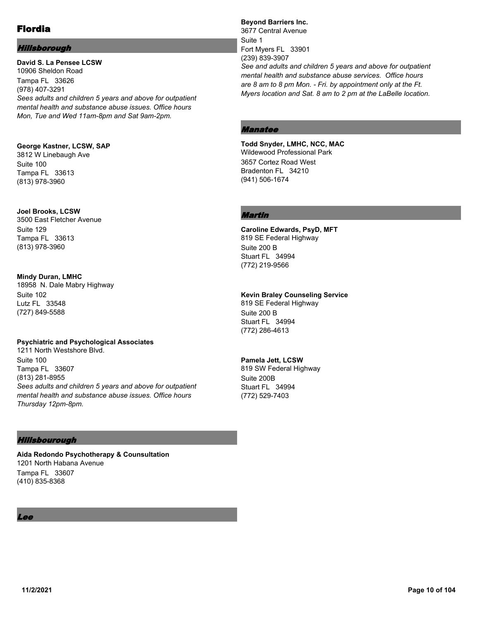## Hillsborough

**David S. La Pensee LCSW** 10906 Sheldon Road Tampa FL 33626 (978) 407-3291 *Sees adults and children 5 years and above for outpatient mental health and substance abuse issues. Office hours Mon, Tue and Wed 11am-8pm and Sat 9am-2pm.*

## **George Kastner, LCSW, SAP**

3812 W Linebaugh Ave Suite 100 Tampa FL 33613 (813) 978-3960

## **Joel Brooks, LCSW**

3500 East Fletcher Avenue Suite 129 Tampa FL 33613 (813) 978-3960

## **Mindy Duran, LMHC**

18958 N. Dale Mabry Highway Suite 102 Lutz FL 33548 (727) 849-5588

## **Psychiatric and Psychological Associates**

1211 North Westshore Blvd. Suite 100 Tampa FL 33607 (813) 281-8955 *Sees adults and children 5 years and above for outpatient mental health and substance abuse issues. Office hours Thursday 12pm-8pm.*

## Hillsbourough

**Aida Redondo Psychotherapy & Counsultation** 1201 North Habana Avenue Tampa FL 33607 (410) 835-8368

# Lee

**Beyond Barriers Inc.** 3677 Central Avenue Suite 1 Fort Myers FL 33901 (239) 839-3907 *See and adults and children 5 years and above for outpatient mental health and substance abuse services. Office hours are 8 am to 8 pm Mon. - Fri. by appointment only at the Ft. Myers location and Sat. 8 am to 2 pm at the LaBelle location.*

# Manatee

**Todd Snyder, LMHC, NCC, MAC** Wildewood Professional Park 3657 Cortez Road West Bradenton FL 34210 (941) 506-1674

## Martin

**Caroline Edwards, PsyD, MFT** 819 SE Federal Highway Suite 200 B Stuart FL 34994 (772) 219-9566

## **Kevin Braley Counseling Service**

819 SE Federal Highway Suite 200 B Stuart FL 34994 (772) 286-4613

## **Pamela Jett, LCSW**

819 SW Federal Highway Suite 200B Stuart FL 34994 (772) 529-7403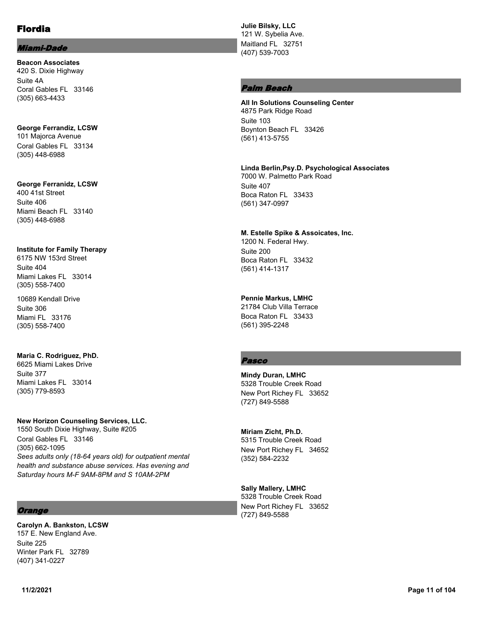#### Miami-Dade

**Beacon Associates** 420 S. Dixie Highway Suite 4A Coral Gables FL 33146 (305) 663-4433

**George Ferrandiz, LCSW** 101 Majorca Avenue Coral Gables FL 33134 (305) 448-6988

#### **George Ferranidz, LCSW**

400 41st Street Suite 406 Miami Beach FL 33140 (305) 448-6988

#### **Institute for Family Therapy**

6175 NW 153rd Street Suite 404 Miami Lakes FL 33014 (305) 558-7400

10689 Kendall Drive Suite 306 Miami FL 33176 (305) 558-7400

## **Maria C. Rodriguez, PhD.**

6625 Miami Lakes Drive Suite 377 Miami Lakes FL 33014 (305) 779-8593

#### **New Horizon Counseling Services, LLC.**

1550 South Dixie Highway, Suite #205 Coral Gables FL 33146 (305) 662-1095 *Sees adults only (18-64 years old) for outpatient mental health and substance abuse services. Has evening and Saturday hours M-F 9AM-8PM and S 10AM-2PM*

## **Orange**

**Carolyn A. Bankston, LCSW** 157 E. New England Ave. Suite 225 Winter Park FL 32789 (407) 341-0227

**Julie Bilsky, LLC** 121 W. Sybelia Ave. Maitland FL 32751 (407) 539-7003

## Palm Beach

**All In Solutions Counseling Center** 4875 Park Ridge Road Suite 103 Boynton Beach FL 33426 (561) 413-5755

#### **Linda Berlin,Psy.D. Psychological Associates**

7000 W. Palmetto Park Road Suite 407 Boca Raton FL 33433 (561) 347-0997

## **M. Estelle Spike & Assoicates, Inc.**

1200 N. Federal Hwy. Suite 200 Boca Raton FL 33432 (561) 414-1317

## **Pennie Markus, LMHC**

21784 Club Villa Terrace Boca Raton FL 33433 (561) 395-2248

# Pasco

**Mindy Duran, LMHC** 5328 Trouble Creek Road New Port Richey FL 33652 (727) 849-5588

## **Miriam Zicht, Ph.D.**

5315 Trouble Creek Road New Port Richey FL 34652 (352) 584-2232

# **Sally Mallery, LMHC**

5328 Trouble Creek Road New Port Richey FL 33652 (727) 849-5588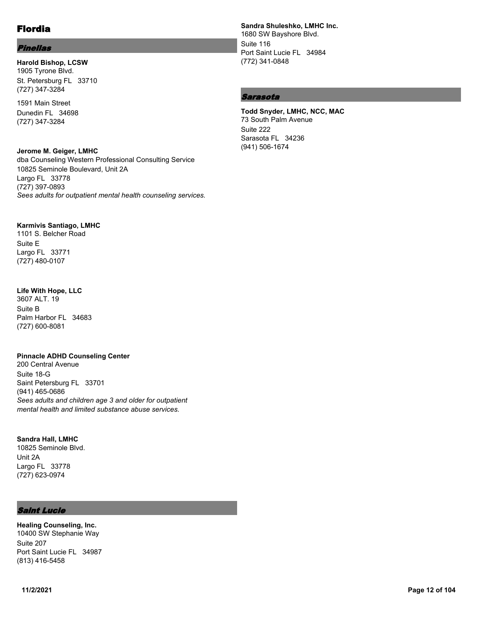## Pinellas

#### **Harold Bishop, LCSW** 1905 Tyrone Blvd. St. Petersburg FL 33710 (727) 347-3284

1591 Main Street Dunedin FL 34698 (727) 347-3284

#### **Jerome M. Geiger, LMHC**

dba Counseling Western Professional Consulting Service 10825 Seminole Boulevard, Unit 2A Largo FL 33778 (727) 397-0893 *Sees adults for outpatient mental health counseling services.*

#### **Karmivis Santiago, LMHC**

1101 S. Belcher Road Suite E Largo FL 33771 (727) 480-0107

#### **Life With Hope, LLC**

3607 ALT. 19 Suite B Palm Harbor FL 34683 (727) 600-8081

## **Pinnacle ADHD Counseling Center**

200 Central Avenue Suite 18-G Saint Petersburg FL 33701 (941) 465-0686 *Sees adults and children age 3 and older for outpatient mental health and limited substance abuse services.*

## **Sandra Hall, LMHC**

10825 Seminole Blvd. Unit 2A Largo FL 33778 (727) 623-0974

## Saint Lucie

**Healing Counseling, Inc.** 10400 SW Stephanie Way Suite 207 Port Saint Lucie FL 34987 (813) 416-5458

**Sandra Shuleshko, LMHC Inc.** 1680 SW Bayshore Blvd. Suite 116 Port Saint Lucie FL 34984 (772) 341-0848

# Sarasota

#### **Todd Snyder, LMHC, NCC, MAC** 73 South Palm Avenue Suite 222 Sarasota FL 34236 (941) 506-1674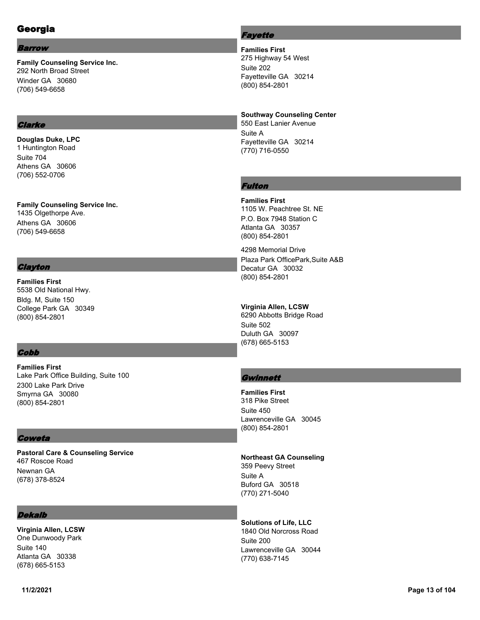# Georgia

#### Barrow

**Family Counseling Service Inc.** 292 North Broad Street Winder GA 30680 (706) 549-6658

## **Clarke**

**Douglas Duke, LPC** 1 Huntington Road Suite 704 Athens GA 30606 (706) 552-0706

**Family Counseling Service Inc.** 1435 Olgethorpe Ave. Athens GA 30606 (706) 549-6658

## **Clayton**

**Families First** 5538 Old National Hwy. Bldg. M, Suite 150 College Park GA 30349 (800) 854-2801

## **Cobb**

**Families First** Lake Park Office Building, Suite 100 2300 Lake Park Drive Smyrna GA 30080 (800) 854-2801

## **Coweta**

**Pastoral Care & Counseling Service** 467 Roscoe Road Newnan GA (678) 378-8524

## Dekalb

**Virginia Allen, LCSW** One Dunwoody Park Suite 140 Atlanta GA 30338 (678) 665-5153

# **Fayette**

**Families First** 275 Highway 54 West Suite 202 Fayetteville GA 30214 (800) 854-2801

**Southway Counseling Center** 550 East Lanier Avenue Suite A Fayetteville GA 30214

# Fulton

(770) 716-0550

**Families First** 1105 W. Peachtree St. NE P.O. Box 7948 Station C Atlanta GA 30357 (800) 854-2801

4298 Memorial Drive Plaza Park OfficePark,Suite A&B Decatur GA 30032 (800) 854-2801

**Virginia Allen, LCSW** 6290 Abbotts Bridge Road Suite 502 Duluth GA 30097 (678) 665-5153

## **Gwinnett**

**Families First** 318 Pike Street Suite 450 Lawrenceville GA 30045 (800) 854-2801

#### **Northeast GA Counseling**

359 Peevy Street Suite A Buford GA 30518 (770) 271-5040

**Solutions of Life, LLC** 1840 Old Norcross Road

Suite 200 Lawrenceville GA 30044 (770) 638-7145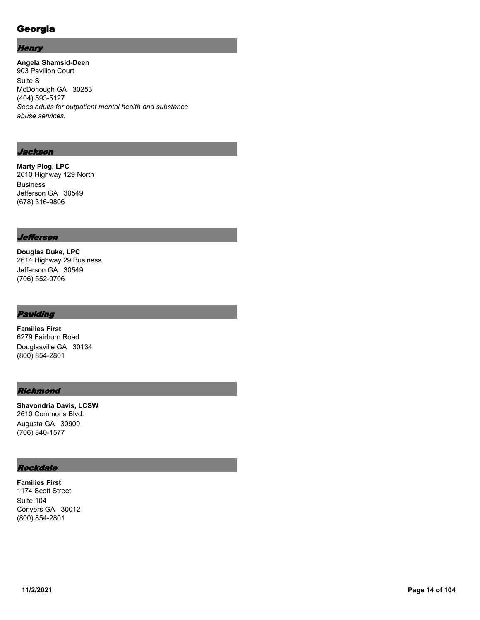# Georgia

## **Henry**

**Angela Shamsid-Deen** 903 Pavilion Court Suite S McDonough GA 30253 (404) 593-5127 *Sees adults for outpatient mental health and substance abuse services.*

## Jackson

**Marty Plog, LPC** 2610 Highway 129 North Business Jefferson GA 30549 (678) 316-9806

## Jefferson

**Douglas Duke, LPC** 2614 Highway 29 Business Jefferson GA 30549 (706) 552-0706

## Paulding

**Families First** 6279 Fairburn Road Douglasville GA 30134 (800) 854-2801

## **Richmond**

**Shavondria Davis, LCSW** 2610 Commons Blvd. Augusta GA 30909 (706) 840-1577

# Rockdale

**Families First** 1174 Scott Street Suite 104 Conyers GA 30012 (800) 854-2801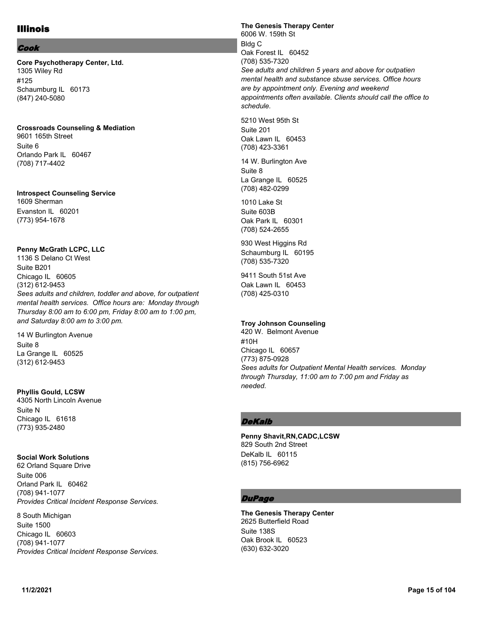# Illinois

## Cook

**Core Psychotherapy Center, Ltd.** 1305 Wiley Rd #125 Schaumburg IL 60173 (847) 240-5080

## **Crossroads Counseling & Mediation**

9601 165th Street Suite 6 Orlando Park IL 60467 (708) 717-4402

#### **Introspect Counseling Service**

1609 Sherman Evanston IL 60201 (773) 954-1678

## **Penny McGrath LCPC, LLC**

1136 S Delano Ct West Suite B201 Chicago IL 60605 (312) 612-9453 *Sees adults and children, toddler and above, for outpatient mental health services. Office hours are: Monday through Thursday 8:00 am to 6:00 pm, Friday 8:00 am to 1:00 pm, and Saturday 8:00 am to 3:00 pm.*

## Suite 8 La Grange IL 60525 (312) 612-9453

14 W Burlington Avenue

**Phyllis Gould, LCSW** 4305 North Lincoln Avenue Suite N Chicago IL 61618 (773) 935-2480

## **Social Work Solutions**

62 Orland Square Drive Suite 006 Orland Park IL 60462 (708) 941-1077 *Provides Critical Incident Response Services.*

#### 8 South Michigan

Suite 1500 Chicago IL 60603 (708) 941-1077 *Provides Critical Incident Response Services.* **The Genesis Therapy Center** 6006 W. 159th St Bldg C Oak Forest IL 60452 (708) 535-7320 *See adults and children 5 years and above for outpatien mental health and substance sbuse services. Office hours are by appointment only. Evening and weekend appointments often available. Clients should call the office to schedule.*

5210 West 95th St Suite 201 Oak Lawn IL 60453 (708) 423-3361

14 W. Burlington Ave Suite 8 La Grange IL 60525 (708) 482-0299

1010 Lake St Suite 603B Oak Park IL 60301 (708) 524-2655

930 West Higgins Rd Schaumburg IL 60195 (708) 535-7320

9411 South 51st Ave Oak Lawn IL 60453 (708) 425-0310

## **Troy Johnson Counseling**

420 W. Belmont Avenue #10H Chicago IL 60657 (773) 875-0928 *Sees adults for Outpatient Mental Health services. Monday through Thursday, 11:00 am to 7:00 pm and Friday as needed.*

## **DeKalb**

**Penny Shavit,RN,CADC,LCSW** 829 South 2nd Street DeKalb IL 60115 (815) 756-6962

# **DuPage**

**The Genesis Therapy Center** 2625 Butterfield Road Suite 138S Oak Brook IL 60523 (630) 632-3020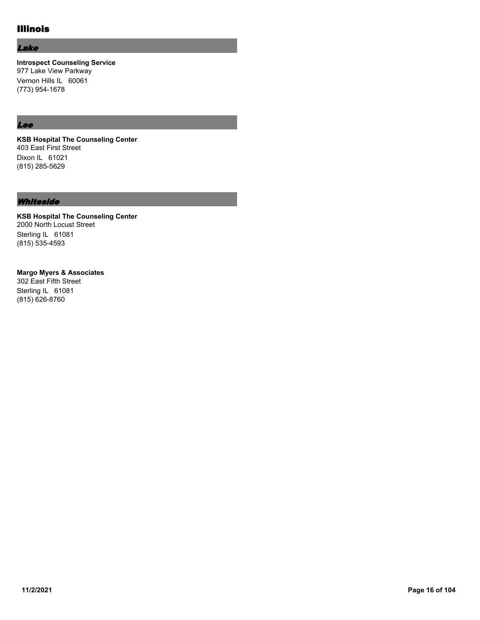# Illinois

## Lake

**Introspect Counseling Service** 977 Lake View Parkway Vernon Hills IL 60061 (773) 954-1678

# Lee

**KSB Hospital The Counseling Center** 403 East First Street Dixon IL 61021 (815) 285-5629

#### **Whiteside**

**KSB Hospital The Counseling Center** 2000 North Locust Street Sterling IL 61081 (815) 535-4593

#### **Margo Myers & Associates**

302 East Fifth Street Sterling IL 61081 (815) 626-8760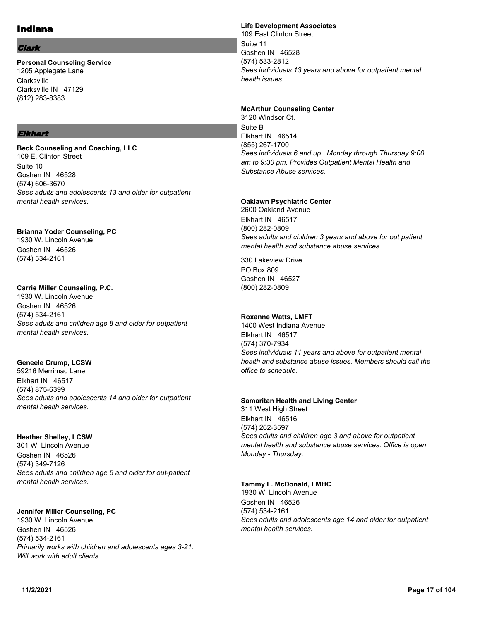# Indiana

#### Clark

**Personal Counseling Service** 1205 Applegate Lane **Clarksville** Clarksville IN 47129 (812) 283-8383

## Elkhart

**Beck Counseling and Coaching, LLC** 109 E. Clinton Street Suite 10 Goshen IN 46528 (574) 606-3670 *Sees adults and adolescents 13 and older for outpatient mental health services.*

# **Brianna Yoder Counseling, PC**

1930 W. Lincoln Avenue Goshen IN 46526 (574) 534-2161

## **Carrie Miller Counseling, P.C.**

1930 W. Lincoln Avenue Goshen IN 46526 (574) 534-2161 *Sees adults and children age 8 and older for outpatient mental health services.*

## **Geneele Crump, LCSW**

59216 Merrimac Lane Elkhart IN 46517 (574) 875-6399 *Sees adults and adolescents 14 and older for outpatient mental health services.*

## **Heather Shelley, LCSW**

301 W. Lincoln Avenue Goshen IN 46526 (574) 349-7126 *Sees adults and children age 6 and older for out-patient mental health services.*

## **Jennifer Miller Counseling, PC**

1930 W. Lincoln Avenue Goshen IN 46526 (574) 534-2161 *Primarily works with children and adolescents ages 3-21. Will work with adult clients.*

## **Life Development Associates**

109 East Clinton Street Suite 11 Goshen IN 46528 (574) 533-2812 *Sees individuals 13 years and above for outpatient mental health issues.*

#### **McArthur Counseling Center**

3120 Windsor Ct. Suite B Elkhart IN 46514 (855) 267-1700 *Sees individuals 6 and up. Monday through Thursday 9:00 am to 9:30 pm. Provides Outpatient Mental Health and Substance Abuse services.*

## **Oaklawn Psychiatric Center**

2600 Oakland Avenue Elkhart IN 46517 (800) 282-0809 *Sees adults and children 3 years and above for out patient mental health and substance abuse services*

330 Lakeview Drive PO Box 809 Goshen IN 46527 (800) 282-0809

## **Roxanne Watts, LMFT**

1400 West Indiana Avenue Elkhart IN 46517 (574) 370-7934 *Sees individuals 11 years and above for outpatient mental health and substance abuse issues. Members should call the office to schedule.*

#### **Samaritan Health and Living Center**

311 West High Street Elkhart IN 46516 (574) 262-3597 *Sees adults and children age 3 and above for outpatient mental health and substance abuse services. Office is open Monday - Thursday.*

## **Tammy L. McDonald, LMHC**

1930 W. Lincoln Avenue Goshen IN 46526 (574) 534-2161 *Sees adults and adolescents age 14 and older for outpatient mental health services.*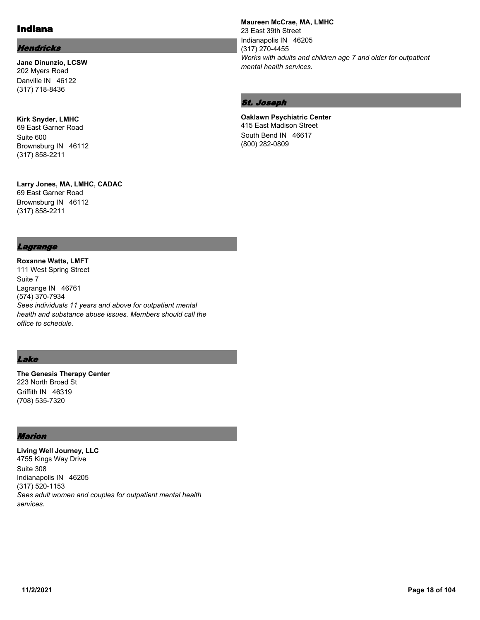# Indiana

## **Hendricks**

**Jane Dinunzio, LCSW** 202 Myers Road Danville IN 46122 (317) 718-8436

**Kirk Snyder, LMHC** 69 East Garner Road Suite 600 Brownsburg IN 46112 (317) 858-2211

**Larry Jones, MA, LMHC, CADAC** 69 East Garner Road Brownsburg IN 46112 (317) 858-2211

#### **Maureen McCrae, MA, LMHC** 23 East 39th Street Indianapolis IN 46205 (317) 270-4455 *Works with adults and children age 7 and older for outpatient mental health services.*

## St. Joseph

**Oaklawn Psychiatric Center** 415 East Madison Street South Bend IN 46617 (800) 282-0809

#### Lagrange

**Roxanne Watts, LMFT** 111 West Spring Street Suite 7 Lagrange IN 46761 (574) 370-7934 *Sees individuals 11 years and above for outpatient mental health and substance abuse issues. Members should call the office to schedule.*

## Lake

**The Genesis Therapy Center** 223 North Broad St Griffith IN 46319 (708) 535-7320

## Marion

**Living Well Journey, LLC** 4755 Kings Way Drive Suite 308 Indianapolis IN 46205 (317) 520-1153 *Sees adult women and couples for outpatient mental health services.*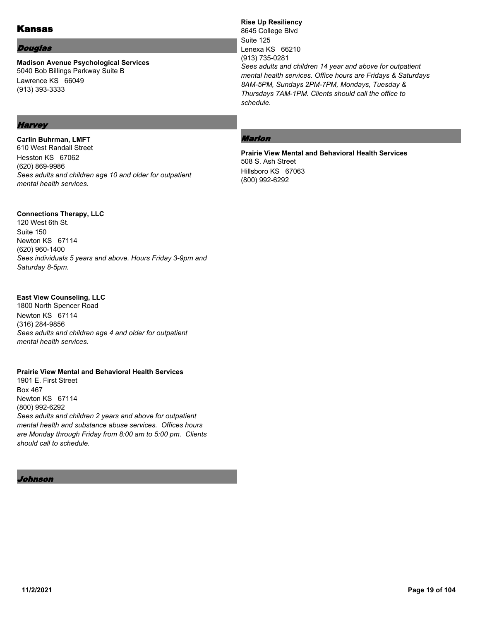# Kansas

#### Douglas

**Madison Avenue Psychological Services** 5040 Bob Billings Parkway Suite B Lawrence KS 66049 (913) 393-3333

# **Harvey**

**Carlin Buhrman, LMFT** 610 West Randall Street Hesston KS 67062 (620) 869-9986 *Sees adults and children age 10 and older for outpatient mental health services.*

## **Connections Therapy, LLC**

120 West 6th St. Suite 150 Newton KS 67114 (620) 960-1400 *Sees individuals 5 years and above. Hours Friday 3-9pm and Saturday 8-5pm.*

## **East View Counseling, LLC**

1800 North Spencer Road Newton KS 67114 (316) 284-9856 *Sees adults and children age 4 and older for outpatient mental health services.*

## **Prairie View Mental and Behavioral Health Services**

1901 E. First Street Box 467 Newton KS 67114 (800) 992-6292 *Sees adults and children 2 years and above for outpatient mental health and substance abuse services. Offices hours are Monday through Friday from 8:00 am to 5:00 pm. Clients should call to schedule.*

Johnson

# **Rise Up Resiliency**

8645 College Blvd Suite 125 Lenexa KS 66210 (913) 735-0281 *Sees adults and children 14 year and above for outpatient mental health services. Office hours are Fridays & Saturdays 8AM-5PM, Sundays 2PM-7PM, Mondays, Tuesday & Thursdays 7AM-1PM. Clients should call the office to schedule.*

# Marion

**Prairie View Mental and Behavioral Health Services** 508 S. Ash Street Hillsboro KS 67063 (800) 992-6292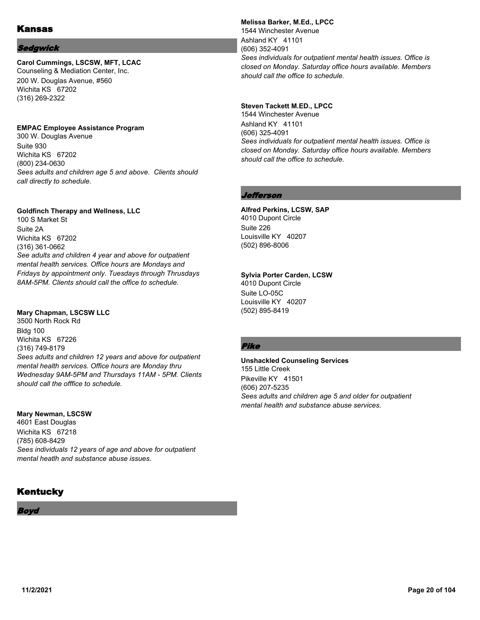## Sedgwick

# **Carol Cummings, LSCSW, MFT, LCAC**

Counseling & Mediation Center, Inc. 200 W. Douglas Avenue, #560 Wichita KS 67202 (316) 269-2322

#### **EMPAC Employee Assistance Program**

300 W. Douglas Avenue Suite 930 Wichita KS 67202 (800) 234-0630 *Sees adults and children age 5 and above. Clients should call directly to schedule.*

## **Goldfinch Therapy and Wellness, LLC**

100 S Market St Suite 2A Wichita KS 67202 (316) 361-0662 *See adults and children 4 year and above for outpatient mental health services. Office hours are Mondays and Fridays by appointment only. Tuesdays through Thrusdays 8AM-5PM. Clients should call the office to schedule.*

#### **Mary Chapman, LSCSW LLC**

3500 North Rock Rd Bldg 100 Wichita KS 67226 (316) 749-8179 *Sees adults and children 12 years and above for outpatient mental health services. Office hours are Monday thru Wednesday 9AM-5PM and Thursdays 11AM - 5PM. Clients should call the offfice to schedule.*

#### **Mary Newman, LSCSW**

4601 East Douglas Wichita KS 67218 (785) 608-8429 *Sees individuals 12 years of age and above for outpatient mental heatlh and substance abuse issues.*

# **Kentucky**

Boyd

**Melissa Barker, M.Ed., LPCC** 1544 Winchester Avenue Ashland KY 41101 (606) 352-4091 *Sees individuals for outpatient mental health issues. Office is closed on Monday. Saturday office hours available. Members should call the office to schedule.*

## **Steven Tackett M.ED., LPCC**

1544 Winchester Avenue Ashland KY 41101 (606) 325-4091 *Sees individuals for outpatient mental health issues. Office is closed on Monday. Saturday office hours available. Members should call the office to schedule.*

## *Jefferson*

#### **Alfred Perkins, LCSW, SAP** 4010 Dupont Circle

Suite 226 Louisville KY 40207 (502) 896-8006

#### **Sylvia Porter Carden, LCSW**

4010 Dupont Circle Suite LO-05C Louisville KY 40207 (502) 895-8419

## Pike

#### **Unshackled Counseling Services** 155 Little Creek Pikeville KY 41501 (606) 207-5235 *Sees adults and children age 5 and older for outpatient mental health and substance abuse services.*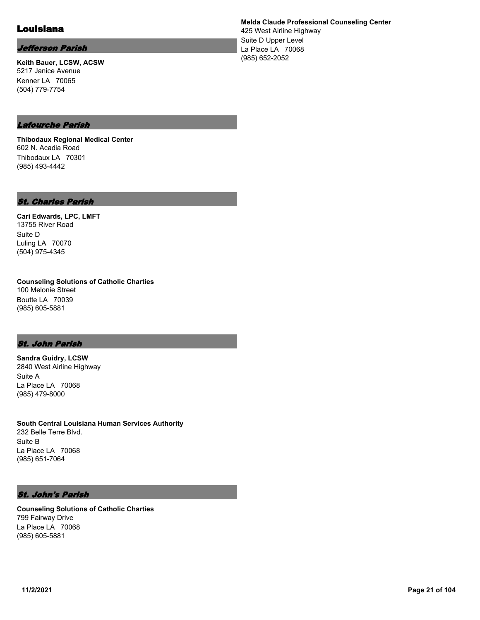# Louisiana

# Jefferson Parish

**Keith Bauer, LCSW, ACSW** 5217 Janice Avenue Kenner LA 70065 (504) 779-7754

**Melda Claude Professional Counseling Center**

425 West Airline Highway Suite D Upper Level La Place LA 70068 (985) 652-2052

# Lafourche Parish

**Thibodaux Regional Medical Center** 602 N. Acadia Road Thibodaux LA 70301 (985) 493-4442

## St. Charles Parish

**Cari Edwards, LPC, LMFT** 13755 River Road Suite D Luling LA 70070 (504) 975-4345

**Counseling Solutions of Catholic Charties** 100 Melonie Street Boutte LA 70039 (985) 605-5881

## St. John Parish

**Sandra Guidry, LCSW** 2840 West Airline Highway Suite A La Place LA 70068 (985) 479-8000

**South Central Louisiana Human Services Authority** 232 Belle Terre Blvd. Suite B La Place LA 70068 (985) 651-7064

## St. John's Parish

**Counseling Solutions of Catholic Charties** 799 Fairway Drive La Place LA 70068 (985) 605-5881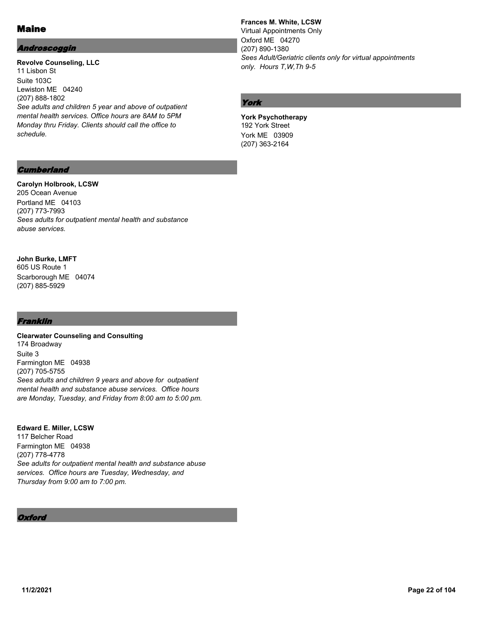# Maine

## Androscoggin

**Revolve Counseling, LLC** 11 Lisbon St Suite 103C Lewiston ME 04240 (207) 888-1802 *See adults and children 5 year and above of outpatient mental health services. Office hours are 8AM to 5PM Monday thru Friday. Clients should call the office to schedule.*

## **Frances M. White, LCSW**

Virtual Appointments Only Oxford ME 04270 (207) 890-1380 *Sees Adult/Geriatric clients only for virtual appointments only. Hours T,W,Th 9-5*

# York

**York Psychotherapy** 192 York Street York ME 03909 (207) 363-2164

## **Cumberland**

#### **Carolyn Holbrook, LCSW** 205 Ocean Avenue

Portland ME 04103 (207) 773-7993 *Sees adults for outpatient mental health and substance abuse services.*

# **John Burke, LMFT**

605 US Route 1 Scarborough ME 04074 (207) 885-5929

# Franklin

**Clearwater Counseling and Consulting** 174 Broadway Suite 3 Farmington ME 04938 (207) 705-5755 *Sees adults and children 9 years and above for outpatient mental health and substance abuse services. Office hours are Monday, Tuesday, and Friday from 8:00 am to 5:00 pm.*

#### **Edward E. Miller, LCSW** 117 Belcher Road Farmington ME 04938 (207) 778-4778 *See adults for outpatient mental health and substance abuse services. Office hours are Tuesday, Wednesday, and Thursday from 9:00 am to 7:00 pm.*

# **Oxford**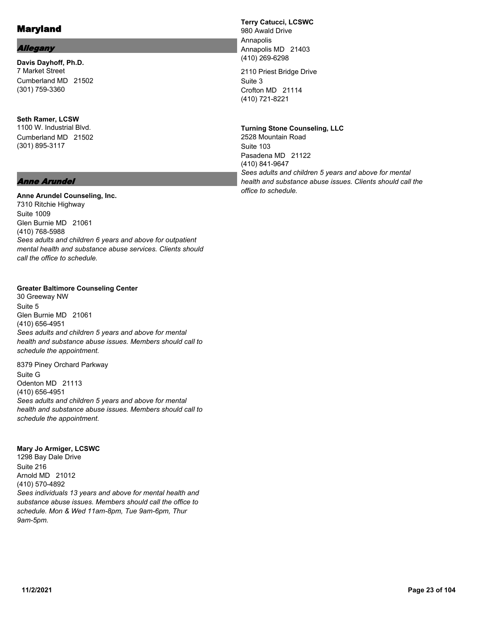## Allegany

**Davis Dayhoff, Ph.D.** 7 Market Street Cumberland MD 21502 (301) 759-3360

# **Seth Ramer, LCSW** 1100 W. Industrial Blvd. Cumberland MD 21502 (301) 895-3117

## Anne Arundel

## **Anne Arundel Counseling, Inc.**

7310 Ritchie Highway Suite 1009 Glen Burnie MD 21061 (410) 768-5988 *Sees adults and children 6 years and above for outpatient mental health and substance abuse services. Clients should call the office to schedule.*

#### **Greater Baltimore Counseling Center**

30 Greeway NW Suite 5 Glen Burnie MD 21061 (410) 656-4951 *Sees adults and children 5 years and above for mental health and substance abuse issues. Members should call to schedule the appointment.*

8379 Piney Orchard Parkway Suite G Odenton MD 21113 (410) 656-4951 *Sees adults and children 5 years and above for mental health and substance abuse issues. Members should call to schedule the appointment.*

#### **Mary Jo Armiger, LCSWC**

1298 Bay Dale Drive Suite 216 Arnold MD 21012 (410) 570-4892 *Sees individuals 13 years and above for mental health and substance abuse issues. Members should call the office to schedule. Mon & Wed 11am-8pm, Tue 9am-6pm, Thur 9am-5pm.*

**Terry Catucci, LCSWC** 980 Awald Drive Annapolis Annapolis MD 21403 (410) 269-6298

2110 Priest Bridge Drive Suite 3 Crofton MD 21114 (410) 721-8221

**Turning Stone Counseling, LLC** 2528 Mountain Road Suite 103 Pasadena MD 21122 (410) 841-9647 *Sees adults and children 5 years and above for mental health and substance abuse issues. Clients should call the office to schedule.*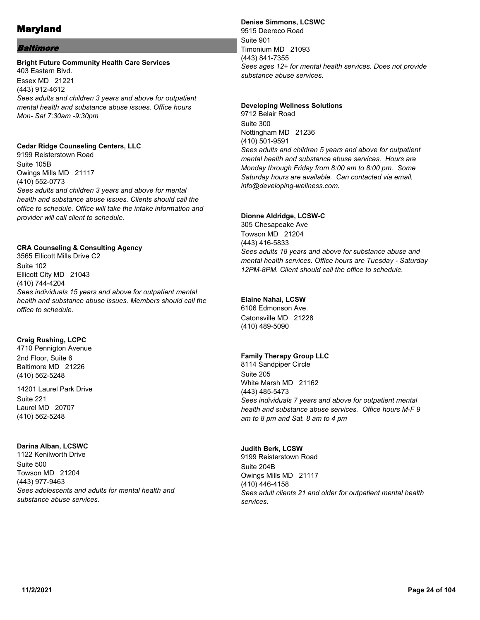## Baltimore

#### **Bright Future Community Health Care Services**

403 Eastern Blvd. Essex MD 21221 (443) 912-4612 *Sees adults and children 3 years and above for outpatient mental health and substance abuse issues. Office hours Mon- Sat 7:30am -9:30pm*

#### **Cedar Ridge Counseling Centers, LLC**

9199 Reisterstown Road Suite 105B Owings Mills MD 21117 (410) 552-0773 *Sees adults and children 3 years and above for mental health and substance abuse issues. Clients should call the office to schedule. Office will take the intake information and provider will call client to schedule.*

## **CRA Counseling & Consulting Agency**

3565 Ellicott Mills Drive C2 Suite 102 Ellicott City MD 21043 (410) 744-4204 *Sees individuals 15 years and above for outpatient mental health and substance abuse issues. Members should call the office to schedule.*

## **Craig Rushing, LCPC**

4710 Pennigton Avenue 2nd Floor, Suite 6 Baltimore MD 21226 (410) 562-5248

14201 Laurel Park Drive Suite 221 Laurel MD 20707 (410) 562-5248

## **Darina Alban, LCSWC**

1122 Kenilworth Drive Suite 500 Towson MD 21204 (443) 977-9463 *Sees adolescents and adults for mental health and substance abuse services.*

#### **Denise Simmons, LCSWC**

9515 Deereco Road Suite 901 Timonium MD 21093 (443) 841-7355 *Sees ages 12+ for mental health services. Does not provide substance abuse services.*

#### **Developing Wellness Solutions**

9712 Belair Road Suite 300 Nottingham MD 21236 (410) 501-9591 *Sees adults and children 5 years and above for outpatient mental health and substance abuse services. Hours are Monday through Friday from 8:00 am to 8:00 pm. Some Saturday hours are available. Can contacted via email, info@developing-wellness.com.*

#### **Dionne Aldridge, LCSW-C**

305 Chesapeake Ave Towson MD 21204 (443) 416-5833 *Sees adults 18 years and above for substance abuse and mental health services. Office hours are Tuesday - Saturday 12PM-8PM. Client should call the office to schedule.*

#### **Elaine Nahai, LCSW**

6106 Edmonson Ave. Catonsville MD 21228 (410) 489-5090

## **Family Therapy Group LLC**

8114 Sandpiper Circle Suite 205 White Marsh MD 21162 (443) 485-5473 *Sees individuals 7 years and above for outpatient mental health and substance abuse services. Office hours M-F 9 am to 8 pm and Sat. 8 am to 4 pm*

#### **Judith Berk, LCSW**

9199 Reisterstown Road Suite 204B Owings Mills MD 21117 (410) 446-4158 *Sees adult clients 21 and older for outpatient mental health services.*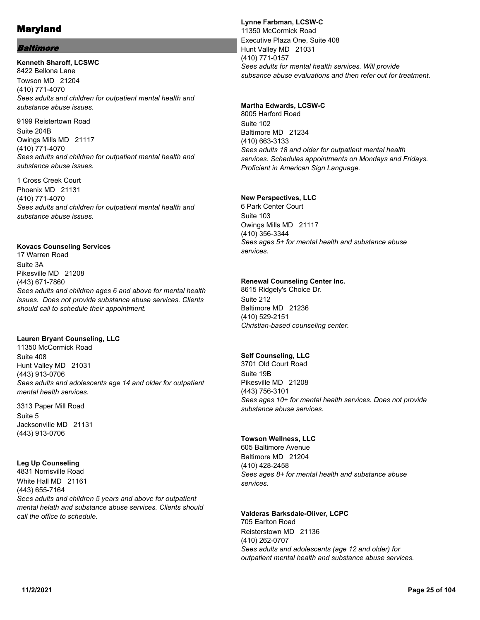## Baltimore

# **Kenneth Sharoff, LCSWC** 8422 Bellona Lane Towson MD 21204

(410) 771-4070 *Sees adults and children for outpatient mental health and substance abuse issues.*

9199 Reistertown Road Suite 204B Owings Mills MD 21117 (410) 771-4070 *Sees adults and children for outpatient mental health and substance abuse issues.*

1 Cross Creek Court Phoenix MD 21131 (410) 771-4070 *Sees adults and children for outpatient mental health and substance abuse issues.*

#### **Kovacs Counseling Services**

17 Warren Road Suite 3A Pikesville MD 21208 (443) 671-7860 *Sees adults and children ages 6 and above for mental health issues. Does not provide substance abuse services. Clients should call to schedule their appointment.*

#### **Lauren Bryant Counseling, LLC**

11350 McCormick Road Suite 408 Hunt Valley MD 21031 (443) 913-0706 *Sees adults and adolescents age 14 and older for outpatient mental health services.*

3313 Paper Mill Road Suite 5 Jacksonville MD 21131 (443) 913-0706

#### **Leg Up Counseling**

4831 Norrisville Road White Hall MD 21161 (443) 655-7164 *Sees adults and children 5 years and above for outpatient mental helath and substance abuse services. Clients should call the office to schedule.*

#### **Lynne Farbman, LCSW-C** 11350 McCormick Road Executive Plaza One, Suite 408 Hunt Valley MD 21031 (410) 771-0157 *Sees adults for mental health services. Will provide subsance abuse evaluations and then refer out for treatment.*

## **Martha Edwards, LCSW-C**

8005 Harford Road Suite 102 Baltimore MD 21234 (410) 663-3133 *Sees adults 18 and older for outpatient mental health services. Schedules appointments on Mondays and Fridays. Proficient in American Sign Language.*

## **New Perspectives, LLC**

6 Park Center Court Suite 103 Owings Mills MD 21117 (410) 356-3344 *Sees ages 5+ for mental health and substance abuse services.*

## **Renewal Counseling Center Inc.**

8615 Ridgely's Choice Dr. Suite 212 Baltimore MD 21236 (410) 529-2151 *Christian-based counseling center.*

## **Self Counseling, LLC**

3701 Old Court Road Suite 19B Pikesville MD 21208 (443) 756-3101 *Sees ages 10+ for mental health services. Does not provide substance abuse services.*

## **Towson Wellness, LLC**

605 Baltimore Avenue Baltimore MD 21204 (410) 428-2458 *Sees ages 8+ for mental health and substance abuse services.*

## **Valderas Barksdale-Oliver, LCPC**

705 Earlton Road Reisterstown MD 21136 (410) 262-0707 *Sees adults and adolescents (age 12 and older) for outpatient mental health and substance abuse services.*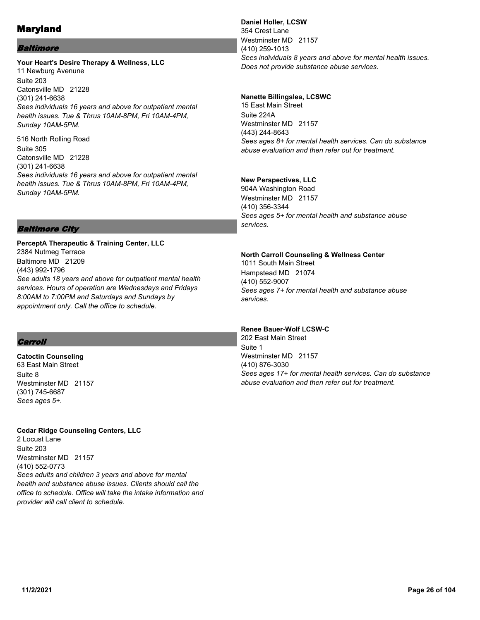## Baltimore

#### **Your Heart's Desire Therapy & Wellness, LLC** 11 Newburg Avenune Suite 203 Catonsville MD 21228 (301) 241-6638 *Sees individuals 16 years and above for outpatient mental health issues. Tue & Thrus 10AM-8PM, Fri 10AM-4PM, Sunday 10AM-5PM.*

516 North Rolling Road Suite 305 Catonsville MD 21228 (301) 241-6638 *Sees individuals 16 years and above for outpatient mental health issues. Tue & Thrus 10AM-8PM, Fri 10AM-4PM, Sunday 10AM-5PM.*

# Baltimore City

**PerceptA Therapeutic & Training Center, LLC** 2384 Nutmeg Terrace Baltimore MD 21209 (443) 992-1796 *See adults 18 years and above for outpatient mental health services. Hours of operation are Wednesdays and Fridays 8:00AM to 7:00PM and Saturdays and Sundays by appointment only. Call the office to schedule.*

# **Carroll**

**Catoctin Counseling** 63 East Main Street Suite 8 Westminster MD 21157 (301) 745-6687 *Sees ages 5+.*

**Cedar Ridge Counseling Centers, LLC**

2 Locust Lane Suite 203 Westminster MD 21157 (410) 552-0773 *Sees adults and children 3 years and above for mental health and substance abuse issues. Clients should call the office to schedule. Office will take the intake information and provider will call client to schedule.*

**Daniel Holler, LCSW** 354 Crest Lane Westminster MD 21157 (410) 259-1013 *Sees individuals 8 years and above for mental health issues. Does not provide substance abuse services.*

# **Nanette Billingslea, LCSWC**

15 East Main Street Suite 224A Westminster MD 21157 (443) 244-8643 *Sees ages 8+ for mental health services. Can do substance abuse evaluation and then refer out for treatment.*

# **New Perspectives, LLC**

904A Washington Road Westminster MD 21157 (410) 356-3344 *Sees ages 5+ for mental health and substance abuse services.*

# **North Carroll Counseling & Wellness Center**

1011 South Main Street Hampstead MD 21074 (410) 552-9007 *Sees ages 7+ for mental health and substance abuse services.*

# **Renee Bauer-Wolf LCSW-C**

202 East Main Street Suite 1 Westminster MD 21157 (410) 876-3030 *Sees ages 17+ for mental health services. Can do substance abuse evaluation and then refer out for treatment.*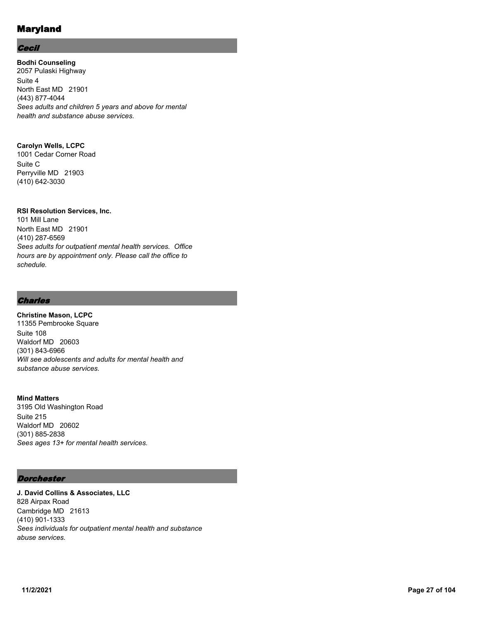## **Cecil**

**Bodhi Counseling** 2057 Pulaski Highway Suite 4 North East MD 21901 (443) 877-4044 *Sees adults and children 5 years and above for mental health and substance abuse services.*

## **Carolyn Wells, LCPC**

1001 Cedar Corner Road Suite C Perryville MD 21903 (410) 642-3030

## **RSI Resolution Services, Inc.**

101 Mill Lane North East MD 21901 (410) 287-6569 *Sees adults for outpatient mental health services. Office hours are by appointment only. Please call the office to schedule.*

# **Charles**

#### **Christine Mason, LCPC** 11355 Pembrooke Square

Suite 108 Waldorf MD 20603 (301) 843-6966 *Will see adolescents and adults for mental health and substance abuse services.*

## **Mind Matters**

3195 Old Washington Road Suite 215 Waldorf MD 20602 (301) 885-2838 *Sees ages 13+ for mental health services.*

## **Dorchester**

**J. David Collins & Associates, LLC** 828 Airpax Road Cambridge MD 21613 (410) 901-1333 *Sees individuals for outpatient mental health and substance abuse services.*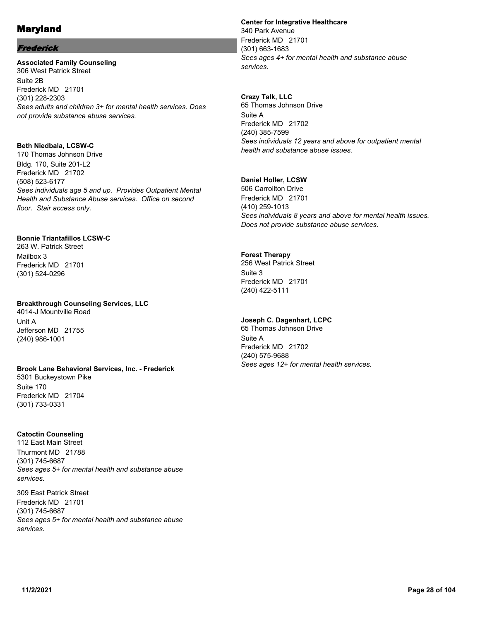## Frederick

#### **Associated Family Counseling** 306 West Patrick Street Suite 2B Frederick MD 21701 (301) 228-2303 *Sees adults and children 3+ for mental health services. Does not provide substance abuse services.*

## **Beth Niedbala, LCSW-C**

170 Thomas Johnson Drive Bldg. 170, Suite 201-L2 Frederick MD 21702 (508) 523-6177 *Sees individuals age 5 and up. Provides Outpatient Mental Health and Substance Abuse services. Office on second floor. Stair access only.*

## **Bonnie Triantafillos LCSW-C**

263 W. Patrick Street Mailbox 3 Frederick MD 21701 (301) 524-0296

#### **Breakthrough Counseling Services, LLC**

4014-J Mountville Road Unit A Jefferson MD 21755 (240) 986-1001

## **Brook Lane Behavioral Services, Inc. - Frederick**

5301 Buckeystown Pike Suite 170 Frederick MD 21704 (301) 733-0331

## **Catoctin Counseling**

112 East Main Street Thurmont MD 21788 (301) 745-6687 *Sees ages 5+ for mental health and substance abuse services.*

309 East Patrick Street Frederick MD 21701 (301) 745-6687 *Sees ages 5+ for mental health and substance abuse services.*

#### **Center for Integrative Healthcare**

340 Park Avenue Frederick MD 21701 (301) 663-1683 *Sees ages 4+ for mental health and substance abuse services.*

**Crazy Talk, LLC** 65 Thomas Johnson Drive Suite A Frederick MD 21702 (240) 385-7599 *Sees individuals 12 years and above for outpatient mental health and substance abuse issues.*

## **Daniel Holler, LCSW**

506 Carrollton Drive Frederick MD 21701 (410) 259-1013 *Sees individuals 8 years and above for mental health issues. Does not provide substance abuse services.*

## **Forest Therapy**

256 West Patrick Street Suite 3 Frederick MD 21701 (240) 422-5111

## **Joseph C. Dagenhart, LCPC**

65 Thomas Johnson Drive Suite A Frederick MD 21702 (240) 575-9688 *Sees ages 12+ for mental health services.*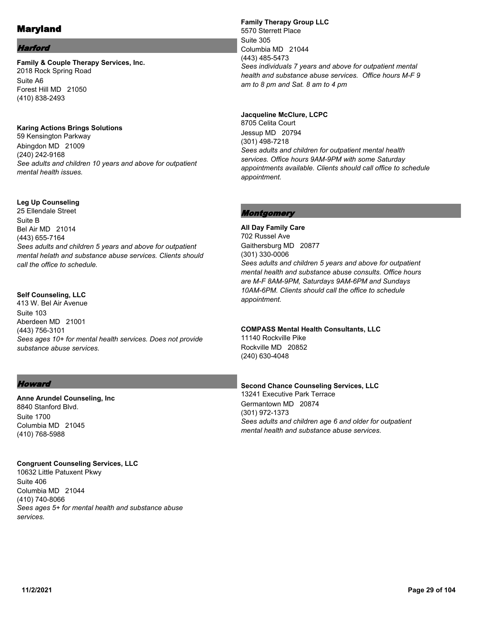#### Harford

**Family & Couple Therapy Services, Inc.** 2018 Rock Spring Road Suite A6 Forest Hill MD 21050 (410) 838-2493

**Karing Actions Brings Solutions** 59 Kensington Parkway Abingdon MD 21009 (240) 242-9168 *See adults and children 10 years and above for outpatient* 

#### **Leg Up Counseling**

*mental health issues.*

25 Ellendale Street Suite B Bel Air MD 21014 (443) 655-7164 *Sees adults and children 5 years and above for outpatient mental helath and substance abuse services. Clients should call the office to schedule.*

#### **Self Counseling, LLC**

413 W. Bel Air Avenue Suite 103 Aberdeen MD 21001 (443) 756-3101 *Sees ages 10+ for mental health services. Does not provide substance abuse services.*

#### **Howard**

**Anne Arundel Counseling, Inc** 8840 Stanford Blvd. Suite 1700 Columbia MD 21045 (410) 768-5988

#### **Congruent Counseling Services, LLC**

10632 Little Patuxent Pkwy Suite 406 Columbia MD 21044 (410) 740-8066 *Sees ages 5+ for mental health and substance abuse services.*

**Family Therapy Group LLC** 5570 Sterrett Place Suite 305 Columbia MD 21044 (443) 485-5473 *Sees individuals 7 years and above for outpatient mental health and substance abuse services. Office hours M-F 9 am to 8 pm and Sat. 8 am to 4 pm*

#### **Jacqueline McClure, LCPC**

8705 Celita Court Jessup MD 20794 (301) 498-7218 *Sees adults and children for outpatient mental health services. Office hours 9AM-9PM with some Saturday appointments available. Clients should call office to schedule appointment.*

#### Montgomery

**All Day Family Care** 702 Russel Ave Gaithersburg MD 20877 (301) 330-0006 *Sees adults and children 5 years and above for outpatient mental health and substance abuse consults. Office hours are M-F 8AM-9PM, Saturdays 9AM-6PM and Sundays 10AM-6PM. Clients should call the office to schedule appointment.*

#### **COMPASS Mental Health Consultants, LLC**

11140 Rockville Pike Rockville MD 20852 (240) 630-4048

**Second Chance Counseling Services, LLC** 13241 Executive Park Terrace Germantown MD 20874 (301) 972-1373 *Sees adults and children age 6 and older for outpatient mental health and substance abuse services.*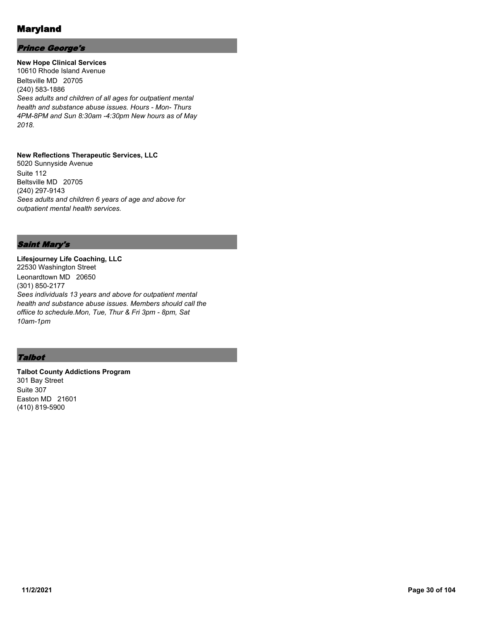## Prince George's

**New Hope Clinical Services** 10610 Rhode Island Avenue Beltsville MD 20705 (240) 583-1886 *Sees adults and children of all ages for outpatient mental health and substance abuse issues. Hours - Mon- Thurs 4PM-8PM and Sun 8:30am -4:30pm New hours as of May 2018.*

#### **New Reflections Therapeutic Services, LLC**

5020 Sunnyside Avenue Suite 112 Beltsville MD 20705 (240) 297-9143 *Sees adults and children 6 years of age and above for outpatient mental health services.*

# Saint Mary's

**Lifesjourney Life Coaching, LLC** 22530 Washington Street Leonardtown MD 20650 (301) 850-2177 *Sees individuals 13 years and above for outpatient mental health and substance abuse issues. Members should call the offiice to schedule.Mon, Tue, Thur & Fri 3pm - 8pm, Sat 10am-1pm*

# Talbot

**Talbot County Addictions Program** 301 Bay Street Suite 307 Easton MD 21601 (410) 819-5900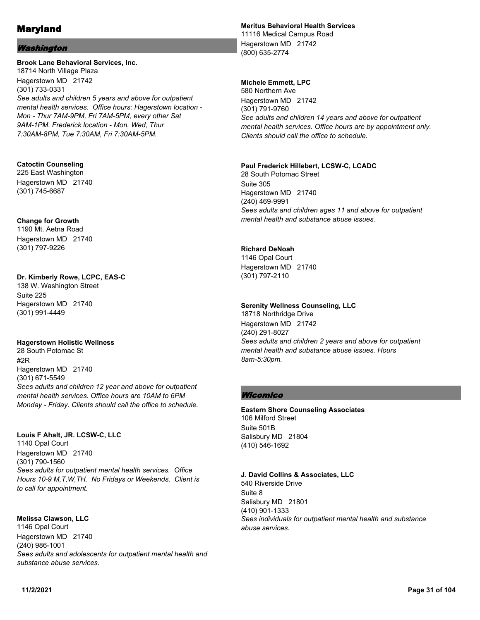## **Washington**

#### **Brook Lane Behavioral Services, Inc.**

18714 North Village Plaza Hagerstown MD 21742 (301) 733-0331 *See adults and children 5 years and above for outpatient mental health services. Office hours: Hagerstown location - Mon - Thur 7AM-9PM, Fri 7AM-5PM, every other Sat 9AM-1PM. Frederick location - Mon, Wed, Thur 7:30AM-8PM, Tue 7:30AM, Fri 7:30AM-5PM.*

#### **Catoctin Counseling**

225 East Washington Hagerstown MD 21740 (301) 745-6687

#### **Change for Growth**

1190 Mt. Aetna Road Hagerstown MD 21740 (301) 797-9226

#### **Dr. Kimberly Rowe, LCPC, EAS-C**

138 W. Washington Street Suite 225 Hagerstown MD 21740 (301) 991-4449

#### **Hagerstown Holistic Wellness**

28 South Potomac St #2R Hagerstown MD 21740 (301) 671-5549 *Sees adults and children 12 year and above for outpatient mental health services. Office hours are 10AM to 6PM Monday - Friday. Clients should call the office to schedule.*

#### **Louis F Ahalt, JR. LCSW-C, LLC**

1140 Opal Court Hagerstown MD 21740 (301) 790-1560 *Sees adults for outpatient mental health services. Office Hours 10-9 M,T,W,TH. No Fridays or Weekends. Client is to call for appointment.*

## **Melissa Clawson, LLC**

1146 Opal Court Hagerstown MD 21740 (240) 986-1001 *Sees adults and adolescents for outpatient mental health and substance abuse services.*

## **Meritus Behavioral Health Services**

11116 Medical Campus Road Hagerstown MD 21742 (800) 635-2774

## **Michele Emmett, LPC**

580 Northern Ave Hagerstown MD 21742 (301) 791-9760 *See adults and children 14 years and above for outpatient mental health services. Office hours are by appointment only. Clients should call the office to schedule.*

#### **Paul Frederick Hillebert, LCSW-C, LCADC**

28 South Potomac Street Suite 305 Hagerstown MD 21740 (240) 469-9991 *Sees adults and children ages 11 and above for outpatient mental health and substance abuse issues.*

#### **Richard DeNoah**

1146 Opal Court Hagerstown MD 21740 (301) 797-2110

#### **Serenity Wellness Counseling, LLC**

18718 Northridge Drive Hagerstown MD 21742 (240) 291-8027 *Sees adults and children 2 years and above for outpatient mental health and substance abuse issues. Hours 8am-5:30pm.*

## Wicomico

**Eastern Shore Counseling Associates** 106 Milford Street Suite 501B Salisbury MD 21804 (410) 546-1692

#### **J. David Collins & Associates, LLC**

540 Riverside Drive Suite 8 Salisbury MD 21801 (410) 901-1333 *Sees individuals for outpatient mental health and substance abuse services.*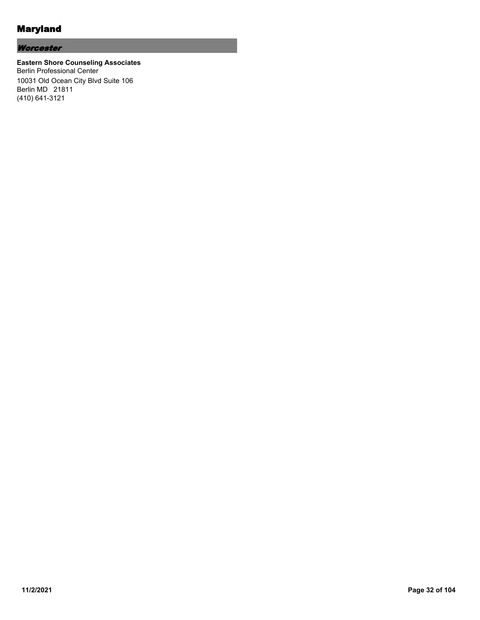# **Worcester**

#### **Eastern Shore Counseling Associates** Berlin Professional Center 10031 Old Ocean City Blvd Suite 106 Berlin MD 21811 (410) 641-3121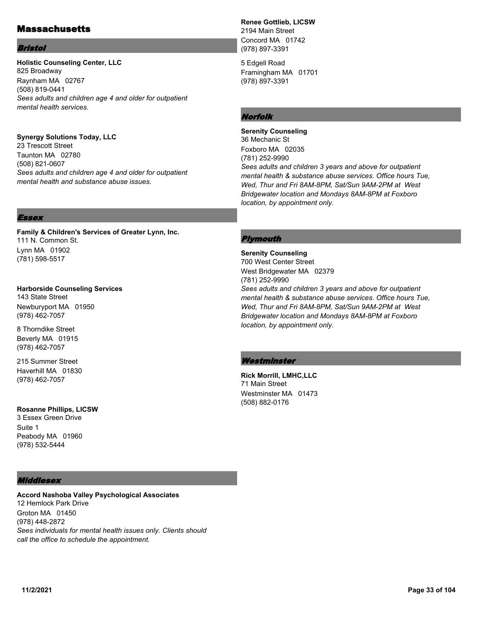# **Massachusetts**

#### Bristol

#### **Holistic Counseling Center, LLC** 825 Broadway Raynham MA 02767 (508) 819-0441 *Sees adults and children age 4 and older for outpatient mental health services.*

## **Synergy Solutions Today, LLC**

23 Trescott Street Taunton MA 02780 (508) 821-0607 *Sees adults and children age 4 and older for outpatient mental health and substance abuse issues.*

# **Renee Gottlieb, LICSW**

2194 Main Street Concord MA 01742 (978) 897-3391

5 Edgell Road Framingham MA 01701 (978) 897-3391

# Norfolk

**Serenity Counseling** 36 Mechanic St Foxboro MA 02035 (781) 252-9990 *Sees adults and children 3 years and above for outpatient mental health & substance abuse services. Office hours Tue, Wed, Thur and Fri 8AM-8PM, Sat/Sun 9AM-2PM at West Bridgewater location and Mondays 8AM-8PM at Foxboro location, by appointment only.*

## Essex

**Family & Children's Services of Greater Lynn, Inc.** 111 N. Common St. Lynn MA 01902 (781) 598-5517

**Harborside Counseling Services** 143 State Street Newburyport MA 01950 (978) 462-7057

8 Thorndike Street Beverly MA 01915 (978) 462-7057

215 Summer Street Haverhill MA 01830 (978) 462-7057

**Rosanne Phillips, LICSW** 3 Essex Green Drive

Suite 1 Peabody MA 01960 (978) 532-5444

## Middlesex

**Accord Nashoba Valley Psychological Associates** 12 Hemlock Park Drive Groton MA 01450 (978) 448-2872 *Sees individuals for mental health issues only. Clients should call the office to schedule the appointment.*

#### **Plymouth**

**Serenity Counseling** 700 West Center Street West Bridgewater MA 02379 (781) 252-9990 *Sees adults and children 3 years and above for outpatient mental health & substance abuse services. Office hours Tue, Wed, Thur and Fri 8AM-8PM, Sat/Sun 9AM-2PM at West Bridgewater location and Mondays 8AM-8PM at Foxboro location, by appointment only.*

#### Westminster

**Rick Morrill, LMHC,LLC** 71 Main Street Westminster MA 01473 (508) 882-0176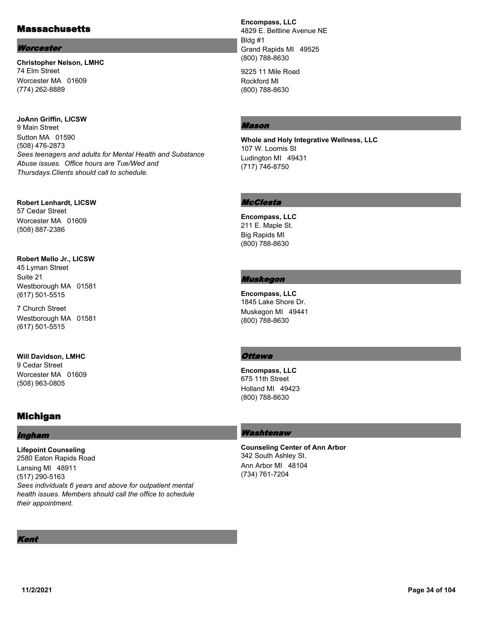# **Massachusetts**

#### **Worcester**

**Christopher Nelson, LMHC** 74 Elm Street Worcester MA 01609 (774) 262-8889

**JoAnn Griffin, LICSW** 9 Main Street Sutton MA 01590 (508) 476-2873 *Sees teenagers and adults for Mental Health and Substance Abuse issues. Office hours are Tue/Wed and Thursdays.Clients should call to schedule.*

**Robert Lenhardt, LICSW** 57 Cedar Street Worcester MA 01609 (508) 887-2386

#### **Robert Mello Jr., LICSW**

45 Lyman Street Suite 21 Westborough MA 01581 (617) 501-5515

7 Church Street Westborough MA 01581 (617) 501-5515

**Will Davidson, LMHC** 9 Cedar Street

Worcester MA 01609 (508) 963-0805

# Michigan

# Ingham

**Lifepoint Counseling** 2580 Eaton Rapids Road Lansing MI 48911 (517) 290-5163 *Sees individuals 6 years and above for outpatient mental health issues. Members should call the office to schedule their appointment.*

**Encompass, LLC** 4829 E. Beltline Avenue NE Bldg #1 Grand Rapids MI 49525 (800) 788-8630

9225 11 Mile Road Rockford MI (800) 788-8630

## Mason

**Whole and Holy Integrative Wellness, LLC** 107 W. Loomis St Ludington MI 49431 (717) 746-8750

# McClosta

**Encompass, LLC** 211 E. Maple St. Big Rapids MI (800) 788-8630

# Muskegon

**Encompass, LLC** 1845 Lake Shore Dr. Muskegon MI 49441 (800) 788-8630

# **Ottawa**

**Encompass, LLC** 675 11th Street Holland MI 49423 (800) 788-8630

# Washtenaw

**Counseling Center of Ann Arbor** 342 South Ashley St. Ann Arbor MI 48104 (734) 761-7204

Kent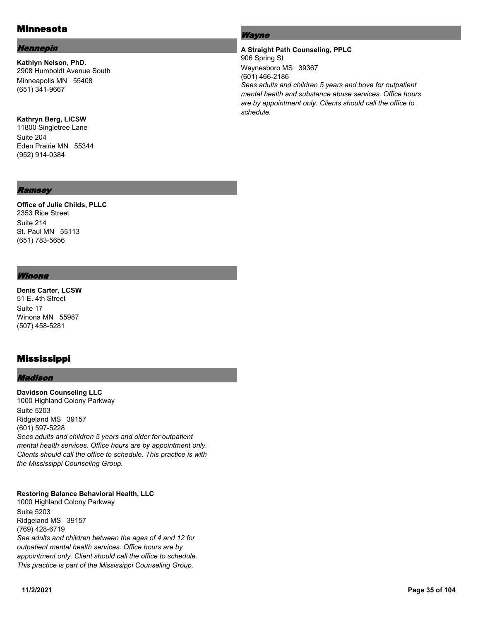# Minnesota

#### Hennepin

**Kathlyn Nelson, PhD.** 2908 Humboldt Avenue South Minneapolis MN 55408 (651) 341-9667

#### **Kathryn Berg, LICSW**

11800 Singletree Lane Suite 204 Eden Prairie MN 55344 (952) 914-0384

#### Ramsey

#### **Office of Julie Childs, PLLC** 2353 Rice Street Suite 214 St. Paul MN 55113 (651) 783-5656

#### Winona

**Denis Carter, LCSW** 51 E. 4th Street Suite 17 Winona MN 55987 (507) 458-5281

# Mississippi

#### Madison

**Davidson Counseling LLC** 1000 Highland Colony Parkway Suite 5203 Ridgeland MS 39157 (601) 597-5228 *Sees adults and children 5 years and older for outpatient mental health services. Office hours are by appointment only. Clients should call the office to schedule. This practice is with the Mississippi Counseling Group.*

#### **Restoring Balance Behavioral Health, LLC**

1000 Highland Colony Parkway Suite 5203 Ridgeland MS 39157 (769) 428-6719 *See adults and children between the ages of 4 and 12 for outpatient mental health services. Office hours are by appointment only. Client should call the office to schedule. This practice is part of the Mississippi Counseling Group.*

## Wayne

## **A Straight Path Counseling, PPLC** 906 Spring St Waynesboro MS 39367 (601) 466-2186 *Sees adults and children 5 years and bove for outpatient mental health and substance abuse services. Office hours are by appointment only. Clients should call the office to schedule.*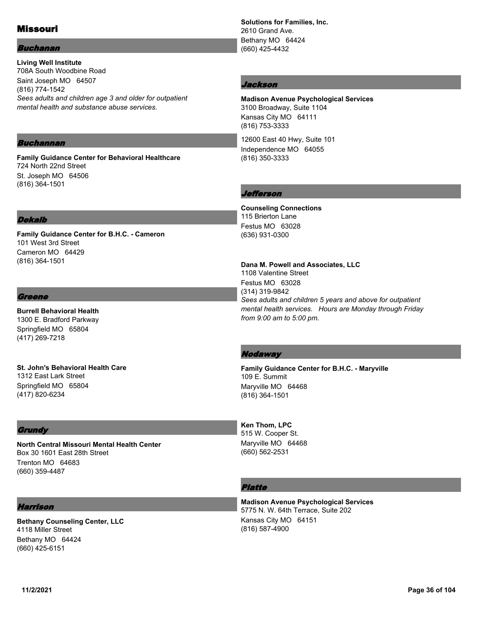# Missouri

#### Buchanan

**Living Well Institute** 708A South Woodbine Road Saint Joseph MO 64507 (816) 774-1542 *Sees adults and children age 3 and older for outpatient mental health and substance abuse services.*

#### Buchannan

**Family Guidance Center for Behavioral Healthcare** 724 North 22nd Street St. Joseph MO 64506 (816) 364-1501

#### **Dekalb**

**Family Guidance Center for B.H.C. - Cameron** 101 West 3rd Street Cameron MO 64429 (816) 364-1501

#### Greene

**Burrell Behavioral Health** 1300 E. Bradford Parkway Springfield MO 65804 (417) 269-7218

**St. John's Behavioral Health Care** 1312 East Lark Street Springfield MO 65804 (417) 820-6234

#### **Grundy**

**North Central Missouri Mental Health Center** Box 30 1601 East 28th Street Trenton MO 64683 (660) 359-4487

#### Harrison

**Bethany Counseling Center, LLC** 4118 Miller Street Bethany MO 64424 (660) 425-6151

**Solutions for Families, Inc.** 2610 Grand Ave. Bethany MO 64424 (660) 425-4432

#### Jackson

**Madison Avenue Psychological Services** 3100 Broadway, Suite 1104 Kansas City MO 64111 (816) 753-3333

12600 East 40 Hwy, Suite 101 Independence MO 64055 (816) 350-3333

#### Jefferson

**Counseling Connections** 115 Brierton Lane Festus MO 63028 (636) 931-0300

**Dana M. Powell and Associates, LLC** 1108 Valentine Street Festus MO 63028 (314) 319-9842 *Sees adults and children 5 years and above for outpatient mental health services. Hours are Monday through Friday from 9:00 am to 5:00 pm.*

#### **Nodaway**

**Family Guidance Center for B.H.C. - Maryville** 109 E. Summit Maryville MO 64468 (816) 364-1501

**Ken Thom, LPC** 515 W. Cooper St. Maryville MO 64468 (660) 562-2531

## Platte

**Madison Avenue Psychological Services** 5775 N. W. 64th Terrace, Suite 202 Kansas City MO 64151 (816) 587-4900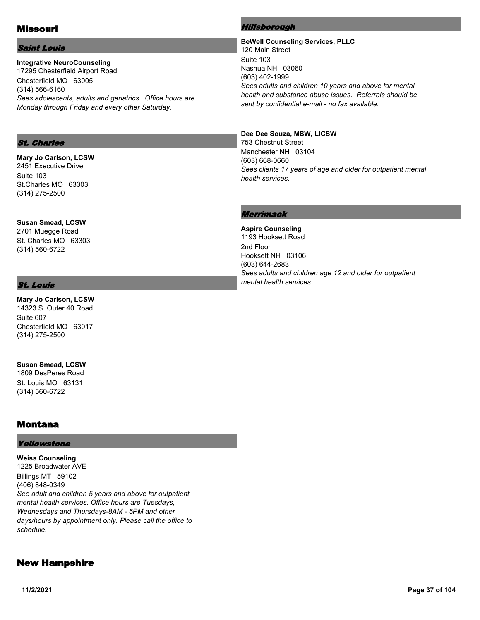# Missouri

### Saint Louis

**Integrative NeuroCounseling** 17295 Chesterfield Airport Road Chesterfield MO 63005 (314) 566-6160 *Sees adolescents, adults and geriatrics. Office hours are Monday through Friday and every other Saturday.*

### St. Charles

**Mary Jo Carlson, LCSW** 2451 Executive Drive Suite 103 St.Charles MO 63303 (314) 275-2500

**Susan Smead, LCSW** 2701 Muegge Road St. Charles MO 63303 (314) 560-6722

# St. Louis

**Mary Jo Carlson, LCSW** 14323 S. Outer 40 Road Suite 607 Chesterfield MO 63017 (314) 275-2500

**Susan Smead, LCSW** 1809 DesPeres Road St. Louis MO 63131 (314) 560-6722

# Montana

#### Yellowstone

**Weiss Counseling** 1225 Broadwater AVE Billings MT 59102 (406) 848-0349 *See adult and children 5 years and above for outpatient mental health services. Office hours are Tuesdays, Wednesdays and Thursdays-8AM - 5PM and other days/hours by appointment only. Please call the office to schedule.*

# New Hampshire

### Hillsborough

**BeWell Counseling Services, PLLC** 120 Main Street Suite 103 Nashua NH 03060 (603) 402-1999 *Sees adults and children 10 years and above for mental health and substance abuse issues. Referrals should be sent by confidential e-mail - no fax available.*

### **Dee Dee Souza, MSW, LICSW**

753 Chestnut Street Manchester NH 03104 (603) 668-0660 *Sees clients 17 years of age and older for outpatient mental health services.*

# Merrimack

**Aspire Counseling** 1193 Hooksett Road 2nd Floor Hooksett NH 03106 (603) 644-2683 *Sees adults and children age 12 and older for outpatient mental health services.*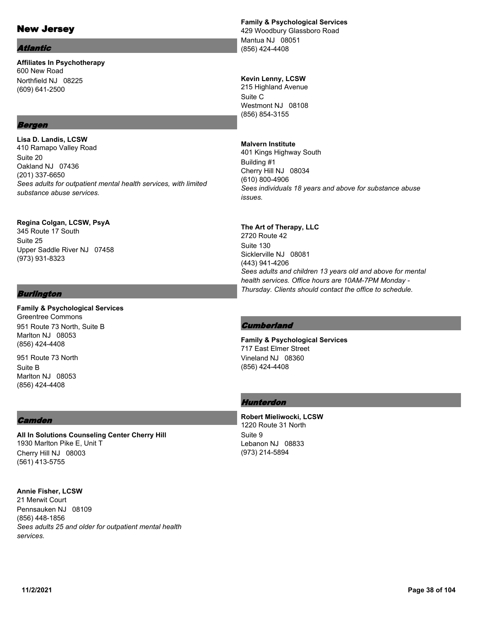# New Jersey

#### Atlantic

**Affiliates In Psychotherapy** 600 New Road Northfield NJ 08225 (609) 641-2500

# Bergen

**Lisa D. Landis, LCSW** 410 Ramapo Valley Road Suite 20 Oakland NJ 07436 (201) 337-6650 *Sees adults for outpatient mental health services, with limited substance abuse services.*

**Regina Colgan, LCSW, PsyA** 345 Route 17 South Suite 25 Upper Saddle River NJ 07458 (973) 931-8323

# Burlington

**Family & Psychological Services** Greentree Commons 951 Route 73 North, Suite B Marlton NJ 08053 (856) 424-4408

951 Route 73 North Suite B Marlton NJ 08053 (856) 424-4408

# **Camden**

**All In Solutions Counseling Center Cherry Hill** 1930 Marlton Pike E, Unit T Cherry Hill NJ 08003 (561) 413-5755

**Annie Fisher, LCSW** 21 Merwit Court Pennsauken NJ 08109 (856) 448-1856 *Sees adults 25 and older for outpatient mental health services.*

# **Family & Psychological Services**

429 Woodbury Glassboro Road Mantua NJ 08051 (856) 424-4408

# **Kevin Lenny, LCSW**

215 Highland Avenue Suite C Westmont NJ 08108 (856) 854-3155

# **Malvern Institute**

401 Kings Highway South Building #1 Cherry Hill NJ 08034 (610) 800-4906 *Sees individuals 18 years and above for substance abuse issues.*

# **The Art of Therapy, LLC**

2720 Route 42 Suite 130 Sicklerville NJ 08081 (443) 941-4206 *Sees adults and children 13 years old and above for mental health services. Office hours are 10AM-7PM Monday - Thursday. Clients should contact the office to schedule.*

# **Cumberland**

**Family & Psychological Services** 717 East Elmer Street Vineland NJ 08360 (856) 424-4408

# Hunterdon

**Robert Mieliwocki, LCSW** 1220 Route 31 North Suite 9 Lebanon NJ 08833 (973) 214-5894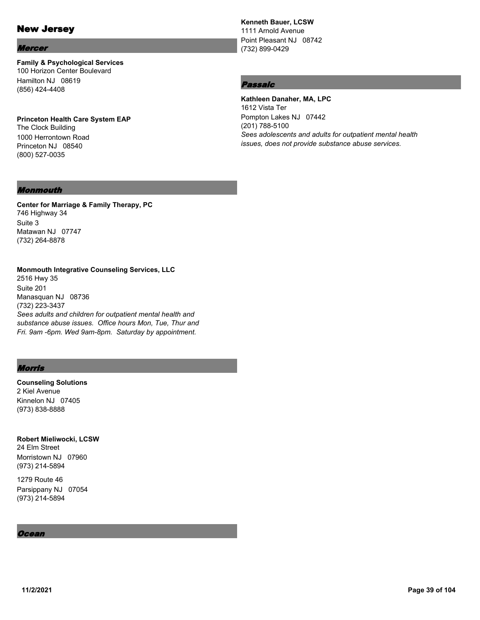# New Jersey

#### Mercer

**Family & Psychological Services** 100 Horizon Center Boulevard Hamilton NJ 08619 (856) 424-4408

**Princeton Health Care System EAP** The Clock Building 1000 Herrontown Road Princeton NJ 08540 (800) 527-0035

# **Kenneth Bauer, LCSW**

1111 Arnold Avenue Point Pleasant NJ 08742 (732) 899-0429

# Passaic

**Kathleen Danaher, MA, LPC** 1612 Vista Ter Pompton Lakes NJ 07442 (201) 788-5100 *Sees adolescents and adults for outpatient mental health issues, does not provide substance abuse services.*

# Monmouth

**Center for Marriage & Family Therapy, PC** 746 Highway 34 Suite 3 Matawan NJ 07747 (732) 264-8878

**Monmouth Integrative Counseling Services, LLC** 2516 Hwy 35 Suite 201 Manasquan NJ 08736 (732) 223-3437 *Sees adults and children for outpatient mental health and substance abuse issues. Office hours Mon, Tue, Thur and Fri. 9am -6pm. Wed 9am-8pm. Saturday by appointment.*

# Morris

**Counseling Solutions** 2 Kiel Avenue Kinnelon NJ 07405 (973) 838-8888

**Robert Mieliwocki, LCSW** 24 Elm Street Morristown NJ 07960 (973) 214-5894

1279 Route 46 Parsippany NJ 07054 (973) 214-5894

#### Ocean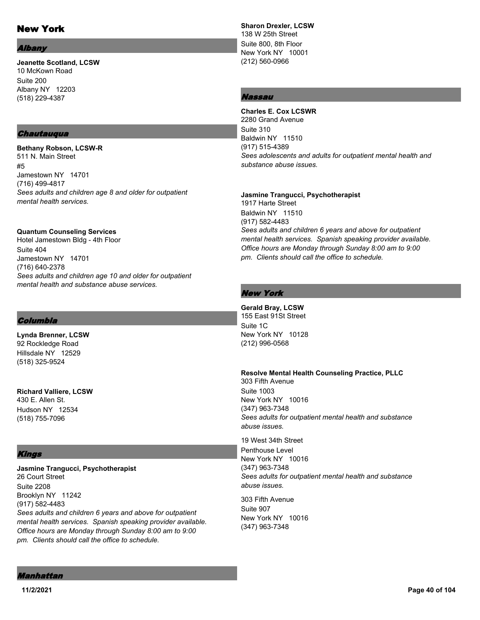# New York

#### *<u>Ibany</u>*

**Jeanette Scotland, LCSW** 10 McKown Road Suite 200 Albany NY 12203 (518) 229-4387

#### **Chautauqua**

**Bethany Robson, LCSW-R** 511 N. Main Street #5 Jamestown NY 14701 (716) 499-4817 *Sees adults and children age 8 and older for outpatient mental health services.*

**Quantum Counseling Services**

Hotel Jamestown Bldg - 4th Floor Suite 404 Jamestown NY 14701 (716) 640-2378 *Sees adults and children age 10 and older for outpatient mental health and substance abuse services.*

# Columbia

**Lynda Brenner, LCSW** 92 Rockledge Road Hillsdale NY 12529 (518) 325-9524

**Richard Valliere, LCSW** 430 E. Allen St. Hudson NY 12534 (518) 755-7096

# Kings

**Jasmine Trangucci, Psychotherapist** 26 Court Street Suite 2208 Brooklyn NY 11242 (917) 582-4483 *Sees adults and children 6 years and above for outpatient mental health services. Spanish speaking provider available. Office hours are Monday through Sunday 8:00 am to 9:00 pm. Clients should call the office to schedule.*

**Sharon Drexler, LCSW** 138 W 25th Street Suite 800, 8th Floor New York NY 10001 (212) 560-0966

# Nassau

**Charles E. Cox LCSWR** 2280 Grand Avenue Suite 310 Baldwin NY 11510 (917) 515-4389 *Sees adolescents and adults for outpatient mental health and substance abuse issues.*

**Jasmine Trangucci, Psychotherapist** 1917 Harte Street Baldwin NY 11510 (917) 582-4483 *Sees adults and children 6 years and above for outpatient mental health services. Spanish speaking provider available. Office hours are Monday through Sunday 8:00 am to 9:00 pm. Clients should call the office to schedule.*

# New York

**Gerald Bray, LCSW** 155 East 91St Street Suite 1C New York NY 10128 (212) 996-0568

**Resolve Mental Health Counseling Practice, PLLC** 303 Fifth Avenue Suite 1003 New York NY 10016 (347) 963-7348 *Sees adults for outpatient mental health and substance* 

*abuse issues.* 19 West 34th Street Penthouse Level New York NY 10016 (347) 963-7348

*Sees adults for outpatient mental health and substance abuse issues.*

303 Fifth Avenue Suite 907 New York NY 10016 (347) 963-7348

Manhattan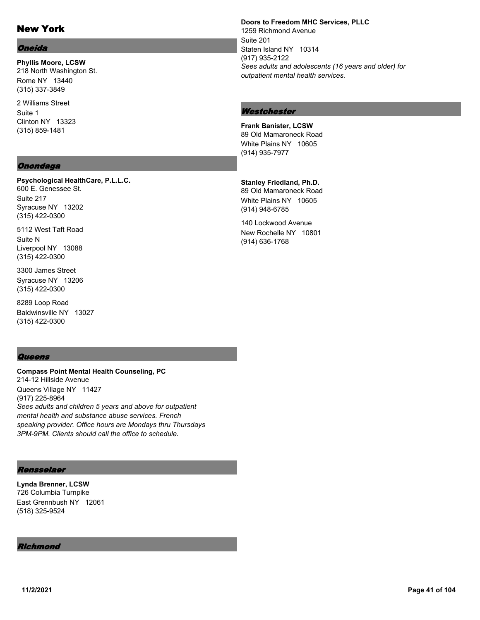# New York

### Oneida

**Phyllis Moore, LCSW** 218 North Washington St. Rome NY 13440 (315) 337-3849

2 Williams Street Suite 1 Clinton NY 13323 (315) 859-1481

# **Onondaga**

(315) 422-0300

**Psychological HealthCare, P.L.L.C.** 600 E. Genessee St. Suite 217 Syracuse NY 13202

5112 West Taft Road Suite N Liverpool NY 13088 (315) 422-0300

3300 James Street Syracuse NY 13206 (315) 422-0300

8289 Loop Road Baldwinsville NY 13027 (315) 422-0300

#### **Queens**

**Compass Point Mental Health Counseling, PC** 214-12 Hillside Avenue Queens Village NY 11427 (917) 225-8964 *Sees adults and children 5 years and above for outpatient mental health and substance abuse services. French speaking provider. Office hours are Mondays thru Thursdays 3PM-9PM. Clients should call the office to schedule.*

### Rensselaer

**Lynda Brenner, LCSW** 726 Columbia Turnpike East Grennbush NY 12061 (518) 325-9524

#### Richmond

**Doors to Freedom MHC Services, PLLC** 1259 Richmond Avenue Suite 201 Staten Island NY 10314 (917) 935-2122 *Sees adults and adolescents (16 years and older) for outpatient mental health services.*

#### **Westchester**

**Frank Banister, LCSW** 89 Old Mamaroneck Road White Plains NY 10605 (914) 935-7977

**Stanley Friedland, Ph.D.** 89 Old Mamaroneck Road White Plains NY 10605 (914) 948-6785

140 Lockwood Avenue New Rochelle NY 10801 (914) 636-1768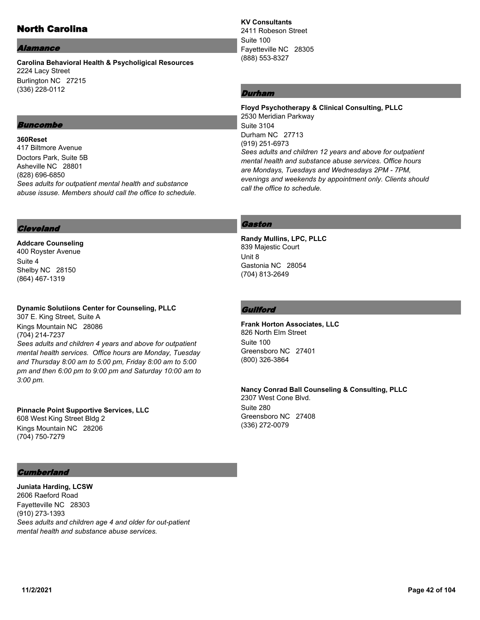# North Carolina

#### Alamance

**Carolina Behavioral Health & Psycholigical Resources** 2224 Lacy Street Burlington NC 27215 (336) 228-0112

# Buncombe

**360Reset** 417 Biltmore Avenue Doctors Park, Suite 5B Asheville NC 28801 (828) 696-6850 *Sees adults for outpatient mental health and substance abuse issuse. Members should call the office to schedule.*

### **Cleveland**

**Addcare Counseling** 400 Royster Avenue Suite 4 Shelby NC 28150 (864) 467-1319

### **Dynamic Solutiions Center for Counseling, PLLC**

307 E. King Street, Suite A Kings Mountain NC 28086 (704) 214-7237 *Sees adults and children 4 years and above for outpatient mental health services. Office hours are Monday, Tuesday and Thursday 8:00 am to 5:00 pm, Friday 8:00 am to 5:00 pm and then 6:00 pm to 9:00 pm and Saturday 10:00 am to 3:00 pm.*

**Pinnacle Point Supportive Services, LLC** 608 West King Street Bldg 2 Kings Mountain NC 28206 (704) 750-7279

### **Cumberland**

**Juniata Harding, LCSW** 2606 Raeford Road Fayetteville NC 28303 (910) 273-1393 *Sees adults and children age 4 and older for out-patient mental health and substance abuse services.*

**KV Consultants** 2411 Robeson Street Suite 100 Fayetteville NC 28305 (888) 553-8327

# Durham

**Floyd Psychotherapy & Clinical Consulting, PLLC** 2530 Meridian Parkway Suite 3104 Durham NC 27713 (919) 251-6973 *Sees adults and children 12 years and above for outpatient mental health and substance abuse services. Office hours are Mondays, Tuesdays and Wednesdays 2PM - 7PM, evenings and weekends by appointment only. Clients should call the office to schedule.*

# Gaston

**Randy Mullins, LPC, PLLC** 839 Majestic Court Unit 8 Gastonia NC 28054 (704) 813-2649

### **Guilford**

**Frank Horton Associates, LLC** 826 North Elm Street Suite 100 Greensboro NC 27401 (800) 326-3864

**Nancy Conrad Ball Counseling & Consulting, PLLC** 2307 West Cone Blvd. Suite 280 Greensboro NC 27408 (336) 272-0079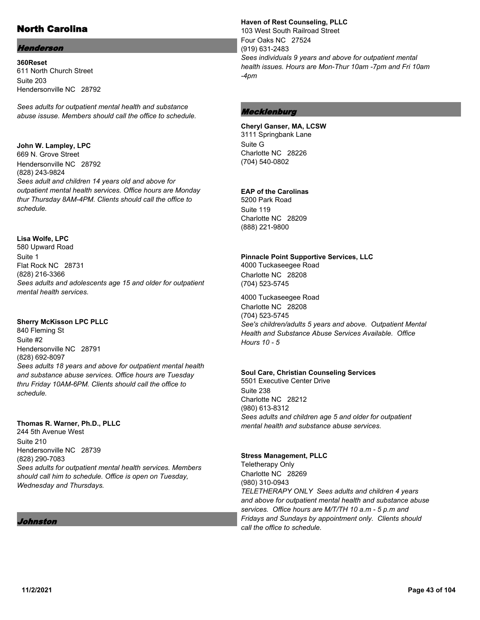# North Carolina

# Henderson

**360Reset** 611 North Church Street Suite 203 Hendersonville NC 28792

*Sees adults for outpatient mental health and substance abuse issuse. Members should call the office to schedule.*

# **John W. Lampley, LPC**

669 N. Grove Street Hendersonville NC 28792 (828) 243-9824 *Sees adult and children 14 years old and above for outpatient mental health services. Office hours are Monday thur Thursday 8AM-4PM. Clients should call the office to schedule.*

# **Lisa Wolfe, LPC**

580 Upward Road Suite 1 Flat Rock NC 28731 (828) 216-3366 *Sees adults and adolescents age 15 and older for outpatient mental health services.*

# **Sherry McKisson LPC PLLC**

840 Fleming St Suite #2 Hendersonville NC 28791 (828) 692-8097 *Sees adults 18 years and above for outpatient mental health and substance abuse services. Office hours are Tuesday thru Friday 10AM-6PM. Clients should call the office to schedule.*

#### **Thomas R. Warner, Ph.D., PLLC**

244 5th Avenue West Suite 210 Hendersonville NC 28739 (828) 290-7083 *Sees adults for outpatient mental health services. Members should call him to schedule. Office is open on Tuesday, Wednesday and Thursdays.*

# Johnston

#### **Haven of Rest Counseling, PLLC**

103 West South Railroad Street Four Oaks NC 27524 (919) 631-2483 *Sees individuals 9 years and above for outpatient mental health issues. Hours are Mon-Thur 10am -7pm and Fri 10am -4pm*

# **Mecklenburg**

**Cheryl Ganser, MA, LCSW** 3111 Springbank Lane Suite G Charlotte NC 28226 (704) 540-0802

# **EAP of the Carolinas**

5200 Park Road Suite 119 Charlotte NC 28209 (888) 221-9800

### **Pinnacle Point Supportive Services, LLC**

4000 Tuckaseegee Road Charlotte NC 28208 (704) 523-5745

4000 Tuckaseegee Road Charlotte NC 28208 (704) 523-5745 *See's children/adults 5 years and above. Outpatient Mental Health and Substance Abuse Services Available. Office Hours 10 - 5*

#### **Soul Care, Christian Counseling Services**

5501 Executive Center Drive Suite 238 Charlotte NC 28212 (980) 613-8312 *Sees adults and children age 5 and older for outpatient mental health and substance abuse services.*

#### **Stress Management, PLLC**

Teletherapy Only Charlotte NC 28269 (980) 310-0943 *TELETHERAPY ONLY Sees adults and children 4 years and above for outpatient mental health and substance abuse services. Office hours are M/T/TH 10 a.m - 5 p.m and Fridays and Sundays by appointment only. Clients should call the office to schedule.*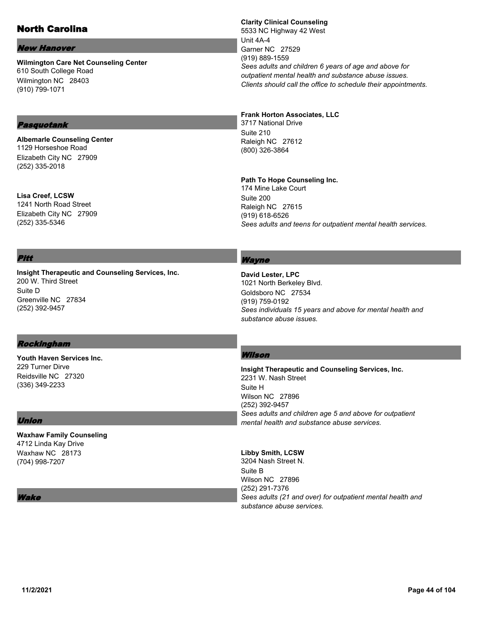# North Carolina

#### New Hanover

**Wilmington Care Net Counseling Center** 610 South College Road Wilmington NC 28403 (910) 799-1071

# Pasquotank

**Albemarle Counseling Center** 1129 Horseshoe Road Elizabeth City NC 27909 (252) 335-2018

**Lisa Creef, LCSW** 1241 North Road Street Elizabeth City NC 27909 (252) 335-5346

# **Clarity Clinical Counseling**

5533 NC Highway 42 West Unit 4A-4 Garner NC 27529 (919) 889-1559 *Sees adults and children 6 years of age and above for outpatient mental health and substance abuse issues. Clients should call the office to schedule their appointments.*

#### **Frank Horton Associates, LLC**

3717 National Drive Suite 210 Raleigh NC 27612 (800) 326-3864

#### **Path To Hope Counseling Inc.**

174 Mine Lake Court Suite 200 Raleigh NC 27615 (919) 618-6526 *Sees adults and teens for outpatient mental health services.*

### Pitt

**Insight Therapeutic and Counseling Services, Inc.** 200 W. Third Street Suite D Greenville NC 27834 (252) 392-9457

# Wayne

**David Lester, LPC** 1021 North Berkeley Blvd. Goldsboro NC 27534 (919) 759-0192 *Sees individuals 15 years and above for mental health and substance abuse issues.*

#### Rockingham

**Youth Haven Services Inc.** 229 Turner Dirve Reidsville NC 27320 (336) 349-2233

#### Union

**Waxhaw Family Counseling** 4712 Linda Kay Drive Waxhaw NC 28173 (704) 998-7207

#### Wake

# Wilson

**Insight Therapeutic and Counseling Services, Inc.** 2231 W. Nash Street Suite H Wilson NC 27896 (252) 392-9457 *Sees adults and children age 5 and above for outpatient mental health and substance abuse services.*

#### **Libby Smith, LCSW**

3204 Nash Street N. Suite B Wilson NC 27896 (252) 291-7376 *Sees adults (21 and over) for outpatient mental health and substance abuse services.*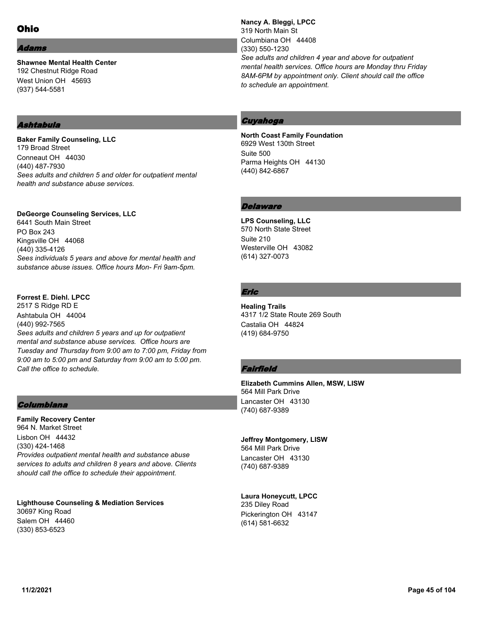### dams

**Shawnee Mental Health Center** 192 Chestnut Ridge Road West Union OH 45693 (937) 544-5581

### Ashtabula

**Baker Family Counseling, LLC** 179 Broad Street Conneaut OH 44030 (440) 487-7930 *Sees adults and children 5 and older for outpatient mental health and substance abuse services.*

### **DeGeorge Counseling Services, LLC**

6441 South Main Street PO Box 243 Kingsville OH 44068 (440) 335-4126 *Sees individuals 5 years and above for mental health and substance abuse issues. Office hours Mon- Fri 9am-5pm.*

### **Forrest E. Diehl. LPCC**

2517 S Ridge RD E Ashtabula OH 44004 (440) 992-7565 *Sees adults and children 5 years and up for outpatient mental and substance abuse services. Office hours are Tuesday and Thursday from 9:00 am to 7:00 pm, Friday from 9:00 am to 5:00 pm and Saturday from 9:00 am to 5:00 pm. Call the office to schedule.*

# Columbiana

**Family Recovery Center** 964 N. Market Street Lisbon OH 44432 (330) 424-1468 *Provides outpatient mental health and substance abuse services to adults and children 8 years and above. Clients should call the office to schedule their appointment.*

**Lighthouse Counseling & Mediation Services** 30697 King Road Salem OH 44460 (330) 853-6523

**Nancy A. Bleggi, LPCC** 319 North Main St Columbiana OH 44408 (330) 550-1230 *See adults and children 4 year and above for outpatient mental health services. Office hours are Monday thru Friday 8AM-6PM by appointment only. Client should call the office to schedule an appointment.*

# Cuyahoga

**North Coast Family Foundation** 6929 West 130th Street Suite 500 Parma Heights OH 44130 (440) 842-6867

# Delaware

**LPS Counseling, LLC** 570 North State Street Suite 210 Westerville OH 43082 (614) 327-0073

# Eric

**Healing Trails** 4317 1/2 State Route 269 South Castalia OH 44824 (419) 684-9750

# **Fairfield**

**Elizabeth Cummins Allen, MSW, LISW** 564 Mill Park Drive Lancaster OH 43130 (740) 687-9389

#### **Jeffrey Montgomery, LISW**

564 Mill Park Drive Lancaster OH 43130 (740) 687-9389

# **Laura Honeycutt, LPCC**

235 Diley Road Pickerington OH 43147 (614) 581-6632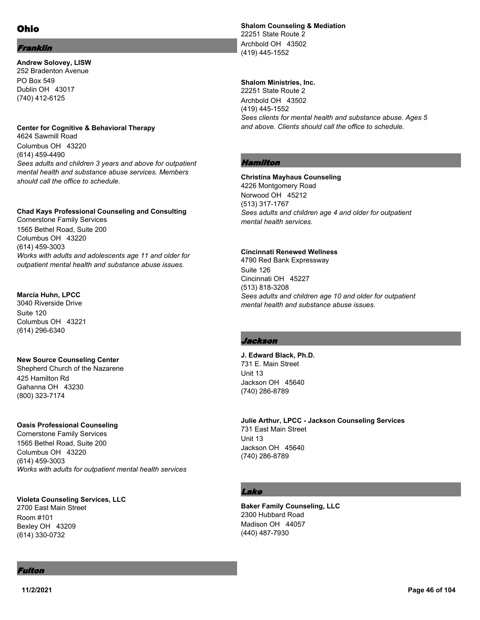# Franklin

**Andrew Solovey, LISW** 252 Bradenton Avenue PO Box 549 Dublin OH 43017 (740) 412-6125

### **Center for Cognitive & Behavioral Therapy**

4624 Sawmill Road Columbus OH 43220 (614) 459-4490 *Sees adults and children 3 years and above for outpatient mental health and substance abuse services. Members should call the office to schedule.*

# **Chad Kays Professional Counseling and Consulting**

Cornerstone Family Services 1565 Bethel Road, Suite 200 Columbus OH 43220 (614) 459-3003 *Works with adults and adolescents age 11 and older for outpatient mental health and substance abuse issues.*

# **Marcia Huhn, LPCC**

3040 Riverside Drive Suite 120 Columbus OH 43221 (614) 296-6340

# **New Source Counseling Center**

Shepherd Church of the Nazarene 425 Hamilton Rd Gahanna OH 43230 (800) 323-7174

#### **Oasis Professional Counseling**

Cornerstone Family Services 1565 Bethel Road, Suite 200 Columbus OH 43220 (614) 459-3003 *Works with adults for outpatient mental health services*

### **Violeta Counseling Services, LLC**

2700 East Main Street Room #101 Bexley OH 43209 (614) 330-0732

**Shalom Counseling & Mediation** 22251 State Route 2 Archbold OH 43502 (419) 445-1552

### **Shalom Ministries, Inc.**

22251 State Route 2 Archbold OH 43502 (419) 445-1552 *Sees clients for mental health and substance abuse. Ages 5 and above. Clients should call the office to schedule.*

# Hamilton

#### **Christina Mayhaus Counseling**

4226 Montgomery Road Norwood OH 45212 (513) 317-1767 *Sees adults and children age 4 and older for outpatient mental health services.*

#### **Cincinnati Renewed Wellness**

4790 Red Bank Expressway Suite 126 Cincinnati OH 45227 (513) 818-3208 *Sees adults and children age 10 and older for outpatient mental health and substance abuse issues.*

# Jackson

**J. Edward Black, Ph.D.** 731 E. Main Street Unit 13 Jackson OH 45640 (740) 286-8789

**Julie Arthur, LPCC - Jackson Counseling Services** 731 East Main Street Unit 13 Jackson OH 45640 (740) 286-8789

# Lake

**Baker Family Counseling, LLC** 2300 Hubbard Road Madison OH 44057 (440) 487-7930

# Fulton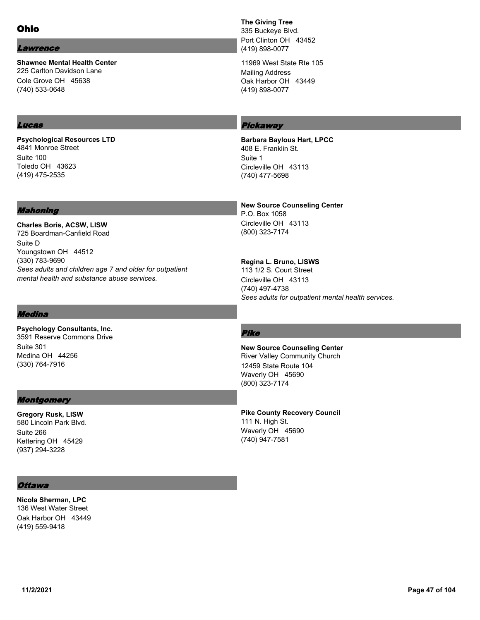#### Lawrence

**Shawnee Mental Health Center** 225 Carlton Davidson Lane Cole Grove OH 45638 (740) 533-0648

### Lucas

**Psychological Resources LTD** 4841 Monroe Street Suite 100 Toledo OH 43623 (419) 475-2535

#### Mahoning

**Charles Boris, ACSW, LISW** 725 Boardman-Canfield Road Suite D Youngstown OH 44512 (330) 783-9690 *Sees adults and children age 7 and older for outpatient mental health and substance abuse services.*

### Medina

**Psychology Consultants, Inc.** 3591 Reserve Commons Drive Suite 301 Medina OH 44256 (330) 764-7916

# **Montgomery**

**Gregory Rusk, LISW** 580 Lincoln Park Blvd. Suite 266 Kettering OH 45429 (937) 294-3228

# **The Giving Tree**

335 Buckeye Blvd. Port Clinton OH 43452 (419) 898-0077

11969 West State Rte 105 Mailing Address Oak Harbor OH 43449 (419) 898-0077

# Pickaway

**Barbara Baylous Hart, LPCC** 408 E. Franklin St. Suite 1 Circleville OH 43113 (740) 477-5698

**New Source Counseling Center** P.O. Box 1058 Circleville OH 43113 (800) 323-7174

**Regina L. Bruno, LISWS** 113 1/2 S. Court Street Circleville OH 43113 (740) 497-4738 *Sees adults for outpatient mental health services.*

# Pike

**New Source Counseling Center** River Valley Community Church 12459 State Route 104 Waverly OH 45690 (800) 323-7174

**Pike County Recovery Council** 111 N. High St. Waverly OH 45690 (740) 947-7581

# **Ottawa**

**Nicola Sherman, LPC** 136 West Water Street Oak Harbor OH 43449 (419) 559-9418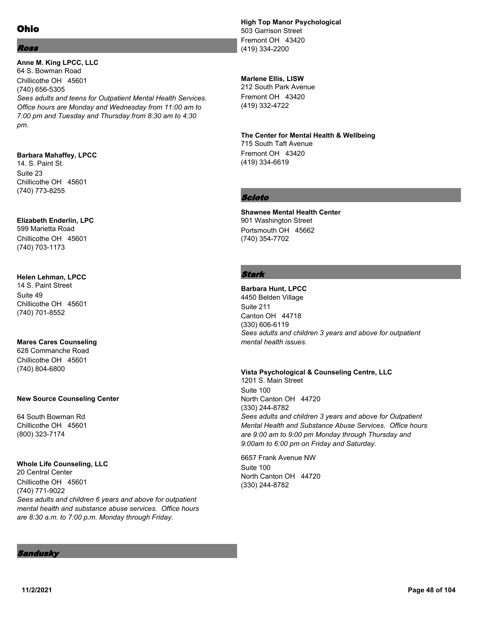# Ross

**Anne M. King LPCC, LLC** 64 S. Bowman Road Chillicothe OH 45601 (740) 656-5305 *Sees adults and teens for Outpatient Mental Health Services. Office hours are Monday and Wednesday from 11:00 am to 7:00 pm and Tuesday and Thursday from 8:30 am to 4:30 pm.*

# **Barbara Mahaffey, LPCC**

14. S. Paint St. Suite 23 Chillicothe OH 45601 (740) 773-8255

# **Elizabeth Enderlin, LPC**

599 Marietta Road Chillicothe OH 45601 (740) 703-1173

# **Helen Lehman, LPCC**

14 S. Paint Street Suite 49 Chillicothe OH 45601 (740) 701-8552

# **Mares Cares Counseling**

628 Commanche Road Chillicothe OH 45601 (740) 804-6800

# **New Source Counseling Center**

64 South Bowman Rd Chillicothe OH 45601 (800) 323-7174

# **Whole Life Counseling, LLC**

20 Central Center Chillicothe OH 45601 (740) 771-9022 *Sees adults and children 6 years and above for outpatient mental health and substance abuse services. Office hours are 8:30 a.m. to 7:00 p.m. Monday through Friday.*

# **High Top Manor Psychological** 503 Garrison Street Fremont OH 43420 (419) 334-2200

# **Marlene Ellis, LISW**

212 South Park Avenue Fremont OH 43420 (419) 332-4722

# **The Center for Mental Health & Wellbeing**

715 South Taft Avenue Fremont OH 43420 (419) 334-6619

# Scioto

**Shawnee Mental Health Center** 901 Washington Street Portsmouth OH 45662 (740) 354-7702

# Stark

**Barbara Hunt, LPCC** 4450 Belden Village Suite 211 Canton OH 44718 (330) 606-6119 *Sees adults and children 3 years and above for outpatient mental health issues.*

# **Vista Psychological & Counseling Centre, LLC**

1201 S. Main Street Suite 100 North Canton OH 44720 (330) 244-8782 *Sees adults and children 3 years and above for Outpatient Mental Health and Substance Abuse Services. Office hours are 9:00 am to 9:00 pm Monday through Thursday and 9:00am to 6:00 pm on Friday and Saturday.*

6657 Frank Avenue NW Suite 100 North Canton OH 44720 (330) 244-8782

#### Sandusky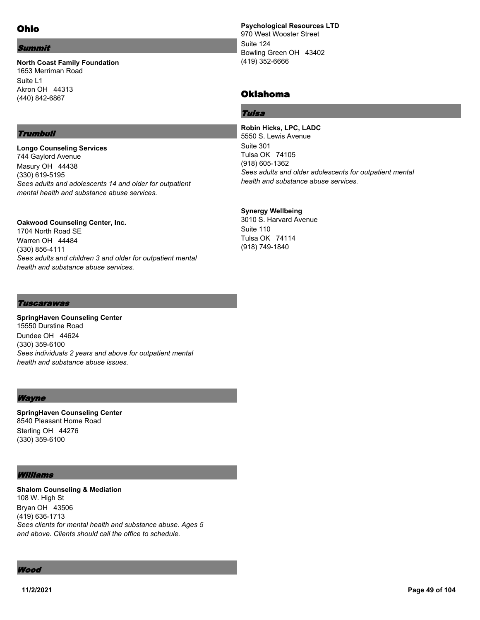### Summit

#### **North Coast Family Foundation** 1653 Merriman Road Suite L1 Akron OH 44313 (440) 842-6867

# **Trumbull**

**Longo Counseling Services** 744 Gaylord Avenue Masury OH 44438 (330) 619-5195 *Sees adults and adolescents 14 and older for outpatient mental health and substance abuse services.*

**Oakwood Counseling Center, Inc.** 1704 North Road SE Warren OH 44484 (330) 856-4111 *Sees adults and children 3 and older for outpatient mental health and substance abuse services.*

**Psychological Resources LTD** 970 West Wooster Street Suite 124 Bowling Green OH 43402 (419) 352-6666

# Oklahoma

# Tulsa

**Robin Hicks, LPC, LADC** 5550 S. Lewis Avenue Suite 301 Tulsa OK 74105 (918) 605-1362 *Sees adults and older adolescents for outpatient mental health and substance abuse services.*

# **Synergy Wellbeing**

3010 S. Harvard Avenue Suite 110 Tulsa OK 74114 (918) 749-1840

#### Tuscarawas

**SpringHaven Counseling Center** 15550 Durstine Road Dundee OH 44624 (330) 359-6100 *Sees individuals 2 years and above for outpatient mental health and substance abuse issues.*

#### Wayne

**SpringHaven Counseling Center** 8540 Pleasant Home Road Sterling OH 44276 (330) 359-6100

#### Williams

**Shalom Counseling & Mediation** 108 W. High St Bryan OH 43506 (419) 636-1713 *Sees clients for mental health and substance abuse. Ages 5 and above. Clients should call the office to schedule.*

Wood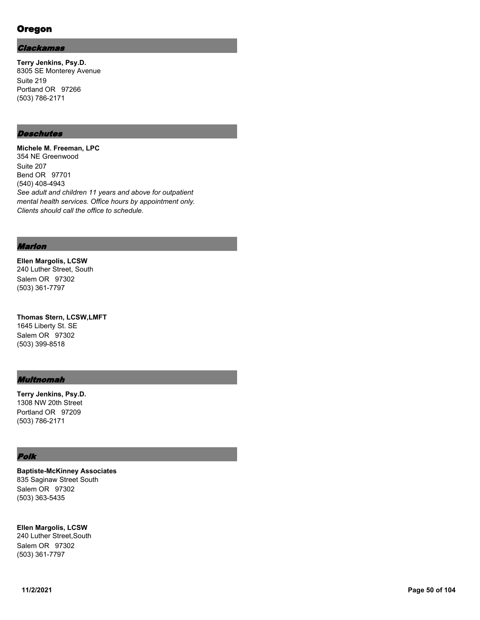# Oregon

#### Clackamas

**Terry Jenkins, Psy.D.** 8305 SE Monterey Avenue Suite 219 Portland OR 97266 (503) 786-2171

# **Deschutes**

**Michele M. Freeman, LPC** 354 NE Greenwood Suite 207 Bend OR 97701 (540) 408-4943 *See adult and children 11 years and above for outpatient mental health services. Office hours by appointment only. Clients should call the office to schedule.*

#### Marion

**Ellen Margolis, LCSW** 240 Luther Street, South Salem OR 97302 (503) 361-7797

**Thomas Stern, LCSW,LMFT** 1645 Liberty St. SE Salem OR 97302 (503) 399-8518

#### Multnomah

**Terry Jenkins, Psy.D.** 1308 NW 20th Street Portland OR 97209 (503) 786-2171

### Polk

**Baptiste-McKinney Associates** 835 Saginaw Street South Salem OR 97302 (503) 363-5435

**Ellen Margolis, LCSW** 240 Luther Street,South Salem OR 97302

(503) 361-7797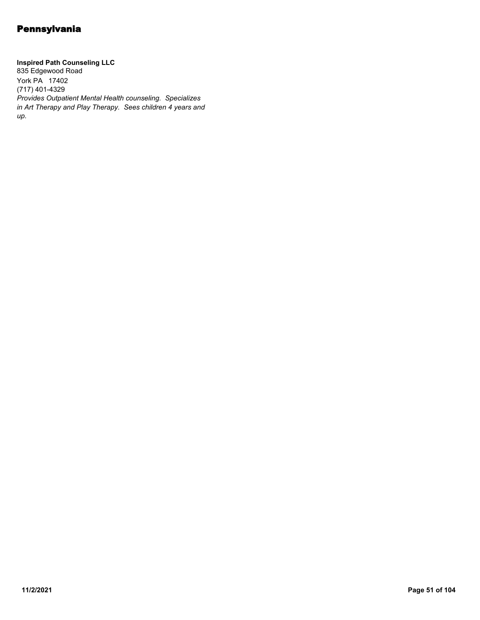**Inspired Path Counseling LLC** 835 Edgewood Road York PA 17402 (717) 401-4329 *Provides Outpatient Mental Health counseling. Specializes in Art Therapy and Play Therapy. Sees children 4 years and up.*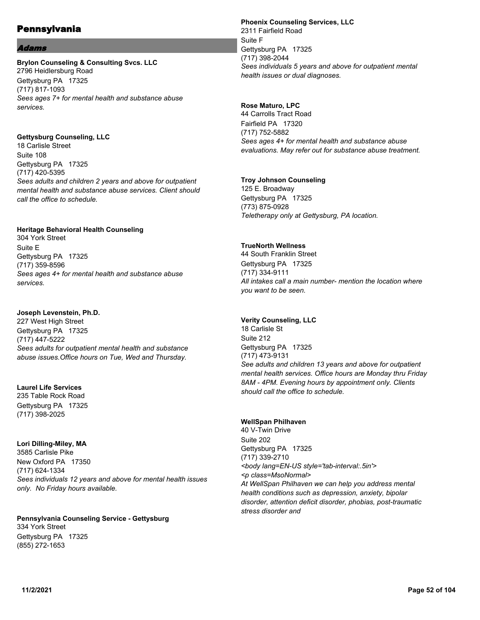#### l*dams*

### **Brylon Counseling & Consulting Svcs. LLC** 2796 Heidlersburg Road Gettysburg PA 17325 (717) 817-1093 *Sees ages 7+ for mental health and substance abuse services.*

**Gettysburg Counseling, LLC**

18 Carlisle Street Suite 108 Gettysburg PA 17325 (717) 420-5395 *Sees adults and children 2 years and above for outpatient mental health and substance abuse services. Client should call the office to schedule.*

### **Heritage Behavioral Health Counseling**

304 York Street Suite E Gettysburg PA 17325 (717) 359-8596 *Sees ages 4+ for mental health and substance abuse services.*

# **Joseph Levenstein, Ph.D.**

227 West High Street Gettysburg PA 17325 (717) 447-5222 *Sees adults for outpatient mental health and substance abuse issues.Office hours on Tue, Wed and Thursday.*

# **Laurel Life Services**

235 Table Rock Road Gettysburg PA 17325 (717) 398-2025

#### **Lori Dilling-Miley, MA**

3585 Carlisle Pike New Oxford PA 17350 (717) 624-1334 *Sees individuals 12 years and above for mental health issues only. No Friday hours available.*

**Pennsylvania Counseling Service - Gettysburg** 334 York Street Gettysburg PA 17325 (855) 272-1653

#### **Phoenix Counseling Services, LLC** 2311 Fairfield Road Suite F Gettysburg PA 17325 (717) 398-2044 *Sees individuals 5 years and above for outpatient mental health issues or dual diagnoses.*

# **Rose Maturo, LPC**

44 Carrolls Tract Road Fairfield PA 17320 (717) 752-5882 *Sees ages 4+ for mental health and substance abuse evaluations. May refer out for substance abuse treatment.*

### **Troy Johnson Counseling**

125 E. Broadway Gettysburg PA 17325 (773) 875-0928 *Teletherapy only at Gettysburg, PA location.*

# **TrueNorth Wellness**

44 South Franklin Street Gettysburg PA 17325 (717) 334-9111 *All intakes call a main number- mention the location where you want to be seen.*

# **Verity Counseling, LLC**

18 Carlisle St Suite 212 Gettysburg PA 17325 (717) 473-9131 *See adults and children 13 years and above for outpatient mental health services. Office hours are Monday thru Friday 8AM - 4PM. Evening hours by appointment only. Clients should call the office to schedule.*

#### **WellSpan Philhaven**

40 V-Twin Drive Suite 202 Gettysburg PA 17325 (717) 339-2710 *<body lang=EN-US style='tab-interval:.5in'> <p class=MsoNormal> At WellSpan Philhaven we can help you address mental health conditions such as depression, anxiety, bipolar disorder, attention deficit disorder, phobias, post-traumatic stress disorder and*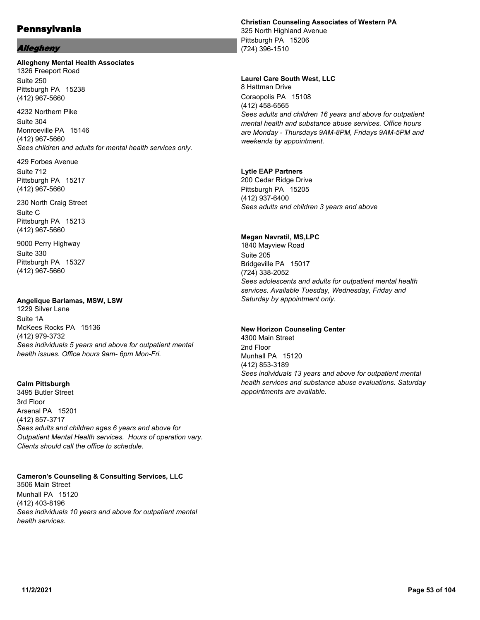### Allegheny

#### **Allegheny Mental Health Associates**

1326 Freeport Road Suite 250 Pittsburgh PA 15238 (412) 967-5660

4232 Northern Pike Suite 304 Monroeville PA 15146 (412) 967-5660 *Sees children and adults for mental health services only.*

429 Forbes Avenue Suite 712 Pittsburgh PA 15217 (412) 967-5660

230 North Craig Street Suite C Pittsburgh PA 15213 (412) 967-5660

9000 Perry Highway Suite 330 Pittsburgh PA 15327 (412) 967-5660

#### **Angelique Barlamas, MSW, LSW**

1229 Silver Lane Suite 1A McKees Rocks PA 15136 (412) 979-3732 *Sees individuals 5 years and above for outpatient mental health issues. Office hours 9am- 6pm Mon-Fri.*

#### **Calm Pittsburgh**

3495 Butler Street 3rd Floor Arsenal PA 15201 (412) 857-3717 *Sees adults and children ages 6 years and above for Outpatient Mental Health services. Hours of operation vary. Clients should call the office to schedule.*

**Cameron's Counseling & Consulting Services, LLC** 3506 Main Street Munhall PA 15120 (412) 403-8196 *Sees individuals 10 years and above for outpatient mental health services.*

#### **Christian Counseling Associates of Western PA** 325 North Highland Avenue

Pittsburgh PA 15206 (724) 396-1510

#### **Laurel Care South West, LLC**

8 Hattman Drive Coraopolis PA 15108 (412) 458-6565 *Sees adults and children 16 years and above for outpatient mental health and substance abuse services. Office hours are Monday - Thursdays 9AM-8PM, Fridays 9AM-5PM and weekends by appointment.*

#### **Lytle EAP Partners**

200 Cedar Ridge Drive Pittsburgh PA 15205 (412) 937-6400 *Sees adults and children 3 years and above*

#### **Megan Navratil, MS,LPC**

1840 Mayview Road Suite 205 Bridgeville PA 15017 (724) 338-2052 *Sees adolescents and adults for outpatient mental health services. Available Tuesday, Wednesday, Friday and Saturday by appointment only.*

# **New Horizon Counseling Center**

4300 Main Street 2nd Floor Munhall PA 15120 (412) 853-3189 *Sees individuals 13 years and above for outpatient mental health services and substance abuse evaluations. Saturday appointments are available.*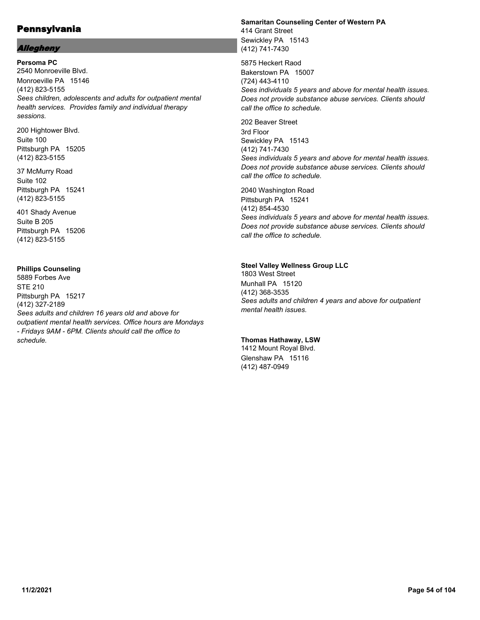# Allegheny

**Persoma PC** 2540 Monroeville Blvd. Monroeville PA 15146 (412) 823-5155 *Sees children, adolescents and adults for outpatient mental health services. Provides family and individual therapy sessions.*

200 Hightower Blvd. Suite 100 Pittsburgh PA 15205 (412) 823-5155

37 McMurry Road Suite 102 Pittsburgh PA 15241 (412) 823-5155

401 Shady Avenue Suite B 205 Pittsburgh PA 15206 (412) 823-5155

### **Phillips Counseling**

5889 Forbes Ave STE 210 Pittsburgh PA 15217 (412) 327-2189 *Sees adults and children 16 years old and above for outpatient mental health services. Office hours are Mondays - Fridays 9AM - 6PM. Clients should call the office to schedule.*

#### **Samaritan Counseling Center of Western PA** 414 Grant Street Sewickley PA 15143 (412) 741-7430

5875 Heckert Raod Bakerstown PA 15007 (724) 443-4110 *Sees individuals 5 years and above for mental health issues. Does not provide substance abuse services. Clients should call the office to schedule.*

202 Beaver Street 3rd Floor Sewickley PA 15143 (412) 741-7430 *Sees individuals 5 years and above for mental health issues. Does not provide substance abuse services. Clients should call the office to schedule.*

2040 Washington Road Pittsburgh PA 15241 (412) 854-4530 *Sees individuals 5 years and above for mental health issues. Does not provide substance abuse services. Clients should call the office to schedule.*

# **Steel Valley Wellness Group LLC**

1803 West Street Munhall PA 15120 (412) 368-3535 *Sees adults and children 4 years and above for outpatient mental health issues.*

# **Thomas Hathaway, LSW**

1412 Mount Royal Blvd. Glenshaw PA 15116 (412) 487-0949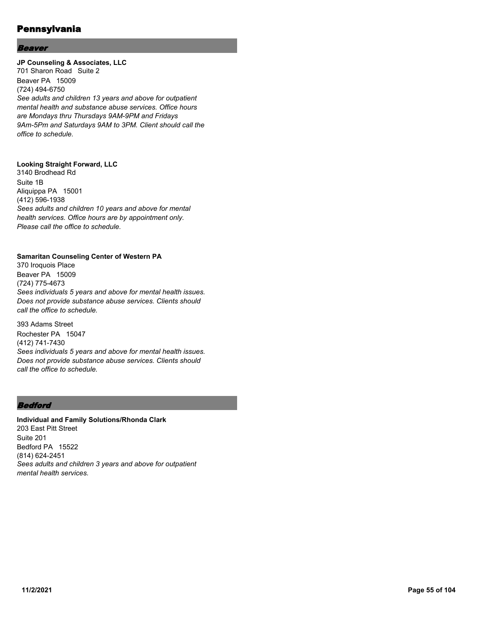### Beaver

### **JP Counseling & Associates, LLC**

701 Sharon Road Suite 2 Beaver PA 15009 (724) 494-6750 *See adults and children 13 years and above for outpatient mental health and substance abuse services. Office hours are Mondays thru Thursdays 9AM-9PM and Fridays 9Am-5Pm and Saturdays 9AM to 3PM. Client should call the office to schedule.*

# **Looking Straight Forward, LLC**

3140 Brodhead Rd Suite 1B Aliquippa PA 15001 (412) 596-1938 *Sees adults and children 10 years and above for mental health services. Office hours are by appointment only. Please call the office to schedule.*

#### **Samaritan Counseling Center of Western PA**

370 Iroquois Place Beaver PA 15009 (724) 775-4673 *Sees individuals 5 years and above for mental health issues. Does not provide substance abuse services. Clients should call the office to schedule.*

393 Adams Street Rochester PA 15047 (412) 741-7430 *Sees individuals 5 years and above for mental health issues. Does not provide substance abuse services. Clients should call the office to schedule.*

# Bedford

**Individual and Family Solutions/Rhonda Clark** 203 East Pitt Street Suite 201 Bedford PA 15522 (814) 624-2451 *Sees adults and children 3 years and above for outpatient mental health services.*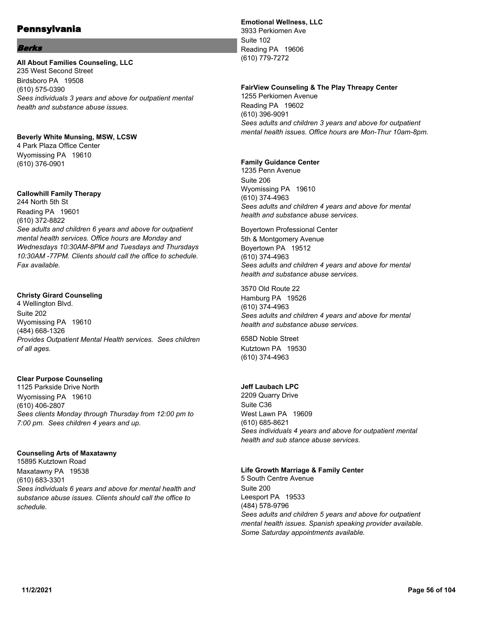#### **Berks**

### **All About Families Counseling, LLC** 235 West Second Street Birdsboro PA 19508

(610) 575-0390 *Sees individuals 3 years and above for outpatient mental health and substance abuse issues.*

#### **Beverly White Munsing, MSW, LCSW** 4 Park Plaza Office Center

Wyomissing PA 19610 (610) 376-0901

# **Callowhill Family Therapy**

244 North 5th St Reading PA 19601 (610) 372-8822 *See adults and children 6 years and above for outpatient mental health services. Office hours are Monday and Wednesdays 10:30AM-8PM and Tuesdays and Thursdays 10:30AM -77PM. Clients should call the office to schedule. Fax available.*

# **Christy Girard Counseling**

4 Wellington Blvd. Suite 202 Wyomissing PA 19610 (484) 668-1326 *Provides Outpatient Mental Health services. Sees children of all ages.*

# **Clear Purpose Counseling**

1125 Parkside Drive North Wyomissing PA 19610 (610) 406-2807 *Sees clients Monday through Thursday from 12:00 pm to 7:00 pm. Sees children 4 years and up.*

# **Counseling Arts of Maxatawny**

15895 Kutztown Road Maxatawny PA 19538 (610) 683-3301 *Sees individuals 6 years and above for mental health and substance abuse issues. Clients should call the office to schedule.*

# **Emotional Wellness, LLC**

3933 Perkiomen Ave Suite 102 Reading PA 19606 (610) 779-7272

#### **FairView Counseling & The Play Threapy Center**

1255 Perkiomen Avenue Reading PA 19602 (610) 396-9091 *Sees adults and children 3 years and above for outpatient mental health issues. Office hours are Mon-Thur 10am-8pm.*

### **Family Guidance Center**

1235 Penn Avenue Suite 206 Wyomissing PA 19610 (610) 374-4963 *Sees adults and children 4 years and above for mental health and substance abuse services.*

Boyertown Professional Center 5th & Montgomery Avenue Boyertown PA 19512 (610) 374-4963 *Sees adults and children 4 years and above for mental health and substance abuse services.*

3570 Old Route 22 Hamburg PA 19526 (610) 374-4963 *Sees adults and children 4 years and above for mental health and substance abuse services.*

658D Noble Street Kutztown PA 19530 (610) 374-4963

# **Jeff Laubach LPC**

2209 Quarry Drive Suite C36 West Lawn PA 19609 (610) 685-8621 *Sees individuals 4 years and above for outpatient mental health and sub stance abuse services.*

#### **Life Growth Marriage & Family Center**

5 South Centre Avenue Suite 200 Leesport PA 19533 (484) 578-9796 *Sees adults and children 5 years and above for outpatient mental health issues. Spanish speaking provider available. Some Saturday appointments available.*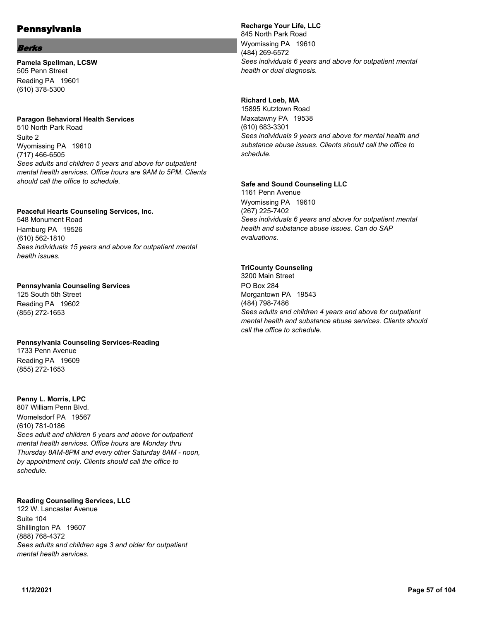### **Berks**

**Pamela Spellman, LCSW** 505 Penn Street Reading PA 19601 (610) 378-5300

### **Paragon Behavioral Health Services**

510 North Park Road Suite 2 Wyomissing PA 19610 (717) 466-6505 *Sees adults and children 5 years and above for outpatient mental health services. Office hours are 9AM to 5PM. Clients should call the office to schedule.*

# **Peaceful Hearts Counseling Services, Inc.**

548 Monument Road Hamburg PA 19526 (610) 562-1810 *Sees individuals 15 years and above for outpatient mental health issues.*

### **Pennsylvania Counseling Services**

125 South 5th Street Reading PA 19602 (855) 272-1653

# **Pennsylvania Counseling Services-Reading**

1733 Penn Avenue Reading PA 19609 (855) 272-1653

# **Penny L. Morris, LPC**

807 William Penn Blvd. Womelsdorf PA 19567 (610) 781-0186 *Sees adult and children 6 years and above for outpatient mental health services. Office hours are Monday thru Thursday 8AM-8PM and every other Saturday 8AM - noon, by appointment only. Clients should call the office to schedule.*

# **Reading Counseling Services, LLC**

122 W. Lancaster Avenue Suite 104 Shillington PA 19607 (888) 768-4372 *Sees adults and children age 3 and older for outpatient mental health services.*

**Recharge Your Life, LLC** 845 North Park Road Wyomissing PA 19610 (484) 269-6572 *Sees individuals 6 years and above for outpatient mental health or dual diagnosis.*

### **Richard Loeb, MA**

15895 Kutztown Road Maxatawny PA 19538 (610) 683-3301 *Sees individuals 9 years and above for mental health and substance abuse issues. Clients should call the office to schedule.*

### **Safe and Sound Counseling LLC**

1161 Penn Avenue Wyomissing PA 19610 (267) 225-7402 *Sees individuals 6 years and above for outpatient mental health and substance abuse issues. Can do SAP evaluations.*

# **TriCounty Counseling**

3200 Main Street PO Box 284 Morgantown PA 19543 (484) 798-7486 *Sees adults and children 4 years and above for outpatient mental health and substance abuse services. Clients should call the office to schedule.*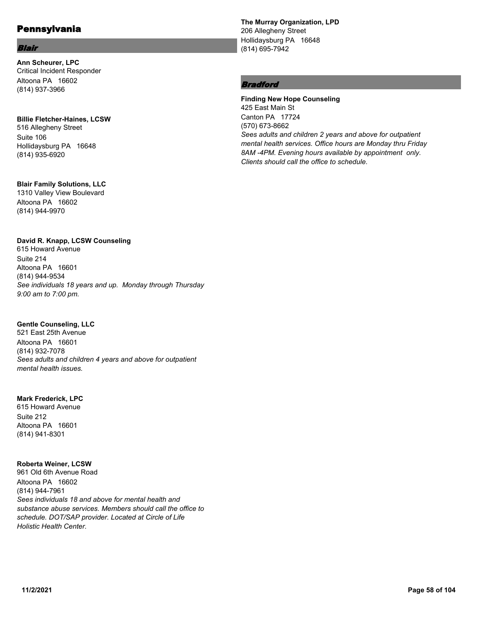# Blair

**Ann Scheurer, LPC** Critical Incident Responder Altoona PA 16602 (814) 937-3966

# **Billie Fletcher-Haines, LCSW**

516 Allegheny Street Suite 106 Hollidaysburg PA 16648 (814) 935-6920

# **Blair Family Solutions, LLC**

1310 Valley View Boulevard Altoona PA 16602 (814) 944-9970

# **David R. Knapp, LCSW Counseling**

615 Howard Avenue Suite 214 Altoona PA 16601 (814) 944-9534 *See individuals 18 years and up. Monday through Thursday 9:00 am to 7:00 pm.*

# **Gentle Counseling, LLC**

521 East 25th Avenue Altoona PA 16601 (814) 932-7078 *Sees adults and children 4 years and above for outpatient mental health issues.*

# **Mark Frederick, LPC**

615 Howard Avenue Suite 212 Altoona PA 16601 (814) 941-8301

# **Roberta Weiner, LCSW**

961 Old 6th Avenue Road Altoona PA 16602 (814) 944-7961 *Sees individuals 18 and above for mental health and substance abuse services. Members should call the office to schedule. DOT/SAP provider. Located at Circle of Life Holistic Health Center.*

**The Murray Organization, LPD** 206 Allegheny Street Hollidaysburg PA 16648 (814) 695-7942

# **Bradford**

**Finding New Hope Counseling** 425 East Main St Canton PA 17724 (570) 673-8662 *Sees adults and children 2 years and above for outpatient mental health services. Office hours are Monday thru Friday 8AM -4PM. Evening hours available by appointment only. Clients should call the office to schedule.*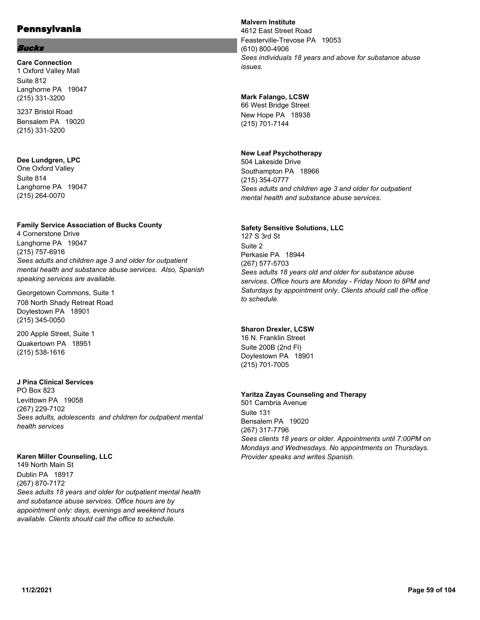### Bucks

**Care Connection** 1 Oxford Valley Mall Suite 812 Langhorne PA 19047 (215) 331-3200

3237 Bristol Road Bensalem PA 19020 (215) 331-3200

# **Dee Lundgren, LPC**

One Oxford Valley Suite 814 Langhorne PA 19047 (215) 264-0070

# **Family Service Association of Bucks County**

4 Cornerstone Drive Langhorne PA 19047 (215) 757-6916 *Sees adults and children age 3 and older for outpatient mental health and substance abuse services. Also, Spanish speaking services are available.*

Georgetown Commons, Suite 1 708 North Shady Retreat Road Doylestown PA 18901 (215) 345-0050

200 Apple Street, Suite 1 Quakertown PA 18951 (215) 538-1616

# **J Pina Clinical Services**

PO Box 823 Levittown PA 19058 (267) 229-7102 *Sees adults, adolescents and children for outpatient mental health services*

# **Karen Miller Counseling, LLC**

149 North Main St Dublin PA 18917 (267) 870-7172 *Sees adults 18 years and older for outpatient mental health and substance abuse services. Office hours are by appointment only: days, evenings and weekend hours available. Clients should call the office to schedule.*

# **Malvern Institute**

4612 East Street Road Feasterville-Trevose PA 19053 (610) 800-4906 *Sees individuals 18 years and above for substance abuse issues.*

# **Mark Falango, LCSW**

66 West Bridge Street New Hope PA 18938 (215) 701-7144

# **New Leaf Psychotherapy**

504 Lakeside Drive Southampton PA 18966 (215) 354-0777 *Sees adults and children age 3 and older for outpatient mental health and substance abuse services.*

# **Safety Sensitive Solutions, LLC**

127 S 3rd St Suite 2 Perkasie PA 18944 (267) 577-5703 *Sees adults 18 years old and older for substance abuse services. Office hours are Monday - Friday Noon to 8PM and Saturdays by appointment only. Clients should call the office to schedule.*

# **Sharon Drexler, LCSW**

16 N. Franklin Street Suite 200B (2nd Fl) Doylestown PA 18901 (215) 701-7005

# **Yaritza Zayas Counseling and Therapy**

501 Cambria Avenue Suite 131 Bensalem PA 19020 (267) 317-7796 *Sees clients 18 years or older. Appointments until 7:00PM on Mondays and Wednesdays. No appointments on Thursdays. Provider speaks and writes Spanish.*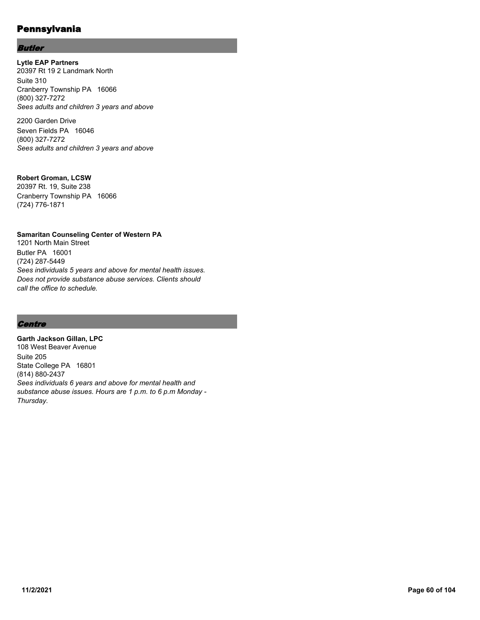# Butler

**Lytle EAP Partners** 20397 Rt 19 2 Landmark North Suite 310 Cranberry Township PA 16066 (800) 327-7272 *Sees adults and children 3 years and above*

2200 Garden Drive Seven Fields PA 16046 (800) 327-7272 *Sees adults and children 3 years and above*

### **Robert Groman, LCSW**

20397 Rt. 19, Suite 238 Cranberry Township PA 16066 (724) 776-1871

# **Samaritan Counseling Center of Western PA**

1201 North Main Street Butler PA 16001 (724) 287-5449 *Sees individuals 5 years and above for mental health issues. Does not provide substance abuse services. Clients should call the office to schedule.*

# **Centre**

**Garth Jackson Gillan, LPC** 108 West Beaver Avenue Suite 205 State College PA 16801 (814) 880-2437 *Sees individuals 6 years and above for mental health and substance abuse issues. Hours are 1 p.m. to 6 p.m Monday - Thursday.*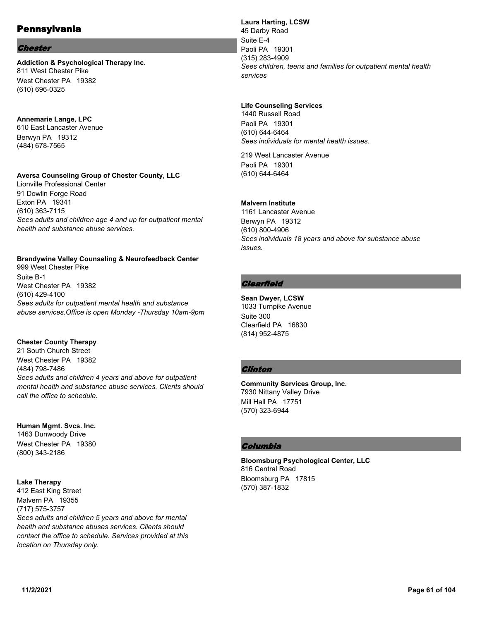#### Chester

**Addiction & Psychological Therapy Inc.** 811 West Chester Pike West Chester PA 19382 (610) 696-0325

#### **Annemarie Lange, LPC**

610 East Lancaster Avenue Berwyn PA 19312 (484) 678-7565

#### **Aversa Counseling Group of Chester County, LLC**

Lionville Professional Center 91 Dowlin Forge Road Exton PA 19341 (610) 363-7115 *Sees adults and children age 4 and up for outpatient mental health and substance abuse services.*

# **Brandywine Valley Counseling & Neurofeedback Center**

999 West Chester Pike Suite B-1 West Chester PA 19382 (610) 429-4100 *Sees adults for outpatient mental health and substance abuse services.Office is open Monday -Thursday 10am-9pm*

#### **Chester County Therapy**

21 South Church Street West Chester PA 19382 (484) 798-7486 *Sees adults and children 4 years and above for outpatient mental health and substance abuse services. Clients should call the office to schedule.*

# **Human Mgmt. Svcs. Inc.**

1463 Dunwoody Drive West Chester PA 19380 (800) 343-2186

#### **Lake Therapy**

412 East King Street Malvern PA 19355 (717) 575-3757 *Sees adults and children 5 years and above for mental health and substance abuses services. Clients should contact the office to schedule. Services provided at this location on Thursday only.*

**Laura Harting, LCSW** 45 Darby Road Suite E-4 Paoli PA 19301 (315) 283-4909 *Sees children, teens and families for outpatient mental health services*

#### **Life Counseling Services**

1440 Russell Road Paoli PA 19301 (610) 644-6464 *Sees individuals for mental health issues.*

219 West Lancaster Avenue Paoli PA 19301 (610) 644-6464

#### **Malvern Institute**

1161 Lancaster Avenue Berwyn PA 19312 (610) 800-4906 *Sees individuals 18 years and above for substance abuse issues.*

# **Clearfield**

**Sean Dwyer, LCSW** 1033 Turnpike Avenue Suite 300 Clearfield PA 16830 (814) 952-4875

# **Clinton**

**Community Services Group, Inc.** 7930 Nittany Valley Drive Mill Hall PA 17751 (570) 323-6944

# Columbia

**Bloomsburg Psychological Center, LLC** 816 Central Road Bloomsburg PA 17815 (570) 387-1832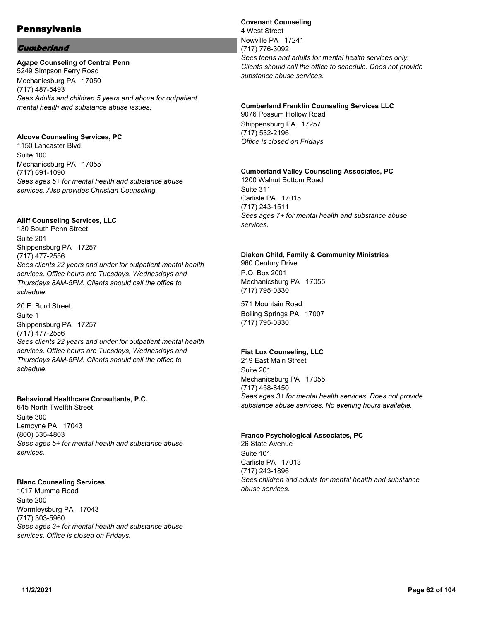# **Cumberland**

#### **Agape Counseling of Central Penn**

5249 Simpson Ferry Road Mechanicsburg PA 17050 (717) 487-5493 *Sees Adults and children 5 years and above for outpatient mental health and substance abuse issues.*

### **Alcove Counseling Services, PC**

1150 Lancaster Blvd. Suite 100 Mechanicsburg PA 17055 (717) 691-1090 *Sees ages 5+ for mental health and substance abuse services. Also provides Christian Counseling.*

### **Aliff Counseling Services, LLC**

130 South Penn Street Suite 201 Shippensburg PA 17257 (717) 477-2556 *Sees clients 22 years and under for outpatient mental health services. Office hours are Tuesdays, Wednesdays and Thursdays 8AM-5PM. Clients should call the office to schedule.*

20 E. Burd Street Suite 1 Shippensburg PA 17257 (717) 477-2556 *Sees clients 22 years and under for outpatient mental health services. Office hours are Tuesdays, Wednesdays and Thursdays 8AM-5PM. Clients should call the office to schedule.*

#### **Behavioral Healthcare Consultants, P.C.**

645 North Twelfth Street Suite 300 Lemoyne PA 17043 (800) 535-4803 *Sees ages 5+ for mental health and substance abuse services.*

# **Blanc Counseling Services**

1017 Mumma Road Suite 200 Wormleysburg PA 17043 (717) 303-5960 *Sees ages 3+ for mental health and substance abuse services. Office is closed on Fridays.*

### **Covenant Counseling** 4 West Street Newville PA 17241 (717) 776-3092 *Sees teens and adults for mental health services only. Clients should call the office to schedule. Does not provide substance abuse services.*

#### **Cumberland Franklin Counseling Services LLC** 9076 Possum Hollow Road

Shippensburg PA 17257 (717) 532-2196 *Office is closed on Fridays.*

# **Cumberland Valley Counseling Associates, PC**

1200 Walnut Bottom Road Suite 311 Carlisle PA 17015 (717) 243-1511 *Sees ages 7+ for mental health and substance abuse services.*

### **Diakon Child, Family & Community Ministries**

960 Century Drive P.O. Box 2001 Mechanicsburg PA 17055 (717) 795-0330

571 Mountain Road Boiling Springs PA 17007 (717) 795-0330

# **Fiat Lux Counseling, LLC**

219 East Main Street Suite 201 Mechanicsburg PA 17055 (717) 458-8450 *Sees ages 3+ for mental health services. Does not provide substance abuse services. No evening hours available.*

#### **Franco Psychological Associates, PC**

26 State Avenue Suite 101 Carlisle PA 17013 (717) 243-1896 *Sees children and adults for mental health and substance abuse services.*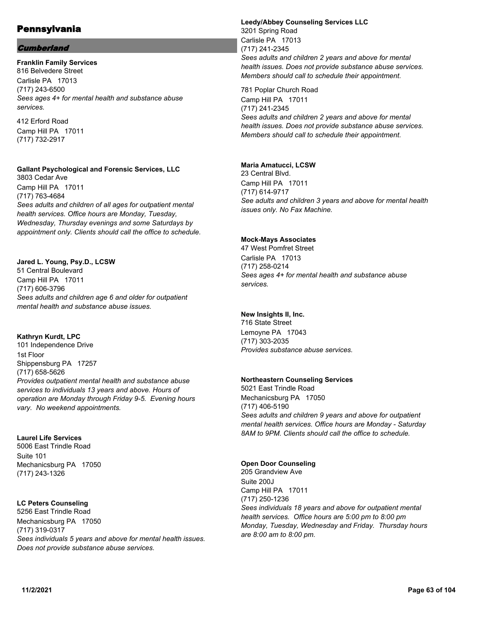# **Cumberland**

**Franklin Family Services** 816 Belvedere Street Carlisle PA 17013 (717) 243-6500 *Sees ages 4+ for mental health and substance abuse services.*

412 Erford Road Camp Hill PA 17011 (717) 732-2917

**Gallant Psychological and Forensic Services, LLC** 3803 Cedar Ave

Camp Hill PA 17011 (717) 763-4684 *Sees adults and children of all ages for outpatient mental health services. Office hours are Monday, Tuesday, Wednesday, Thursday evenings and some Saturdays by appointment only. Clients should call the office to schedule.*

### **Jared L. Young, Psy.D., LCSW**

51 Central Boulevard Camp Hill PA 17011 (717) 606-3796 *Sees adults and children age 6 and older for outpatient mental health and substance abuse issues.*

#### **Kathryn Kurdt, LPC**

101 Independence Drive 1st Floor Shippensburg PA 17257 (717) 658-5626 *Provides outpatient mental health and substance abuse services to individuals 13 years and above. Hours of operation are Monday through Friday 9-5. Evening hours vary. No weekend appointments.*

#### **Laurel Life Services**

5006 East Trindle Road Suite 101 Mechanicsburg PA 17050 (717) 243-1326

# **LC Peters Counseling**

5256 East Trindle Road Mechanicsburg PA 17050 (717) 319-0317 *Sees individuals 5 years and above for mental health issues. Does not provide substance abuse services.*

**Leedy/Abbey Counseling Services LLC** 3201 Spring Road Carlisle PA 17013 (717) 241-2345 *Sees adults and children 2 years and above for mental health issues. Does not provide substance abuse services. Members should call to schedule their appointment.*

781 Poplar Church Road Camp Hill PA 17011 (717) 241-2345 *Sees adults and children 2 years and above for mental health issues. Does not provide substance abuse services. Members should call to schedule their appointment.*

#### **Maria Amatucci, LCSW**

23 Central Blvd. Camp Hill PA 17011 (717) 614-9717 *See adults and children 3 years and above for mental health issues only. No Fax Machine.*

### **Mock-Mays Associates**

47 West Pomfret Street Carlisle PA 17013 (717) 258-0214 *Sees ages 4+ for mental health and substance abuse services.*

# **New Insights II, Inc.**

716 State Street Lemoyne PA 17043 (717) 303-2035 *Provides substance abuse services.*

# **Northeastern Counseling Services**

5021 East Trindle Road Mechanicsburg PA 17050 (717) 406-5190 *Sees adults and children 9 years and above for outpatient mental health services. Office hours are Monday - Saturday 8AM to 9PM. Clients should call the office to schedule.*

#### **Open Door Counseling**

205 Grandview Ave Suite 200J Camp Hill PA 17011 (717) 250-1236 *Sees individuals 18 years and above for outpatient mental health services. Office hours are 5:00 pm to 8:00 pm Monday, Tuesday, Wednesday and Friday. Thursday hours are 8:00 am to 8:00 pm.*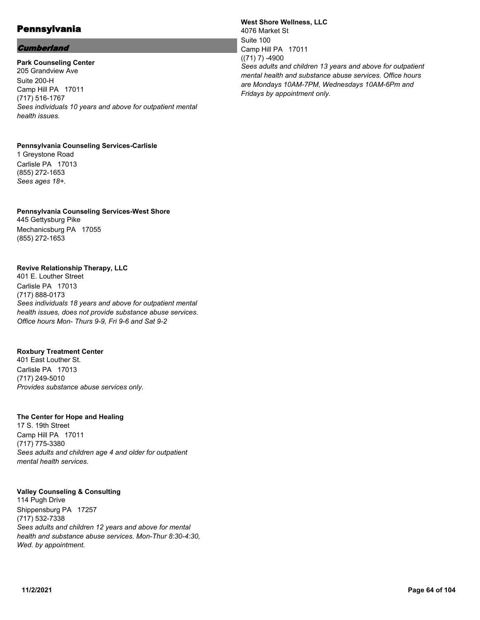# **Cumberland**

**Park Counseling Center** 205 Grandview Ave Suite 200-H Camp Hill PA 17011 (717) 516-1767 *Sees individuals 10 years and above for outpatient mental health issues.*

# **Pennsylvania Counseling Services-Carlisle**

1 Greystone Road Carlisle PA 17013 (855) 272-1653 *Sees ages 18+.*

### **Pennsylvania Counseling Services-West Shore** 445 Gettysburg Pike Mechanicsburg PA 17055 (855) 272-1653

### **Revive Relationship Therapy, LLC**

401 E. Louther Street Carlisle PA 17013 (717) 888-0173 *Sees individuals 18 years and above for outpatient mental health issues, does not provide substance abuse services. Office hours Mon- Thurs 9-9, Fri 9-6 and Sat 9-2*

#### **Roxbury Treatment Center**

401 East Louther St. Carlisle PA 17013 (717) 249-5010 *Provides substance abuse services only.*

#### **The Center for Hope and Healing**

17 S. 19th Street Camp Hill PA 17011 (717) 775-3380 *Sees adults and children age 4 and older for outpatient mental health services.*

#### **Valley Counseling & Consulting**

114 Pugh Drive Shippensburg PA 17257 (717) 532-7338 *Sees adults and children 12 years and above for mental health and substance abuse services. Mon-Thur 8:30-4:30, Wed. by appointment.*

**West Shore Wellness, LLC** 4076 Market St Suite 100 Camp Hill PA 17011  $((71) 7) -4900$ *Sees adults and children 13 years and above for outpatient mental health and substance abuse services. Office hours are Mondays 10AM-7PM, Wednesdays 10AM-6Pm and Fridays by appointment only.*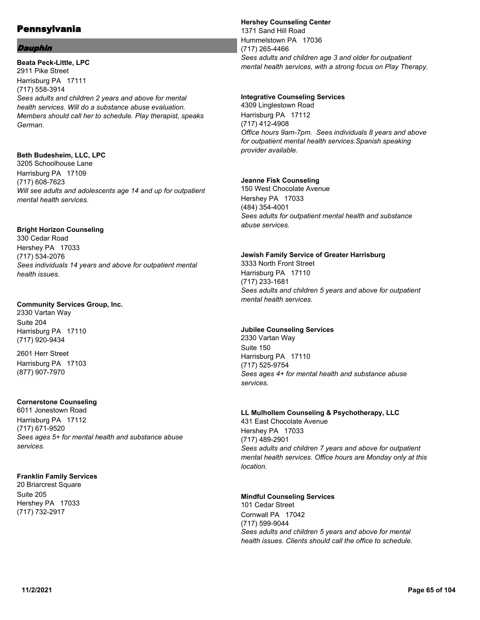### Dauphin

**Beata Peck-Little, LPC** 2911 Pike Street Harrisburg PA 17111 (717) 558-3914 *Sees adults and children 2 years and above for mental health services. Will do a substance abuse evaluation. Members should call her to schedule. Play therapist, speaks German.*

#### **Beth Budesheim, LLC, LPC**

3205 Schoolhouse Lane Harrisburg PA 17109 (717) 608-7623 *Will see adults and adolescents age 14 and up for outpatient mental health services.*

# **Bright Horizon Counseling**

330 Cedar Road Hershey PA 17033 (717) 534-2076 *Sees individuals 14 years and above for outpatient mental health issues.*

# **Community Services Group, Inc.**

2330 Vartan Way Suite 204 Harrisburg PA 17110 (717) 920-9434

2601 Herr Street Harrisburg PA 17103 (877) 907-7970

# **Cornerstone Counseling**

6011 Jonestown Road Harrisburg PA 17112 (717) 671-9520 *Sees ages 5+ for mental health and substance abuse services.*

# **Franklin Family Services**

20 Briarcrest Square Suite 205 Hershey PA 17033 (717) 732-2917

### **Hershey Counseling Center**

1371 Sand Hill Road Hummelstown PA 17036 (717) 265-4466 *Sees adults and children age 3 and older for outpatient mental health services, with a strong focus on Play Therapy.*

### **Integrative Counseling Services**

4309 Linglestown Road Harrisburg PA 17112 (717) 412-4908 *Office hours 9am-7pm. Sees individuals 8 years and above for outpatient mental health services.Spanish speaking provider available.*

### **Jeanne Fisk Counseling**

150 West Chocolate Avenue Hershey PA 17033 (484) 354-4001 *Sees adults for outpatient mental health and substance abuse services.*

#### **Jewish Family Service of Greater Harrisburg**

3333 North Front Street Harrisburg PA 17110 (717) 233-1681 *Sees adults and children 5 years and above for outpatient mental health services.*

# **Jubilee Counseling Services**

2330 Vartan Way Suite 150 Harrisburg PA 17110 (717) 525-9754 *Sees ages 4+ for mental health and substance abuse services.*

# **LL Mulhollem Counseling & Psychotherapy, LLC**

431 East Chocolate Avenue Hershey PA 17033 (717) 489-2901 *Sees adults and children 7 years and above for outpatient mental health services. Office hours are Monday only at this location.*

# **Mindful Counseling Services**

101 Cedar Street Cornwall PA 17042 (717) 599-9044 *Sees adults and children 5 years and above for mental health issues. Clients should call the office to schedule.*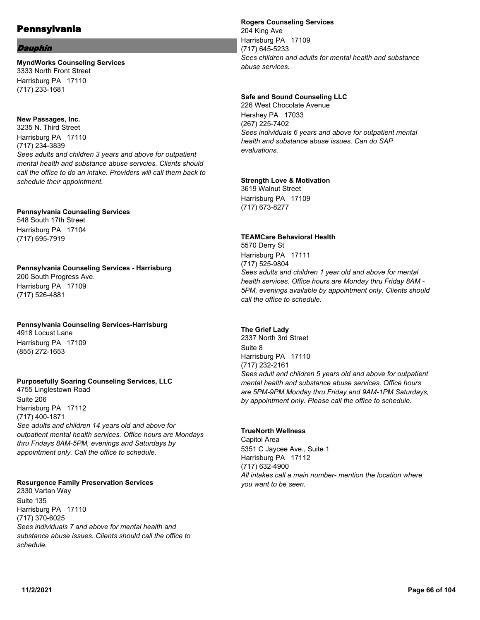### Dauphin

### **MyndWorks Counseling Services** 3333 North Front Street Harrisburg PA 17110 (717) 233-1681

### **New Passages, Inc.**

3235 N. Third Street Harrisburg PA 17110 (717) 234-3839 *Sees adults and children 3 years and above for outpatient mental health and substance abuse servcies. Clients should call the office to do an intake. Providers will call them back to schedule their appointment.*

### **Pennsylvania Counseling Services**

548 South 17th Street Harrisburg PA 17104 (717) 695-7919

#### **Pennsylvania Counseling Services - Harrisburg** 200 South Progress Ave. Harrisburg PA 17109 (717) 526-4881

#### **Pennsylvania Counseling Services-Harrisburg** 4918 Locust Lane

Harrisburg PA 17109 (855) 272-1653

# **Purposefully Soaring Counseling Services, LLC**

4755 Linglestown Road Suite 206 Harrisburg PA 17112 (717) 400-1871 *See adults and children 14 years old and above for outpatient mental health services. Office hours are Mondays thru Fridays 8AM-5PM, evenings and Saturdays by appointment only. Call the office to schedule.*

# **Resurgence Family Preservation Services**

2330 Vartan Way Suite 135 Harrisburg PA 17110 (717) 370-6025 *Sees individuals 7 and above for mental health and substance abuse issues. Clients should call the office to schedule.*

# **Rogers Counseling Services** 204 King Ave Harrisburg PA 17109

(717) 645-5233 *Sees children and adults for mental health and substance abuse services.*

### **Safe and Sound Counseling LLC**

226 West Chocolate Avenue Hershey PA 17033 (267) 225-7402 *Sees individuals 6 years and above for outpatient mental health and substance abuse issues. Can do SAP evaluations.*

### **Strength Love & Motivation**

3619 Walnut Street Harrisburg PA 17109 (717) 673-8277

# **TEAMCare Behavioral Health**

5570 Derry St Harrisburg PA 17111 (717) 525-9804 *Sees adults and children 1 year old and above for mental health services. Office hours are Monday thru Friday 8AM - 5PM, evenings available by appointment only. Clients should call the office to schedule.*

# **The Grief Lady**

2337 North 3rd Street Suite 8 Harrisburg PA 17110 (717) 232-2161 *Sees adult and children 5 years old and above for outpatient mental health and substance abuse services. Office hours are 5PM-9PM Monday thru Friday and 9AM-1PM Saturdays, by appointment only. Please call the office to schedule.*

#### **TrueNorth Wellness**

Capitol Area 5351 C Jaycee Ave., Suite 1 Harrisburg PA 17112 (717) 632-4900 *All intakes call a main number- mention the location where you want to be seen.*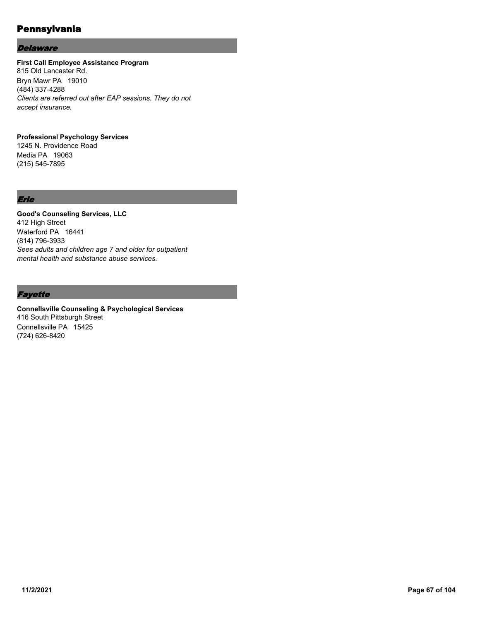### **Delaware**

# **First Call Employee Assistance Program**

815 Old Lancaster Rd. Bryn Mawr PA 19010 (484) 337-4288 *Clients are referred out after EAP sessions. They do not accept insurance.*

# **Professional Psychology Services**

1245 N. Providence Road Media PA 19063 (215) 545-7895

# Erie

**Good's Counseling Services, LLC** 412 High Street Waterford PA 16441 (814) 796-3933 *Sees adults and children age 7 and older for outpatient mental health and substance abuse services.*

# **Fayette**

**Connellsville Counseling & Psychological Services** 416 South Pittsburgh Street Connellsville PA 15425 (724) 626-8420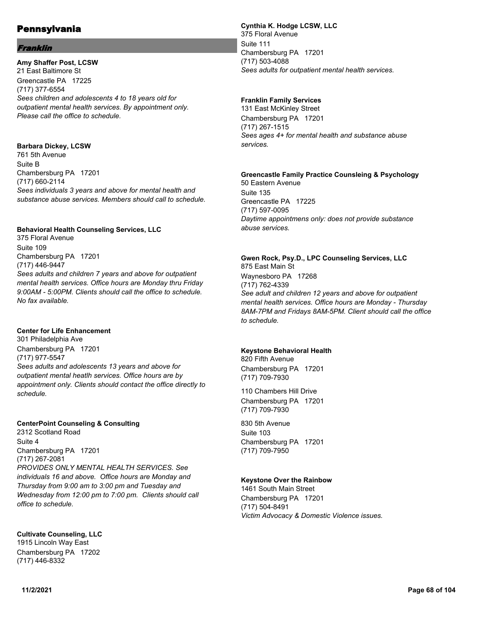### Franklin

**Amy Shaffer Post, LCSW** 21 East Baltimore St Greencastle PA 17225 (717) 377-6554 *Sees children and adolescents 4 to 18 years old for outpatient mental health services. By appointment only. Please call the office to schedule.*

**Barbara Dickey, LCSW** 761 5th Avenue Suite B Chambersburg PA 17201 (717) 660-2114 *Sees individuals 3 years and above for mental health and substance abuse services. Members should call to schedule.*

### **Behavioral Health Counseling Services, LLC**

375 Floral Avenue Suite 109 Chambersburg PA 17201 (717) 446-9447 *Sees adults and children 7 years and above for outpatient mental health services. Office hours are Monday thru Friday 9:00AM - 5:00PM. Clients should call the office to schedule. No fax available.*

#### **Center for Life Enhancement**

301 Philadelphia Ave Chambersburg PA 17201 (717) 977-5547 *Sees adults and adolescents 13 years and above for outpatient mental heatlh services. Office hours are by appointment only. Clients should contact the office directly to schedule.*

#### **CenterPoint Counseling & Consulting**

2312 Scotland Road Suite 4 Chambersburg PA 17201 (717) 267-2081 *PROVIDES ONLY MENTAL HEALTH SERVICES. See individuals 16 and above. Office hours are Monday and Thursday from 9:00 am to 3:00 pm and Tuesday and Wednesday from 12:00 pm to 7:00 pm. Clients should call office to schedule.*

**Cultivate Counseling, LLC** 1915 Lincoln Way East Chambersburg PA 17202 (717) 446-8332

# **Cynthia K. Hodge LCSW, LLC**

375 Floral Avenue Suite 111 Chambersburg PA 17201 (717) 503-4088 *Sees adults for outpatient mental health services.*

### **Franklin Family Services**

131 East McKinley Street Chambersburg PA 17201 (717) 267-1515 *Sees ages 4+ for mental health and substance abuse services.*

# **Greencastle Family Practice Counsleing & Psychology**

50 Eastern Avenue Suite 135 Greencastle PA 17225 (717) 597-0095 *Daytime appointmens only: does not provide substance abuse services.*

# **Gwen Rock, Psy.D., LPC Counseling Services, LLC**

875 East Main St Waynesboro PA 17268 (717) 762-4339 *See adult and children 12 years and above for outpatient mental health services. Office hours are Monday - Thursday 8AM-7PM and Fridays 8AM-5PM. Client should call the office to schedule.*

#### **Keystone Behavioral Health**

820 Fifth Avenue Chambersburg PA 17201 (717) 709-7930

110 Chambers Hill Drive Chambersburg PA 17201 (717) 709-7930

830 5th Avenue Suite 103 Chambersburg PA 17201 (717) 709-7950

#### **Keystone Over the Rainbow**

1461 South Main Street Chambersburg PA 17201 (717) 504-8491 *Victim Advocacy & Domestic Violence issues.*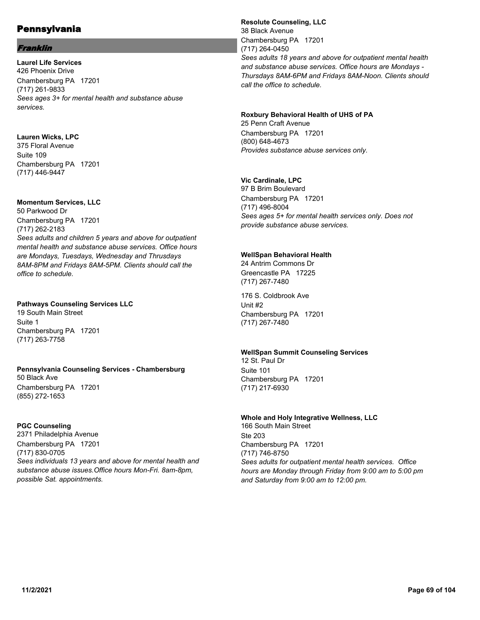### Franklin

**Laurel Life Services** 426 Phoenix Drive Chambersburg PA 17201 (717) 261-9833 *Sees ages 3+ for mental health and substance abuse services.*

### **Lauren Wicks, LPC**

375 Floral Avenue Suite 109 Chambersburg PA 17201 (717) 446-9447

### **Momentum Services, LLC**

50 Parkwood Dr Chambersburg PA 17201 (717) 262-2183 *Sees adults and children 5 years and above for outpatient mental health and substance abuse services. Office hours are Mondays, Tuesdays, Wednesday and Thrusdays 8AM-8PM and Fridays 8AM-5PM. Clients should call the office to schedule.*

### **Pathways Counseling Services LLC**

19 South Main Street Suite 1 Chambersburg PA 17201 (717) 263-7758

#### **Pennsylvania Counseling Services - Chambersburg**

50 Black Ave Chambersburg PA 17201 (855) 272-1653

#### **PGC Counseling**

2371 Philadelphia Avenue Chambersburg PA 17201 (717) 830-0705 *Sees individuals 13 years and above for mental health and substance abuse issues.Office hours Mon-Fri. 8am-8pm, possible Sat. appointments.*

**Resolute Counseling, LLC** 38 Black Avenue Chambersburg PA 17201 (717) 264-0450 *Sees adults 18 years and above for outpatient mental health and substance abuse services. Office hours are Mondays - Thursdays 8AM-6PM and Fridays 8AM-Noon. Clients should call the office to schedule.*

#### **Roxbury Behavioral Health of UHS of PA**

25 Penn Craft Avenue Chambersburg PA 17201 (800) 648-4673 *Provides substance abuse services only.*

# **Vic Cardinale, LPC**

97 B Brim Boulevard Chambersburg PA 17201 (717) 496-8004 *Sees ages 5+ for mental health services only. Does not provide substance abuse services.*

#### **WellSpan Behavioral Health**

24 Antrim Commons Dr Greencastle PA 17225 (717) 267-7480

176 S. Coldbrook Ave Unit #2 Chambersburg PA 17201 (717) 267-7480

# **WellSpan Summit Counseling Services**

12 St. Paul Dr Suite 101 Chambersburg PA 17201 (717) 217-6930

#### **Whole and Holy Integrative Wellness, LLC** 166 South Main Street

Ste 203 Chambersburg PA 17201 (717) 746-8750 *Sees adults for outpatient mental health services. Office hours are Monday through Friday from 9:00 am to 5:00 pm and Saturday from 9:00 am to 12:00 pm.*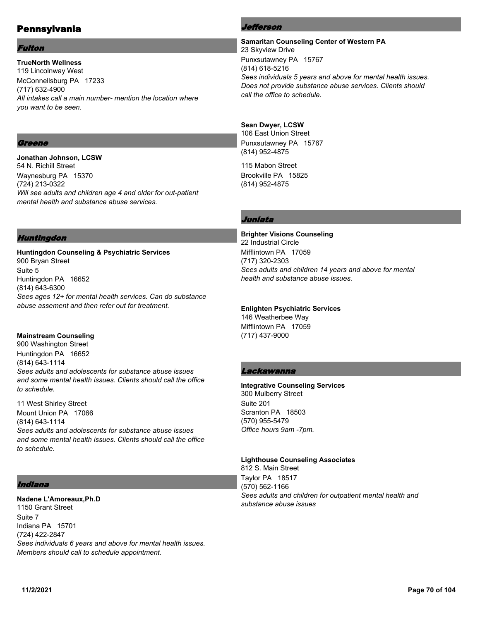#### Fulton

**TrueNorth Wellness** 119 Lincolnway West McConnellsburg PA 17233 (717) 632-4900 *All intakes call a main number- mention the location where you want to be seen.*

# Greene

**Jonathan Johnson, LCSW** 54 N. Richill Street Waynesburg PA 15370 (724) 213-0322 *Will see adults and children age 4 and older for out-patient mental health and substance abuse services.*

# Huntingdon

**Huntingdon Counseling & Psychiatric Services** 900 Bryan Street Suite 5 Huntingdon PA 16652 (814) 643-6300 *Sees ages 12+ for mental health services. Can do substance abuse assement and then refer out for treatment.*

#### **Mainstream Counseling**

900 Washington Street Huntingdon PA 16652 (814) 643-1114 *Sees adults and adolescents for substance abuse issues and some mental health issues. Clients should call the office to schedule.*

11 West Shirley Street Mount Union PA 17066 (814) 643-1114 *Sees adults and adolescents for substance abuse issues and some mental health issues. Clients should call the office to schedule.*

# Indiana

**Nadene L'Amoreaux,Ph.D** 1150 Grant Street Suite 7 Indiana PA 15701 (724) 422-2847 *Sees individuals 6 years and above for mental health issues. Members should call to schedule appointment.*

### Jefferson

**Samaritan Counseling Center of Western PA** 23 Skyview Drive Punxsutawney PA 15767 (814) 618-5216 *Sees individuals 5 years and above for mental health issues. Does not provide substance abuse services. Clients should call the office to schedule.*

#### **Sean Dwyer, LCSW**

106 East Union Street Punxsutawney PA 15767 (814) 952-4875

115 Mabon Street Brookville PA 15825 (814) 952-4875

# Juniata

**Brighter Visions Counseling** 22 Industrial Circle Mifflintown PA 17059 (717) 320-2303 *Sees adults and children 14 years and above for mental health and substance abuse issues.*

**Enlighten Psychiatric Services** 146 Weatherbee Way Mifflintown PA 17059 (717) 437-9000

# Lackawanna

**Integrative Counseling Services** 300 Mulberry Street Suite 201 Scranton PA 18503 (570) 955-5479 *Office hours 9am -7pm.*

#### **Lighthouse Counseling Associates**

812 S. Main Street Taylor PA 18517 (570) 562-1166 *Sees adults and children for outpatient mental health and substance abuse issues*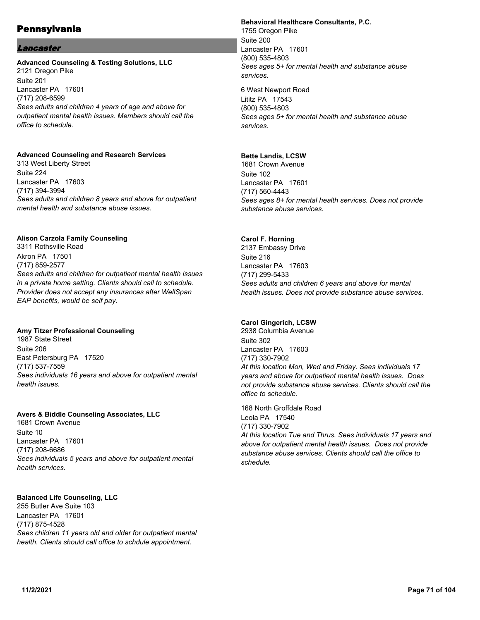# Lancaster

#### **Advanced Counseling & Testing Solutions, LLC** 2121 Oregon Pike Suite 201 Lancaster PA 17601 (717) 208-6599 *Sees adults and children 4 years of age and above for outpatient mental health issues. Members should call the office to schedule.*

# **Advanced Counseling and Research Services**

313 West Liberty Street Suite 224 Lancaster PA 17603 (717) 394-3994 *Sees adults and children 8 years and above for outpatient mental health and substance abuse issues.*

# **Alison Carzola Family Counseling**

3311 Rothsville Road Akron PA 17501 (717) 859-2577 *Sees adults and children for outpatient mental health issues in a private home setting. Clients should call to schedule. Provider does not accept any insurances after WellSpan EAP benefits, would be self pay.*

# **Amy Titzer Professional Counseling**

1987 State Street Suite 206 East Petersburg PA 17520 (717) 537-7559 *Sees individuals 16 years and above for outpatient mental health issues.*

# **Avers & Biddle Counseling Associates, LLC**

1681 Crown Avenue Suite 10 Lancaster PA 17601 (717) 208-6686 *Sees individuals 5 years and above for outpatient mental health services.*

# **Balanced Life Counseling, LLC**

255 Butler Ave Suite 103 Lancaster PA 17601 (717) 875-4528 *Sees children 11 years old and older for outpatient mental health. Clients should call office to schdule appointment.*

# **Behavioral Healthcare Consultants, P.C.**

1755 Oregon Pike Suite 200 Lancaster PA 17601 (800) 535-4803 *Sees ages 5+ for mental health and substance abuse services.*

6 West Newport Road Lititz PA 17543 (800) 535-4803 *Sees ages 5+ for mental health and substance abuse services.*

# **Bette Landis, LCSW**

1681 Crown Avenue Suite 102 Lancaster PA 17601 (717) 560-4443 *Sees ages 8+ for mental health services. Does not provide substance abuse services.*

# **Carol F. Horning**

2137 Embassy Drive Suite 216 Lancaster PA 17603 (717) 299-5433 *Sees adults and children 6 years and above for mental health issues. Does not provide substance abuse services.*

# **Carol Gingerich, LCSW**

2938 Columbia Avenue Suite 302 Lancaster PA 17603 (717) 330-7902 *At this location Mon, Wed and Friday. Sees individuals 17 years and above for outpatient mental health issues. Does not provide substance abuse services. Clients should call the office to schedule.*

168 North Groffdale Road Leola PA 17540 (717) 330-7902 *At this location Tue and Thrus. Sees individuals 17 years and above for outpatient mental health issues. Does not provide substance abuse services. Clients should call the office to schedule.*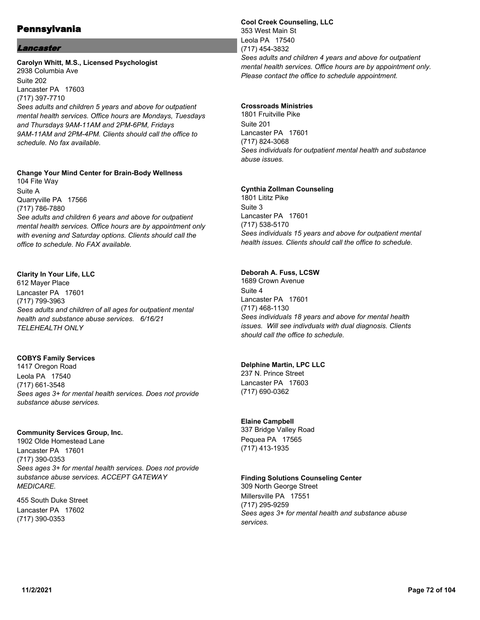### Lancaster

### **Carolyn Whitt, M.S., Licensed Psychologist** 2938 Columbia Ave Suite 202 Lancaster PA 17603 (717) 397-7710 *Sees adults and children 5 years and above for outpatient mental health services. Office hours are Mondays, Tuesdays and Thursdays 9AM-11AM and 2PM-6PM, Fridays 9AM-11AM and 2PM-4PM. Clients should call the office to schedule. No fax available.*

# **Change Your Mind Center for Brain-Body Wellness**

104 Fite Way Suite A Quarryville PA 17566 (717) 786-7880 *See adults and children 6 years and above for outpatient mental health services. Office hours are by appointment only with evening and Saturday options. Clients should call the office to schedule. No FAX available.*

### **Clarity In Your Life, LLC**

612 Mayer Place Lancaster PA 17601 (717) 799-3963 *Sees adults and children of all ages for outpatient mental health and substance abuse services. 6/16/21 TELEHEALTH ONLY*

#### **COBYS Family Services**

1417 Oregon Road Leola PA 17540 (717) 661-3548 *Sees ages 3+ for mental health services. Does not provide substance abuse services.*

#### **Community Services Group, Inc.**

1902 Olde Homestead Lane Lancaster PA 17601 (717) 390-0353 *Sees ages 3+ for mental health services. Does not provide substance abuse services. ACCEPT GATEWAY MEDICARE.*

455 South Duke Street Lancaster PA 17602 (717) 390-0353

**Cool Creek Counseling, LLC** 353 West Main St Leola PA 17540 (717) 454-3832 *Sees adults and children 4 years and above for outpatient mental health services. Office hours are by appointment only. Please contact the office to schedule appointment.*

#### **Crossroads Ministries**

1801 Fruitville Pike Suite 201 Lancaster PA 17601 (717) 824-3068 *Sees individuals for outpatient mental health and substance abuse issues.*

### **Cynthia Zollman Counseling**

1801 Lititz Pike Suite 3 Lancaster PA 17601 (717) 538-5170 *Sees individuals 15 years and above for outpatient mental health issues. Clients should call the office to schedule.*

### **Deborah A. Fuss, LCSW**

1689 Crown Avenue Suite 4 Lancaster PA 17601 (717) 468-1130 *Sees individuals 18 years and above for mental health issues. Will see indivduals with dual diagnosis. Clients should call the office to schedule.*

# **Delphine Martin, LPC LLC**

237 N. Prince Street Lancaster PA 17603 (717) 690-0362

# **Elaine Campbell**

337 Bridge Valley Road Pequea PA 17565 (717) 413-1935

#### **Finding Solutions Counseling Center**

309 North George Street Millersville PA 17551 (717) 295-9259 *Sees ages 3+ for mental health and substance abuse services.*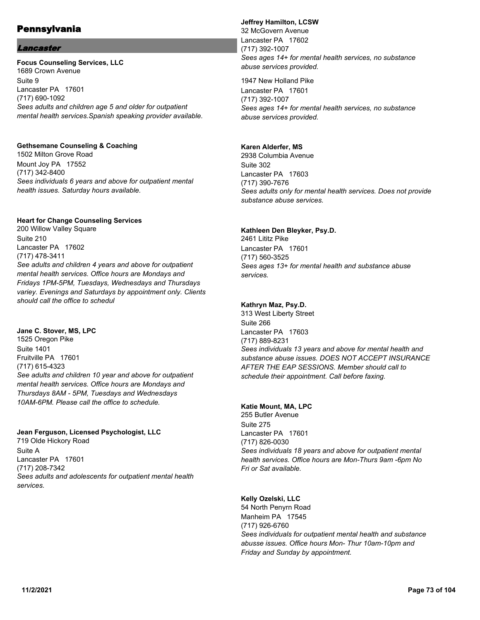### Lancaster

**Focus Counseling Services, LLC** 1689 Crown Avenue Suite 9 Lancaster PA 17601 (717) 690-1092 *Sees adults and children age 5 and older for outpatient mental health services.Spanish speaking provider available.*

#### **Gethsemane Counseling & Coaching**

1502 Milton Grove Road Mount Joy PA 17552 (717) 342-8400 *Sees individuals 6 years and above for outpatient mental health issues. Saturday hours available.*

#### **Heart for Change Counseling Services**

200 Willow Valley Square Suite 210 Lancaster PA 17602 (717) 478-3411 *See adults and children 4 years and above for outpatient mental health services. Office hours are Mondays and Fridays 1PM-5PM, Tuesdays, Wednesdays and Thursdays variey. Evenings and Saturdays by appointment only. Clients should call the office to schedul*

**Jane C. Stover, MS, LPC** 1525 Oregon Pike Suite 1401 Fruitville PA 17601 (717) 615-4323 *See adults and children 10 year and above for outpatient mental health services. Office hours are Mondays and Thursdays 8AM - 5PM, Tuesdays and Wednesdays 10AM-6PM. Please call the office to schedule.*

### **Jean Ferguson, Licensed Psychologist, LLC**

719 Olde Hickory Road Suite A Lancaster PA 17601 (717) 208-7342 *Sees adults and adolescents for outpatient mental health services.*

### **Jeffrey Hamilton, LCSW**

32 McGovern Avenue Lancaster PA 17602 (717) 392-1007 *Sees ages 14+ for mental health services, no substance abuse services provided.*

1947 New Holland Pike Lancaster PA 17601 (717) 392-1007 *Sees ages 14+ for mental health services, no substance abuse services provided.*

#### **Karen Alderfer, MS**

2938 Columbia Avenue Suite 302 Lancaster PA 17603 (717) 390-7676 *Sees adults only for mental health services. Does not provide substance abuse services.*

#### **Kathleen Den Bleyker, Psy.D.**

2461 Lititz Pike Lancaster PA 17601 (717) 560-3525 *Sees ages 13+ for mental health and substance abuse services.*

### **Kathryn Maz, Psy.D.**

313 West Liberty Street Suite 266 Lancaster PA 17603 (717) 889-8231 *Sees individuals 13 years and above for mental health and substance abuse issues. DOES NOT ACCEPT INSURANCE AFTER THE EAP SESSIONS. Member should call to schedule their appointment. Call before faxing.*

### **Katie Mount, MA, LPC**

255 Butler Avenue Suite 275 Lancaster PA 17601 (717) 826-0030 *Sees individuals 18 years and above for outpatient mental health services. Office hours are Mon-Thurs 9am -6pm No Fri or Sat available.*

### **Kelly Ozelski, LLC**

54 North Penyrn Road Manheim PA 17545 (717) 926-6760 *Sees individuals for outpatient mental health and substance abusse issues. Office hours Mon- Thur 10am-10pm and Friday and Sunday by appointment.*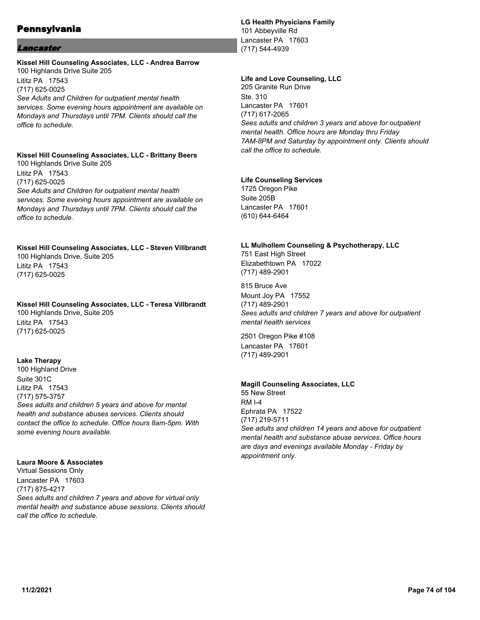#### Lancaster

### **Kissel Hill Counseling Associates, LLC - Andrea Barrow** 100 Highlands Drive Suite 205

Lititz PA 17543 (717) 625-0025 *See Adults and Children for outpatient mental health services. Some evening hours appointment are available on Mondays and Thursdays until 7PM. Clients should call the office to schedule.*

## **Kissel Hill Counseling Associates, LLC - Brittany Beers**

100 Highlands Drive Suite 205 Lititz PA 17543 (717) 625-0025 *See Adults and Children for outpatient mental health services. Some evening hours appointment are available on Mondays and Thursdays until 7PM. Clients should call the office to schedule.*

# **Kissel Hill Counseling Associates, LLC - Steven Villbrandt** 100 Highlands Drive, Suite 205

Lititz PA 17543 (717) 625-0025

## **Kissel Hill Counseling Associates, LLC - Teresa Villbrandt**

100 Highlands Drive, Suite 205 Lititz PA 17543 (717) 625-0025

### **Lake Therapy**

100 Highland Drive Suite 301C Lititz PA 17543 (717) 575-3757 *Sees adults and children 5 years and above for mental health and substance abuses services. Clients should contact the office to schedule. Office hours 8am-5pm. With some evening hours available.*

#### **Laura Moore & Associates**

Virtual Sessions Only Lancaster PA 17603 (717) 875-4217 *Sees adults and children 7 years and above for virtual only mental health and substance abuse sessions. Clients should call the office to schedule.*

### **LG Health Physicians Family**

101 Abbeyville Rd Lancaster PA 17603 (717) 544-4939

#### **Life and Love Counseling, LLC**

205 Granite Run Drive Ste. 310 Lancaster PA 17601 (717) 617-2065 *Sees adults and children 3 years and above for outpatient mental health. Office hours are Monday thru Friday 7AM-8PM and Saturday by appointment only. Clients should call the office to schedule.*

#### **Life Counseling Services**

1725 Oregon Pike Suite 205B Lancaster PA 17601 (610) 644-6464

## **LL Mulhollem Counseling & Psychotherapy, LLC** 751 East High Street

Elizabethtown PA 17022 (717) 489-2901

815 Bruce Ave Mount Joy PA 17552 (717) 489-2901 *Sees adults and children 7 years and above for outpatient mental health services*

2501 Oregon Pike #108 Lancaster PA 17601 (717) 489-2901

### **Magill Counseling Associates, LLC**

55 New Street RM I-4 Ephrata PA 17522 (717) 219-5711 *See adults and children 14 years and above for outpatient mental health and substance abuse services. Office hours are days and evenings available Monday - Friday by appointment only.*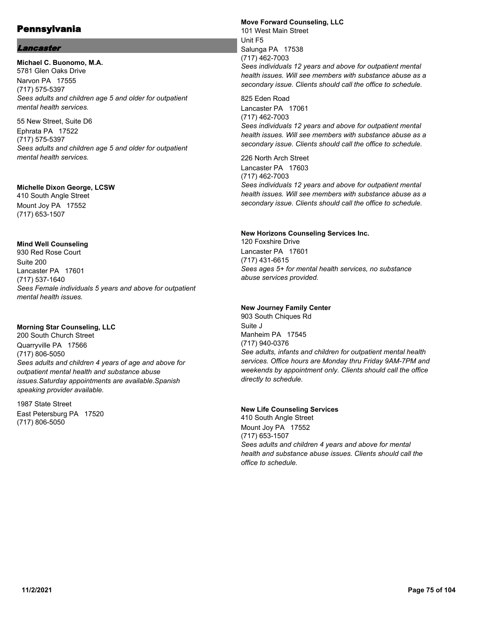### Lancaster

**Michael C. Buonomo, M.A.** 5781 Glen Oaks Drive Narvon PA 17555 (717) 575-5397 *Sees adults and children age 5 and older for outpatient mental health services.*

55 New Street, Suite D6 Ephrata PA 17522 (717) 575-5397 *Sees adults and children age 5 and older for outpatient mental health services.*

#### **Michelle Dixon George, LCSW**

410 South Angle Street Mount Joy PA 17552 (717) 653-1507

#### **Mind Well Counseling**

930 Red Rose Court Suite 200 Lancaster PA 17601 (717) 537-1640 *Sees Female individuals 5 years and above for outpatient mental health issues.*

### **Morning Star Counseling, LLC**

200 South Church Street Quarryville PA 17566 (717) 806-5050 *Sees adults and children 4 years of age and above for outpatient mental health and substance abuse issues.Saturday appointments are available.Spanish speaking provider available.*

1987 State Street East Petersburg PA 17520 (717) 806-5050

#### **Move Forward Counseling, LLC** 101 West Main Street Unit F5

Salunga PA 17538 (717) 462-7003 *Sees individuals 12 years and above for outpatient mental health issues. Will see members with substance abuse as a secondary issue. Clients should call the office to schedule.*

825 Eden Road Lancaster PA 17061 (717) 462-7003 *Sees individuals 12 years and above for outpatient mental health issues. Will see members with substance abuse as a secondary issue. Clients should call the office to schedule.*

226 North Arch Street Lancaster PA 17603 (717) 462-7003 *Sees individuals 12 years and above for outpatient mental health issues. Will see members with substance abuse as a secondary issue. Clients should call the office to schedule.*

#### **New Horizons Counseling Services Inc.**

120 Foxshire Drive Lancaster PA 17601 (717) 431-6615 *Sees ages 5+ for mental health services, no substance abuse services provided.*

### **New Journey Family Center**

903 South Chiques Rd Suite J Manheim PA 17545 (717) 940-0376 *See adults, infants and children for outpatient mental health services. Office hours are Monday thru Friday 9AM-7PM and weekends by appointment only. Clients should call the office directly to schedule.*

#### **New Life Counseling Services**

410 South Angle Street Mount Joy PA 17552 (717) 653-1507 *Sees adults and children 4 years and above for mental health and substance abuse issues. Clients should call the office to schedule.*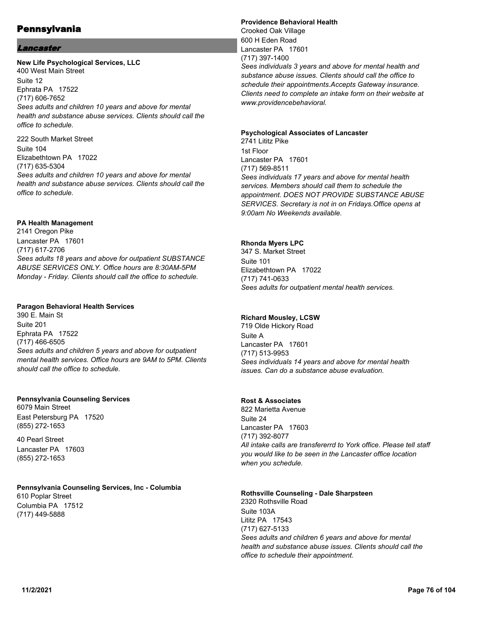### Lancaster

### **New Life Psychological Services, LLC** 400 West Main Street

Suite 12 Ephrata PA 17522 (717) 606-7652 *Sees adults and children 10 years and above for mental health and substance abuse services. Clients should call the office to schedule.*

222 South Market Street Suite 104 Elizabethtown PA 17022 (717) 635-5304 *Sees adults and children 10 years and above for mental health and substance abuse services. Clients should call the office to schedule.*

#### **PA Health Management**

2141 Oregon Pike Lancaster PA 17601 (717) 617-2706 *Sees adults 18 years and above for outpatient SUBSTANCE ABUSE SERVICES ONLY. Office hours are 8:30AM-5PM Monday - Friday. Clients should call the office to schedule.*

#### **Paragon Behavioral Health Services**

390 E. Main St Suite 201 Ephrata PA 17522 (717) 466-6505 *Sees adults and children 5 years and above for outpatient mental health services. Office hours are 9AM to 5PM. Clients should call the office to schedule.*

### **Pennsylvania Counseling Services**

6079 Main Street East Petersburg PA 17520 (855) 272-1653

40 Pearl Street Lancaster PA 17603 (855) 272-1653

### **Pennsylvania Counseling Services, Inc - Columbia**

610 Poplar Street Columbia PA 17512 (717) 449-5888

#### **Providence Behavioral Health** Crooked Oak Village 600 H Eden Road Lancaster PA 17601 (717) 397-1400 *Sees individuals 3 years and above for mental health and substance abuse issues. Clients should call the office to schedule their appointments.Accepts Gateway insurance. Clients need to complete an intake form on their website at www.providencebehavioral.*

#### **Psychological Associates of Lancaster**

2741 Lititz Pike 1st Floor Lancaster PA 17601 (717) 569-8511 *Sees individuals 17 years and above for mental health services. Members should call them to schedule the appointment. DOES NOT PROVIDE SUBSTANCE ABUSE SERVICES. Secretary is not in on Fridays.Office opens at 9:00am No Weekends available.*

### **Rhonda Myers LPC**

347 S. Market Street Suite 101 Elizabethtown PA 17022 (717) 741-0633 *Sees adults for outpatient mental health services.*

### **Richard Mousley, LCSW**

719 Olde Hickory Road Suite A Lancaster PA 17601 (717) 513-9953 *Sees individuals 14 years and above for mental health issues. Can do a substance abuse evaluation.*

### **Rost & Associates**

822 Marietta Avenue Suite 24 Lancaster PA 17603 (717) 392-8077 *All intake calls are transfererrd to York office. Please tell staff you would like to be seen in the Lancaster office location when you schedule.*

#### **Rothsville Counseling - Dale Sharpsteen**

2320 Rothsville Road Suite 103A Lititz PA 17543 (717) 627-5133 *Sees adults and children 6 years and above for mental health and substance abuse issues. Clients should call the office to schedule their appointment.*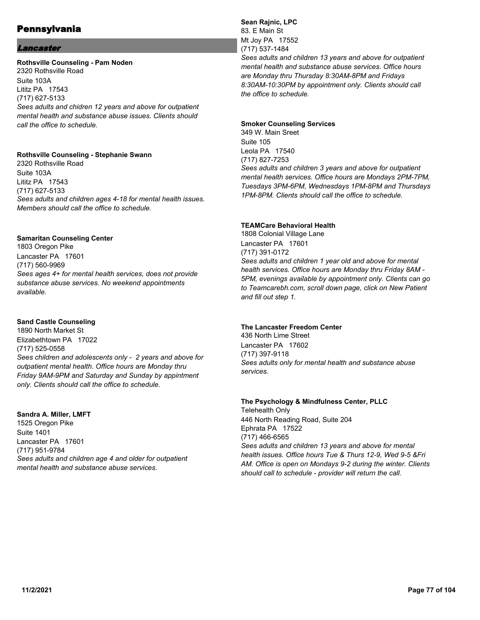### Lancaster

#### **Rothsville Counseling - Pam Noden**

2320 Rothsville Road Suite 103A Lititz PA 17543 (717) 627-5133 *Sees adults and chidren 12 years and above for outpatient mental health and substance abuse issues. Clients should call the office to schedule.*

#### **Rothsville Counseling - Stephanie Swann**

2320 Rothsville Road Suite 103A Lititz PA 17543 (717) 627-5133 *Sees adults and children ages 4-18 for mental health issues. Members should call the office to schedule.*

#### **Samaritan Counseling Center**

1803 Oregon Pike Lancaster PA 17601 (717) 560-9969 *Sees ages 4+ for mental health services, does not provide substance abuse services. No weekend appointments available.*

#### **Sand Castle Counseling**

1890 North Market St Elizabethtown PA 17022 (717) 525-0558 *Sees children and adolescents only - 2 years and above for outpatient mental health. Office hours are Monday thru Friday 9AM-9PM and Saturday and Sunday by appintment only. Clients should call the office to schedule.*

#### **Sandra A. Miller, LMFT**

1525 Oregon Pike Suite 1401 Lancaster PA 17601 (717) 951-9784 *Sees adults and children age 4 and older for outpatient mental health and substance abuse services.*

#### **Sean Rajnic, LPC** 83. E Main St Mt Joy PA 17552 (717) 537-1484 *Sees adults and children 13 years and above for outpatient mental health and substance abuse services. Office hours are Monday thru Thursday 8:30AM-8PM and Fridays 8:30AM-10:30PM by appointment only. Clients should call the office to schedule.*

### **Smoker Counseling Services**

349 W. Main Sreet Suite 105 Leola PA 17540 (717) 827-7253 *Sees adults and children 3 years and above for outpatient mental health services. Office hours are Mondays 2PM-7PM, Tuesdays 3PM-6PM, Wednesdays 1PM-8PM and Thursdays 1PM-8PM. Clients should call the office to schedule.*

### **TEAMCare Behavioral Health**

1808 Colonial Village Lane Lancaster PA 17601 (717) 391-0172 *Sees adults and children 1 year old and above for mental health services. Office hours are Monday thru Friday 8AM - 5PM, evenings available by appointment only. Clients can go to Teamcarebh.com, scroll down page, click on New Patient and fill out step 1.*

### **The Lancaster Freedom Center**

436 North Lime Street Lancaster PA 17602 (717) 397-9118 *Sees adults only for mental health and substance abuse services.*

### **The Psychology & Mindfulness Center, PLLC** Telehealth Only

446 North Reading Road, Suite 204 Ephrata PA 17522 (717) 466-6565 *Sees adults and children 13 years and above for mental health issues. Office hours Tue & Thurs 12-9, Wed 9-5 &Fri AM. Office is open on Mondays 9-2 during the winter. Clients should call to schedule - provider will return the call.*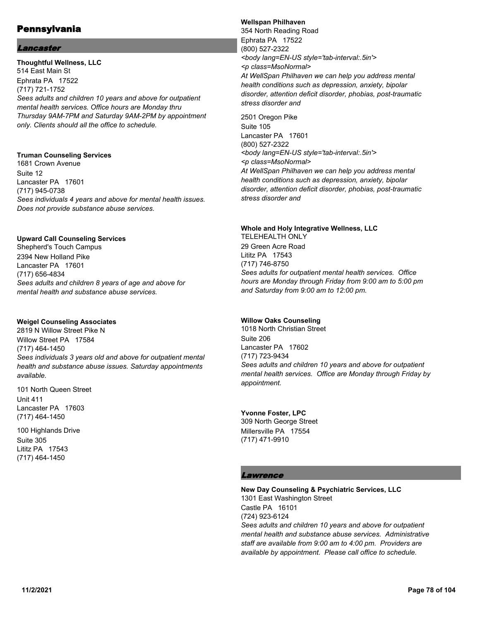### Lancaster

**Thoughtful Wellness, LLC** 514 East Main St Ephrata PA 17522 (717) 721-1752 *Sees adults and children 10 years and above for outpatient mental health services. Office hours are Monday thru Thursday 9AM-7PM and Saturday 9AM-2PM by appointment only. Clients should all the office to schedule.*

### **Truman Counseling Services**

1681 Crown Avenue Suite 12 Lancaster PA 17601 (717) 945-0738 *Sees individuals 4 years and above for mental health issues. Does not provide substance abuse services.*

#### **Upward Call Counseling Services**

Shepherd's Touch Campus 2394 New Holland Pike Lancaster PA 17601 (717) 656-4834 *Sees adults and children 8 years of age and above for mental health and substance abuse services.*

### **Weigel Counseling Associates**

2819 N Willow Street Pike N Willow Street PA 17584 (717) 464-1450 *Sees individuals 3 years old and above for outpatient mental health and substance abuse issues. Saturday appointments available.*

101 North Queen Street Unit 411 Lancaster PA 17603 (717) 464-1450

100 Highlands Drive Suite 305 Lititz PA 17543 (717) 464-1450

#### **Wellspan Philhaven**

354 North Reading Road Ephrata PA 17522 (800) 527-2322 *<body lang=EN-US style='tab-interval:.5in'> <p class=MsoNormal> At WellSpan Philhaven we can help you address mental health conditions such as depression, anxiety, bipolar disorder, attention deficit disorder, phobias, post-traumatic stress disorder and*

2501 Oregon Pike Suite 105 Lancaster PA 17601 (800) 527-2322 *<body lang=EN-US style='tab-interval:.5in'> <p class=MsoNormal> At WellSpan Philhaven we can help you address mental health conditions such as depression, anxiety, bipolar disorder, attention deficit disorder, phobias, post-traumatic stress disorder and*

#### **Whole and Holy Integrative Wellness, LLC**

TELEHEALTH ONLY 29 Green Acre Road Lititz PA 17543 (717) 746-8750 *Sees adults for outpatient mental health services. Office hours are Monday through Friday from 9:00 am to 5:00 pm and Saturday from 9:00 am to 12:00 pm.*

### **Willow Oaks Counseling**

1018 North Christian Street Suite 206 Lancaster PA 17602 (717) 723-9434 *Sees adults and children 10 years and above for outpatient mental health services. Office are Monday through Friday by appointment.*

**Yvonne Foster, LPC** 309 North George Street Millersville PA 17554 (717) 471-9910

### **Lawrence**

#### **New Day Counseling & Psychiatric Services, LLC** 1301 East Washington Street Castle PA 16101

(724) 923-6124 *Sees adults and children 10 years and above for outpatient mental health and substance abuse services. Administrative staff are available from 9:00 am to 4:00 pm. Providers are available by appointment. Please call office to schedule.*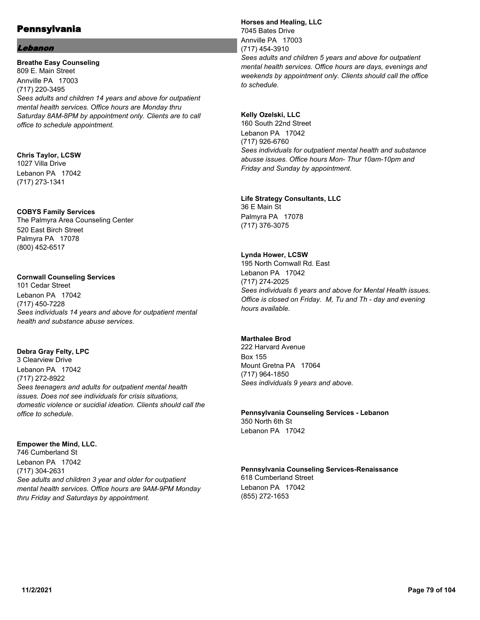#### Lebanon

**Breathe Easy Counseling** 809 E. Main Street Annville PA 17003 (717) 220-3495 *Sees adults and children 14 years and above for outpatient mental health services. Office hours are Monday thru Saturday 8AM-8PM by appointment only. Clients are to call office to schedule appointment.*

#### **Chris Taylor, LCSW** 1027 Villa Drive Lebanon PA 17042 (717) 273-1341

**COBYS Family Services**

The Palmyra Area Counseling Center 520 East Birch Street Palmyra PA 17078 (800) 452-6517

### **Cornwall Counseling Services**

101 Cedar Street Lebanon PA 17042 (717) 450-7228 *Sees individuals 14 years and above for outpatient mental health and substance abuse services.*

### **Debra Gray Felty, LPC**

3 Clearview Drive Lebanon PA 17042 (717) 272-8922 *Sees teenagers and adults for outpatient mental health issues. Does not see individuals for crisis situations, domestic violence or sucidial ideation. Clients should call the office to schedule.*

### **Empower the Mind, LLC.**

746 Cumberland St Lebanon PA 17042 (717) 304-2631 *See adults and children 3 year and older for outpatient mental health services. Office hours are 9AM-9PM Monday thru Friday and Saturdays by appointment.*

### **Horses and Healing, LLC** 7045 Bates Drive Annville PA 17003 (717) 454-3910 *Sees adults and children 5 years and above for outpatient mental health services. Office hours are days, evenings and weekends by appointment only. Clients should call the office to schedule.*

**Kelly Ozelski, LLC** 160 South 22nd Street Lebanon PA 17042 (717) 926-6760 *Sees individuals for outpatient mental health and substance abusse issues. Office hours Mon- Thur 10am-10pm and Friday and Sunday by appointment.*

**Life Strategy Consultants, LLC** 36 E Main St Palmyra PA 17078 (717) 376-3075

### **Lynda Hower, LCSW**

195 North Cornwall Rd. East Lebanon PA 17042 (717) 274-2025 *Sees individuals 6 years and above for Mental Health issues. Office is closed on Friday. M, Tu and Th - day and evening hours available.*

### **Marthalee Brod**

222 Harvard Avenue Box 155 Mount Gretna PA 17064 (717) 964-1850 *Sees individuals 9 years and above.*

**Pennsylvania Counseling Services - Lebanon** 350 North 6th St Lebanon PA 17042

**Pennsylvania Counseling Services-Renaissance** 618 Cumberland Street Lebanon PA 17042 (855) 272-1653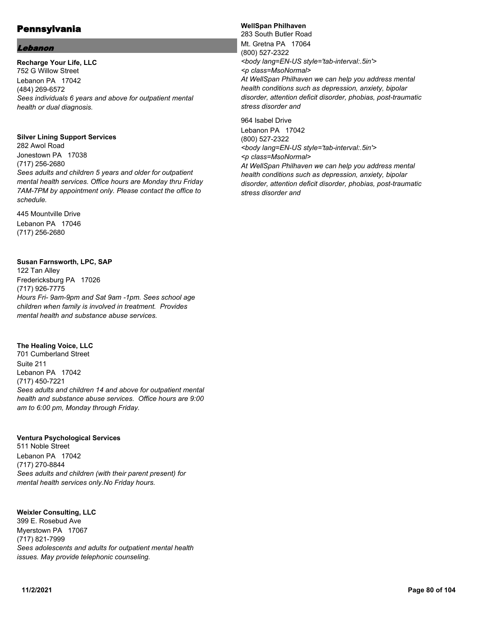#### Lebanon

#### **Recharge Your Life, LLC**

752 G Willow Street Lebanon PA 17042 (484) 269-6572 *Sees individuals 6 years and above for outpatient mental health or dual diagnosis.*

#### **Silver Lining Support Services**

282 Awol Road Jonestown PA 17038 (717) 256-2680 *Sees adults and children 5 years and older for outpatient mental health services. Office hours are Monday thru Friday 7AM-7PM by appointment only. Please contact the office to schedule.*

445 Mountville Drive Lebanon PA 17046 (717) 256-2680

### **Susan Farnsworth, LPC, SAP**

122 Tan Alley Fredericksburg PA 17026 (717) 926-7775 *Hours Fri- 9am-9pm and Sat 9am -1pm. Sees school age children when family is involved in treatment. Provides mental health and substance abuse services.*

### **The Healing Voice, LLC**

701 Cumberland Street Suite 211 Lebanon PA 17042 (717) 450-7221 *Sees adults and children 14 and above for outpatient mental health and substance abuse services. Office hours are 9:00 am to 6:00 pm, Monday through Friday.*

#### **Ventura Psychological Services**

511 Noble Street Lebanon PA 17042 (717) 270-8844 *Sees adults and children (with their parent present) for mental health services only.No Friday hours.*

**Weixler Consulting, LLC** 399 E. Rosebud Ave Myerstown PA 17067 (717) 821-7999 *Sees adolescents and adults for outpatient mental health issues. May provide telephonic counseling.*

### **WellSpan Philhaven**

283 South Butler Road Mt. Gretna PA 17064 (800) 527-2322 *<body lang=EN-US style='tab-interval:.5in'> <p class=MsoNormal> At WellSpan Philhaven we can help you address mental health conditions such as depression, anxiety, bipolar disorder, attention deficit disorder, phobias, post-traumatic stress disorder and*

964 Isabel Drive Lebanon PA 17042 (800) 527-2322 *<body lang=EN-US style='tab-interval:.5in'> <p class=MsoNormal> At WellSpan Philhaven we can help you address mental health conditions such as depression, anxiety, bipolar disorder, attention deficit disorder, phobias, post-traumatic stress disorder and*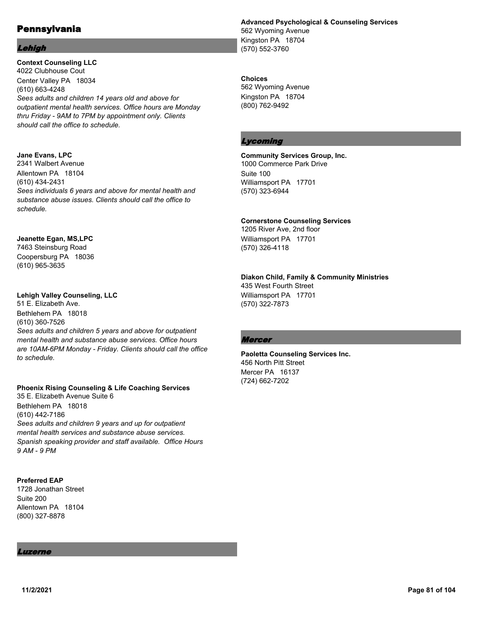#### Lehigh

**Context Counseling LLC** 4022 Clubhouse Cout Center Valley PA 18034 (610) 663-4248 *Sees adults and children 14 years old and above for outpatient mental health services. Office hours are Monday thru Friday - 9AM to 7PM by appointment only. Clients should call the office to schedule.*

### **Jane Evans, LPC**

2341 Walbert Avenue Allentown PA 18104 (610) 434-2431 *Sees individuals 6 years and above for mental health and substance abuse issues. Clients should call the office to schedule.*

### **Jeanette Egan, MS,LPC**

7463 Steinsburg Road Coopersburg PA 18036 (610) 965-3635

### **Lehigh Valley Counseling, LLC**

51 E. Elizabeth Ave. Bethlehem PA 18018 (610) 360-7526 *Sees adults and children 5 years and above for outpatient mental health and substance abuse services. Office hours are 10AM-6PM Monday - Friday. Clients should call the office to schedule.*

### **Phoenix Rising Counseling & Life Coaching Services**

35 E. Elizabeth Avenue Suite 6 Bethlehem PA 18018 (610) 442-7186 *Sees adults and children 9 years and up for outpatient mental health services and substance abuse services. Spanish speaking provider and staff available. Office Hours 9 AM - 9 PM*

### **Preferred EAP**

1728 Jonathan Street Suite 200 Allentown PA 18104 (800) 327-8878

#### Luzerne

**Advanced Psychological & Counseling Services** 562 Wyoming Avenue Kingston PA 18704

(570) 552-3760

### **Choices**

562 Wyoming Avenue Kingston PA 18704 (800) 762-9492

### Lycoming

#### **Community Services Group, Inc.** 1000 Commerce Park Drive

Suite 100 Williamsport PA 17701 (570) 323-6944

### **Cornerstone Counseling Services**

1205 River Ave, 2nd floor Williamsport PA 17701 (570) 326-4118

## **Diakon Child, Family & Community Ministries**

435 West Fourth Street Williamsport PA 17701 (570) 322-7873

### Mercer

**Paoletta Counseling Services Inc.** 456 North Pitt Street Mercer PA 16137 (724) 662-7202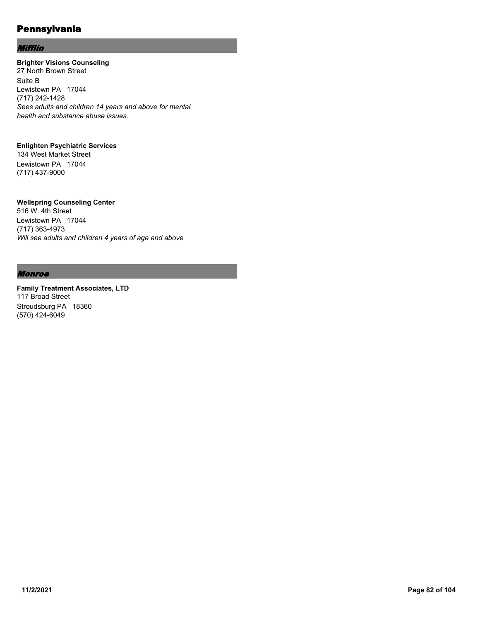#### Mifflin

## **Brighter Visions Counseling**

27 North Brown Street Suite B Lewistown PA 17044 (717) 242-1428 *Sees adults and children 14 years and above for mental health and substance abuse issues.*

#### **Enlighten Psychiatric Services**

134 West Market Street Lewistown PA 17044 (717) 437-9000

### **Wellspring Counseling Center**

516 W. 4th Street Lewistown PA 17044 (717) 363-4973 *Will see adults and children 4 years of age and above*

### Monroe

**Family Treatment Associates, LTD** 117 Broad Street Stroudsburg PA 18360 (570) 424-6049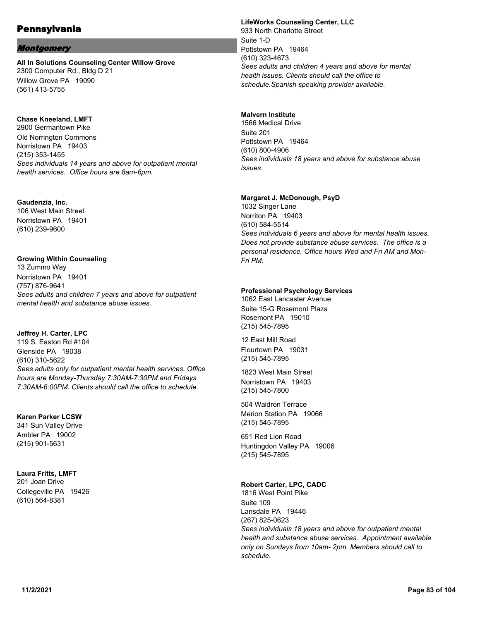#### Montgomery

**All In Solutions Counseling Center Willow Grove** 2300 Computer Rd., Bldg D 21 Willow Grove PA 19090 (561) 413-5755

#### **Chase Kneeland, LMFT**

2900 Germantown Pike Old Norrington Commons Norristown PA 19403 (215) 353-1455 *Sees individuals 14 years and above for outpatient mental health services. Office hours are 8am-6pm.*

#### **Gaudenzia, Inc.**

106 West Main Street Norristown PA 19401 (610) 239-9600

#### **Growing Within Counseling**

13 Zummo Way Norristown PA 19401 (757) 876-9641 *Sees adults and children 7 years and above for outpatient mental health and substance abuse issues.*

### **Jeffrey H. Carter, LPC**

119 S. Easton Rd #104 Glenside PA 19038 (610) 310-5622 *Sees adults only for outpatient mental health services. Office hours are Monday-Thursday 7:30AM-7:30PM and Fridays 7:30AM-6:00PM. Clients should call the office to schedule.*

#### **Karen Parker LCSW**

341 Sun Valley Drive Ambler PA 19002 (215) 901-5631

#### **Laura Fritts, LMFT**

201 Joan Drive Collegeville PA 19426 (610) 564-8381

#### **LifeWorks Counseling Center, LLC** 933 North Charlotte Street Suite 1-D Pottstown PA 19464 (610) 323-4673 *Sees adults and children 4 years and above for mental health issues. Clients should call the office to schedule.Spanish speaking provider available.*

#### **Malvern Institute**

1566 Medical Drive Suite 201 Pottstown PA 19464 (610) 800-4906 *Sees individuals 18 years and above for substance abuse issues.*

#### **Margaret J. McDonough, PsyD**

1032 Singer Lane Norriton PA 19403 (610) 584-5514 *Sees individuals 6 years and above for mental health issues. Does not provide substance abuse services. The office is a personal residence. Office hours Wed and Fri AM and Mon-Fri PM.*

#### **Professional Psychology Services**

1062 East Lancaster Avenue Suite 15-G Rosemont Plaza Rosemont PA 19010 (215) 545-7895

12 East Mill Road Flourtown PA 19031 (215) 545-7895

1823 West Main Street Norristown PA 19403 (215) 545-7800

504 Waldron Terrace Merion Station PA 19066 (215) 545-7895

651 Red Lion Road Huntingdon Valley PA 19006 (215) 545-7895

### **Robert Carter, LPC, CADC**

1816 West Point Pike Suite 109 Lansdale PA 19446 (267) 825-0623 *Sees individuals 18 years and above for outpatient mental health and substance abuse services. Appointment available only on Sundays from 10am- 2pm. Members should call to schedule.*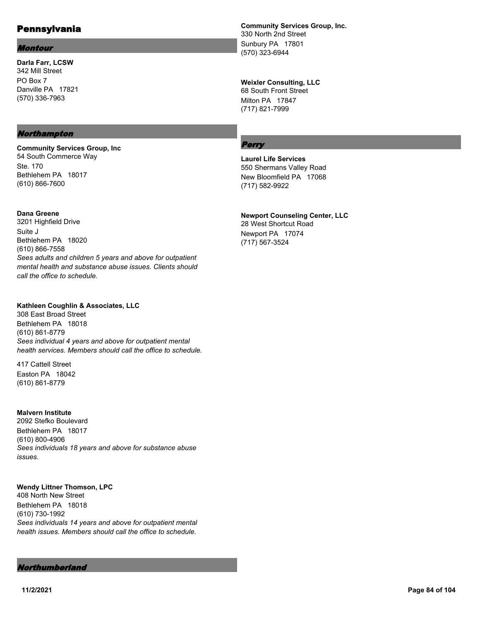#### Montour

**Darla Farr, LCSW** 342 Mill Street PO Box 7 Danville PA 17821 (570) 336-7963

#### Northampton

**Community Services Group, Inc** 54 South Commerce Way Ste. 170 Bethlehem PA 18017 (610) 866-7600

**Dana Greene** 3201 Highfield Drive

Suite J Bethlehem PA 18020 (610) 866-7558 *Sees adults and children 5 years and above for outpatient mental health and substance abuse issues. Clients should call the office to schedule.*

#### **Kathleen Coughlin & Associates, LLC**

308 East Broad Street Bethlehem PA 18018 (610) 861-8779 *Sees individual 4 years and above for outpatient mental health services. Members should call the office to schedule.*

417 Cattell Street Easton PA 18042 (610) 861-8779

#### **Malvern Institute**

2092 Stefko Boulevard Bethlehem PA 18017 (610) 800-4906 *Sees individuals 18 years and above for substance abuse issues.*

### **Wendy Littner Thomson, LPC**

408 North New Street Bethlehem PA 18018 (610) 730-1992 *Sees individuals 14 years and above for outpatient mental health issues. Members should call the office to schedule.*

#### Northumberland

**Community Services Group, Inc.** 330 North 2nd Street Sunbury PA 17801 (570) 323-6944

### **Weixler Consulting, LLC**

68 South Front Street Milton PA 17847 (717) 821-7999

#### Perry

**Laurel Life Services** 550 Shermans Valley Road New Bloomfield PA 17068 (717) 582-9922

#### **Newport Counseling Center, LLC**

28 West Shortcut Road Newport PA 17074 (717) 567-3524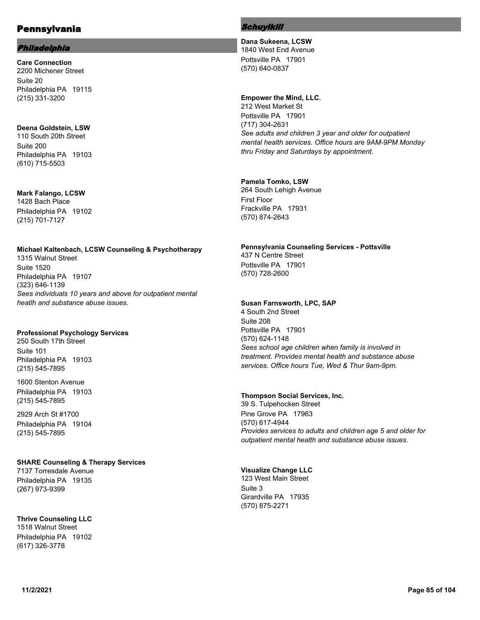### Philadelphia

**Care Connection** 2200 Michener Street Suite 20 Philadelphia PA 19115 (215) 331-3200

### **Deena Goldstein, LSW**

110 South 20th Street Suite 200 Philadelphia PA 19103 (610) 715-5503

#### **Mark Falango, LCSW** 1428 Bach Place

Philadelphia PA 19102 (215) 701-7127

## **Michael Kaltenbach, LCSW Counseling & Psychotherapy**

1315 Walnut Street Suite 1520 Philadelphia PA 19107 (323) 646-1139 *Sees individuals 10 years and above for outpatient mental heatlh and substance abuse issues.*

#### **Professional Psychology Services**

250 South 17th Street Suite 101 Philadelphia PA 19103 (215) 545-7895

1600 Stenton Avenue Philadelphia PA 19103 (215) 545-7895

2929 Arch St #1700 Philadelphia PA 19104 (215) 545-7895

### **SHARE Counseling & Therapy Services**

7137 Torresdale Avenue Philadelphia PA 19135 (267) 973-9399

**Thrive Counseling LLC** 1518 Walnut Street

Philadelphia PA 19102 (617) 326-3778

### Schuylkill

**Dana Sukeena, LCSW** 1840 West End Avenue Pottsville PA 17901 (570) 640-0837

#### **Empower the Mind, LLC.**

212 West Market St Pottsville PA 17901 (717) 304-2631 *See adults and children 3 year and older for outpatient mental health services. Office hours are 9AM-9PM Monday thru Friday and Saturdays by appointment.*

### **Pamela Tomko, LSW**

264 South Lehigh Avenue First Floor Frackville PA 17931 (570) 874-2643

### **Pennsylvania Counseling Services - Pottsville** 437 N Centre Street

Pottsville PA 17901 (570) 728-2600

### **Susan Farnsworth, LPC, SAP**

4 South 2nd Street Suite 208 Pottsville PA 17901 (570) 624-1148 *Sees school age children when family is involved in treatment. Provides mental health and substance abuse services. Office hours Tue, Wed & Thur 9am-9pm.*

### **Thompson Social Services, Inc.**

39 S. Tulpehocken Street Pine Grove PA 17963 (570) 617-4944 *Provides services to adults and children age 5 and older for outpatient mental health and substance abuse issues.*

# **Visualize Change LLC**

123 West Main Street Suite 3 Girardville PA 17935 (570) 875-2271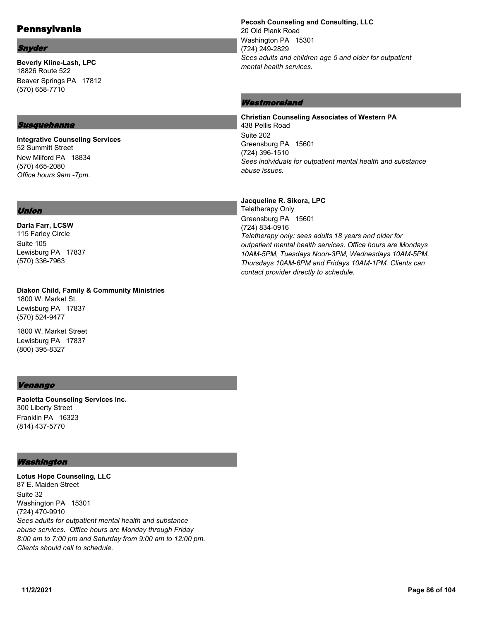### Snyder

**Beverly Kline-Lash, LPC** 18826 Route 522 Beaver Springs PA 17812 (570) 658-7710

#### Susquehanna

**Integrative Counseling Services** 52 Summitt Street New Milford PA 18834 (570) 465-2080 *Office hours 9am -7pm.*

#### **Pecosh Counseling and Consulting, LLC** 20 Old Plank Road Washington PA 15301 (724) 249-2829 *Sees adults and children age 5 and older for outpatient mental health services.*

## Westmoreland

**Jacqueline R. Sikora, LPC**

**Christian Counseling Associates of Western PA** 438 Pellis Road Suite 202 Greensburg PA 15601 (724) 396-1510 *Sees individuals for outpatient mental health and substance abuse issues.*

### Union

#### **Darla Farr, LCSW** 115 Farley Circle Suite 105 Lewisburg PA 17837 (570) 336-7963

**Diakon Child, Family & Community Ministries** 1800 W. Market St. Lewisburg PA 17837 (570) 524-9477

1800 W. Market Street Lewisburg PA 17837 (800) 395-8327

### Venango

**Paoletta Counseling Services Inc.** 300 Liberty Street Franklin PA 16323 (814) 437-5770

### Washington

**Lotus Hope Counseling, LLC** 87 E. Maiden Street Suite 32 Washington PA 15301 (724) 470-9910 *Sees adults for outpatient mental health and substance abuse services. Office hours are Monday through Friday 8:00 am to 7:00 pm and Saturday from 9:00 am to 12:00 pm. Clients should call to schedule.*

Teletherapy Only Greensburg PA 15601 (724) 834-0916 *Teletherapy only: sees adults 18 years and older for outpatient mental health services. Office hours are Mondays 10AM-5PM, Tuesdays Noon-3PM, Wednesdays 10AM-5PM, Thursdays 10AM-6PM and Fridays 10AM-1PM. Clients can contact provider directly to schedule.*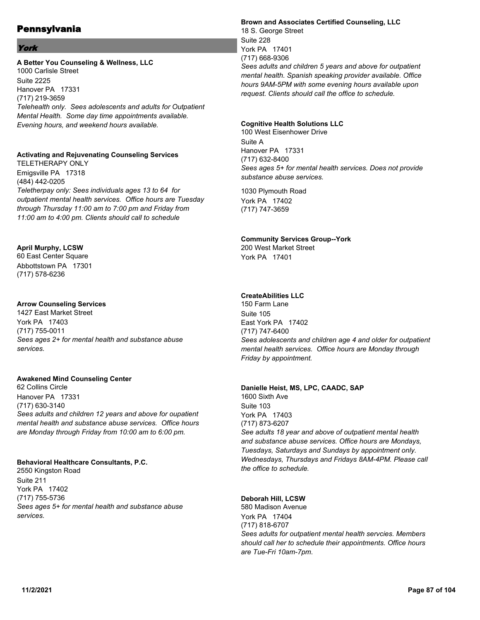### York

#### **A Better You Counseling & Wellness, LLC**

1000 Carlisle Street Suite 2225 Hanover PA 17331 (717) 219-3659 *Telehealth only. Sees adolescents and adults for Outpatient Mental Health. Some day time appointments available. Evening hours, and weekend hours available.*

### **Activating and Rejuvenating Counseling Services**

TELETHERAPY ONLY Emigsville PA 17318 (484) 442-0205 *Teletherpay only: Sees individuals ages 13 to 64 for outpatient mental health services. Office hours are Tuesday through Thursday 11:00 am to 7:00 pm and Friday from 11:00 am to 4:00 pm. Clients should call to schedule*

### **April Murphy, LCSW**

60 East Center Square Abbottstown PA 17301 (717) 578-6236

### **Arrow Counseling Services**

1427 East Market Street York PA 17403 (717) 755-0011 *Sees ages 2+ for mental health and substance abuse services.*

### **Awakened Mind Counseling Center**

62 Collins Circle Hanover PA 17331 (717) 630-3140 *Sees adults and children 12 years and above for oupatient mental health and substance abuse services. Office hours are Monday through Friday from 10:00 am to 6:00 pm.*

### **Behavioral Healthcare Consultants, P.C.**

2550 Kingston Road Suite 211 York PA 17402 (717) 755-5736 *Sees ages 5+ for mental health and substance abuse services.*

### **Brown and Associates Certified Counseling, LLC** 18 S. George Street Suite 228 York PA 17401 (717) 668-9306 *Sees adults and children 5 years and above for outpatient mental health. Spanish speaking provider available. Office hours 9AM-5PM with some evening hours available upon*

*request. Clients should call the office to schedule.*

#### **Cognitive Health Solutions LLC**

100 West Eisenhower Drive Suite A Hanover PA 17331 (717) 632-8400 *Sees ages 5+ for mental health services. Does not provide substance abuse services.*

1030 Plymouth Road York PA 17402 (717) 747-3659

### **Community Services Group--York**

200 West Market Street York PA 17401

### **CreateAbilities LLC**

150 Farm Lane Suite 105 East York PA 17402 (717) 747-6400 *Sees adolescents and children age 4 and older for outpatient mental health services. Office hours are Monday through Friday by appointment.*

### **Danielle Heist, MS, LPC, CAADC, SAP**

1600 Sixth Ave Suite 103 York PA 17403 (717) 873-6207 *See adults 18 year and above of outpatient mental health and substance abuse services. Office hours are Mondays, Tuesdays, Saturdays and Sundays by appointment only. Wednesdays, Thursdays and Fridays 8AM-4PM. Please call the office to schedule.*

### **Deborah Hill, LCSW**

580 Madison Avenue York PA 17404 (717) 818-6707 *Sees adults for outpatient mental health servcies. Members should call her to schedule their appointments. Office hours are Tue-Fri 10am-7pm.*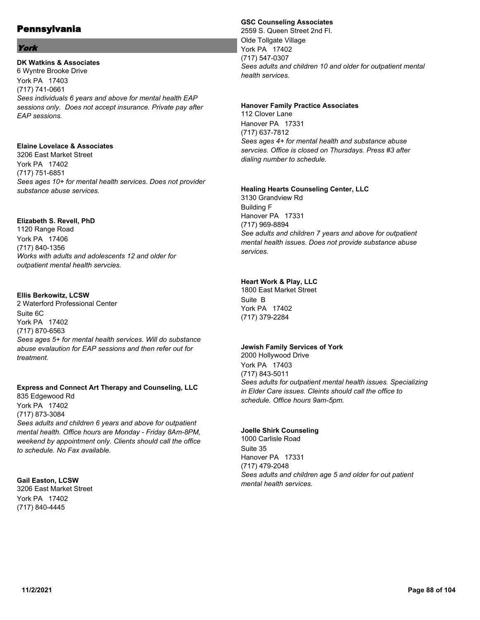### York

### **DK Watkins & Associates**

6 Wyntre Brooke Drive York PA 17403 (717) 741-0661 *Sees individuals 6 years and above for mental health EAP sessions only. Does not accept insurance. Private pay after EAP sessions.*

### **Elaine Lovelace & Associates**

3206 East Market Street York PA 17402 (717) 751-6851 *Sees ages 10+ for mental health services. Does not provider substance abuse services.*

### **Elizabeth S. Revell, PhD**

1120 Range Road York PA 17406 (717) 840-1356 *Works with adults and adolescents 12 and older for outpatient mental health servcies.*

### **Ellis Berkowitz, LCSW**

2 Waterford Professional Center Suite 6C York PA 17402 (717) 870-6563 *Sees ages 5+ for mental health services. Will do substance abuse evalaution for EAP sessions and then refer out for treatment.*

#### **Express and Connect Art Therapy and Counseling, LLC** 835 Edgewood Rd

York PA 17402 (717) 873-3084 *Sees adults and children 6 years and above for outpatient mental health. Office hours are Monday - Friday 8Am-8PM, weekend by appointment only. Clients should call the office to schedule. No Fax available.*

### **Gail Easton, LCSW**

3206 East Market Street York PA 17402 (717) 840-4445

### **GSC Counseling Associates**

2559 S. Queen Street 2nd Fl. Olde Tollgate Village York PA 17402 (717) 547-0307 *Sees adults and children 10 and older for outpatient mental health services.*

#### **Hanover Family Practice Associates**

112 Clover Lane Hanover PA 17331 (717) 637-7812 *Sees ages 4+ for mental health and substance abuse servcies. Office is closed on Thursdays. Press #3 after dialing number to schedule.*

#### **Healing Hearts Counseling Center, LLC**

3130 Grandview Rd Building F Hanover PA 17331 (717) 969-8894 *See adults and children 7 years and above for outpatient mental health issues. Does not provide substance abuse services.*

### **Heart Work & Play, LLC**

1800 East Market Street Suite B York PA 17402 (717) 379-2284

### **Jewish Family Services of York**

2000 Hollywood Drive York PA 17403 (717) 843-5011 *Sees adults for outpatient mental health issues. Specializing in Elder Care issues. Cleints should call the office to schedule. Office hours 9am-5pm.*

### **Joelle Shirk Counseling**

1000 Carlisle Road Suite 35 Hanover PA 17331 (717) 479-2048 *Sees adults and children age 5 and older for out patient mental health services.*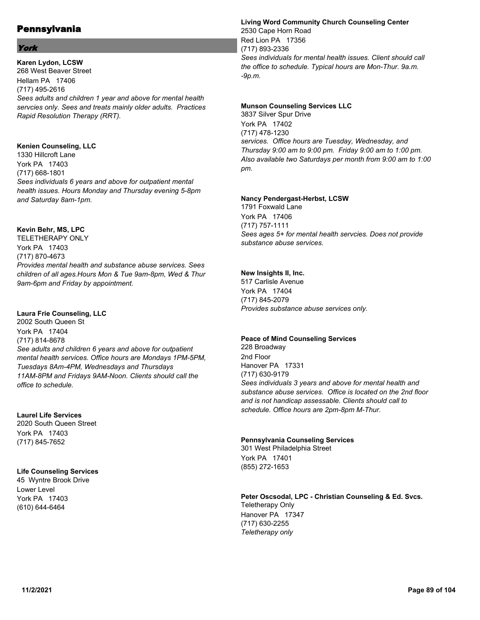### York

**Karen Lydon, LCSW** 268 West Beaver Street Hellam PA 17406 (717) 495-2616 *Sees adults and children 1 year and above for mental health servcies only. Sees and treats mainly older adults. Practices Rapid Resolution Therapy (RRT).*

#### **Kenien Counseling, LLC**

1330 Hillcroft Lane York PA 17403 (717) 668-1801 *Sees individuals 6 years and above for outpatient mental health issues. Hours Monday and Thursday evening 5-8pm and Saturday 8am-1pm.*

### **Kevin Behr, MS, LPC**

TELETHERAPY ONLY York PA 17403 (717) 870-4673 *Provides mental health and substance abuse services. Sees children of all ages.Hours Mon & Tue 9am-8pm, Wed & Thur 9am-6pm and Friday by appointment.*

### **Laura Frie Counseling, LLC**

2002 South Queen St York PA 17404 (717) 814-8678 *See adults and children 6 years and above for outpatient mental health services. Office hours are Mondays 1PM-5PM, Tuesdays 8Am-4PM, Wednesdays and Thursdays 11AM-8PM and Fridays 9AM-Noon. Clients should call the office to schedule.*

## **Laurel Life Services**

2020 South Queen Street York PA 17403 (717) 845-7652

### **Life Counseling Services**

45 Wyntre Brook Drive Lower Level York PA 17403 (610) 644-6464

### **Living Word Community Church Counseling Center**

2530 Cape Horn Road Red Lion PA 17356 (717) 893-2336 *Sees individuals for mental health issues. Client should call the office to schedule. Typical hours are Mon-Thur. 9a.m. -9p.m.*

#### **Munson Counseling Services LLC**

3837 Silver Spur Drive York PA 17402 (717) 478-1230 *services. Office hours are Tuesday, Wednesday, and Thursday 9:00 am to 9:00 pm. Friday 9:00 am to 1:00 pm. Also available two Saturdays per month from 9:00 am to 1:00 pm.*

### **Nancy Pendergast-Herbst, LCSW**

1791 Foxwald Lane York PA 17406 (717) 757-1111 *Sees ages 5+ for mental health servcies. Does not provide substance abuse services.*

### **New Insights II, Inc.**

517 Carlisle Avenue York PA 17404 (717) 845-2079 *Provides substance abuse services only.*

### **Peace of Mind Counseling Services**

228 Broadway 2nd Floor Hanover PA 17331 (717) 630-9179 *Sees individuals 3 years and above for mental health and substance abuse services. Office is located on the 2nd floor and is not handicap assessable. Clients should call to schedule. Office hours are 2pm-8pm M-Thur.*

### **Pennsylvania Counseling Services**

301 West Philadelphia Street York PA 17401 (855) 272-1653

#### **Peter Oscsodal, LPC - Christian Counseling & Ed. Svcs.** Teletherapy Only Hanover PA 17347 (717) 630-2255 *Teletherapy only*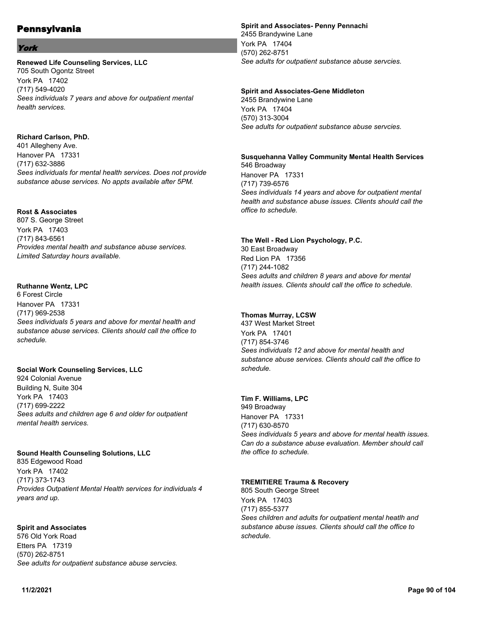### York

#### **Renewed Life Counseling Services, LLC**

705 South Ogontz Street York PA 17402 (717) 549-4020 *Sees individuals 7 years and above for outpatient mental health services.*

#### **Richard Carlson, PhD.**

401 Allegheny Ave. Hanover PA 17331 (717) 632-3886 *Sees individuals for mental health services. Does not provide substance abuse services. No appts available after 5PM.*

### **Rost & Associates**

807 S. George Street York PA 17403 (717) 843-6561 *Provides mental health and substance abuse services. Limited Saturday hours available.*

### **Ruthanne Wentz, LPC**

6 Forest Circle Hanover PA 17331 (717) 969-2538 *Sees individuals 5 years and above for mental health and substance abuse services. Clients should call the office to schedule.*

#### **Social Work Counseling Services, LLC**

924 Colonial Avenue Building N, Suite 304 York PA 17403 (717) 699-2222 *Sees adults and children age 6 and older for outpatient mental health services.*

#### **Sound Health Counseling Solutions, LLC**

835 Edgewood Road York PA 17402 (717) 373-1743 *Provides Outpatient Mental Health services for individuals 4 years and up.*

### **Spirit and Associates**

576 Old York Road Etters PA 17319 (570) 262-8751 *See adults for outpatient substance abuse servcies.*

#### **Spirit and Associates- Penny Pennachi** 2455 Brandywine Lane York PA 17404 (570) 262-8751 *See adults for outpatient substance abuse servcies.*

**Spirit and Associates-Gene Middleton** 2455 Brandywine Lane York PA 17404

(570) 313-3004 *See adults for outpatient substance abuse servcies.*

## **Susquehanna Valley Community Mental Health Services** 546 Broadway Hanover PA 17331

(717) 739-6576 *Sees individuals 14 years and above for outpatient mental health and substance abuse issues. Clients should call the office to schedule.*

#### **The Well - Red Lion Psychology, P.C.**

30 East Broadway Red Lion PA 17356 (717) 244-1082 *Sees adults and children 8 years and above for mental health issues. Clients should call the office to schedule.*

### **Thomas Murray, LCSW**

437 West Market Street York PA 17401 (717) 854-3746 *Sees individuals 12 and above for mental health and substance abuse services. Clients should call the office to schedule.*

#### **Tim F. Williams, LPC**

949 Broadway Hanover PA 17331 (717) 630-8570 *Sees individuals 5 years and above for mental health issues. Can do a substance abuse evaluation. Member should call the office to schedule.*

### **TREMITIERE Trauma & Recovery**

805 South George Street York PA 17403 (717) 855-5377 *Sees children and adults for outpatient mental heatlh and substance abuse issues. Clients should call the office to schedule.*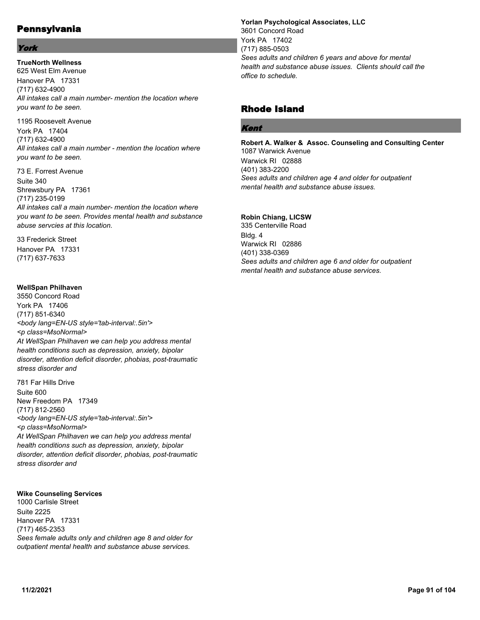### York

**TrueNorth Wellness** 625 West Elm Avenue Hanover PA 17331 (717) 632-4900 *All intakes call a main number- mention the location where you want to be seen.*

1195 Roosevelt Avenue York PA 17404 (717) 632-4900 *All intakes call a main number - mention the location where you want to be seen.*

73 E. Forrest Avenue Suite 340 Shrewsbury PA 17361 (717) 235-0199 *All intakes call a main number- mention the location where you want to be seen. Provides mental health and substance abuse servcies at this location.*

33 Frederick Street Hanover PA 17331 (717) 637-7633

#### **WellSpan Philhaven**

3550 Concord Road York PA 17406 (717) 851-6340 *<body lang=EN-US style='tab-interval:.5in'> <p class=MsoNormal> At WellSpan Philhaven we can help you address mental health conditions such as depression, anxiety, bipolar disorder, attention deficit disorder, phobias, post-traumatic stress disorder and*

781 Far Hills Drive Suite 600 New Freedom PA 17349 (717) 812-2560 *<body lang=EN-US style='tab-interval:.5in'> <p class=MsoNormal> At WellSpan Philhaven we can help you address mental health conditions such as depression, anxiety, bipolar disorder, attention deficit disorder, phobias, post-traumatic stress disorder and*

#### **Wike Counseling Services**

1000 Carlisle Street Suite 2225 Hanover PA 17331 (717) 465-2353 *Sees female adults only and children age 8 and older for outpatient mental health and substance abuse services.*

**Yorlan Psychological Associates, LLC** 3601 Concord Road York PA 17402 (717) 885-0503 *Sees adults and children 6 years and above for mental health and substance abuse issues. Clients should call the office to schedule.*

# Rhode Island

### Kent

**Robert A. Walker & Assoc. Counseling and Consulting Center** 1087 Warwick Avenue Warwick RI 02888 (401) 383-2200 *Sees adults and children age 4 and older for outpatient mental health and substance abuse issues.*

**Robin Chiang, LICSW** 335 Centerville Road Bldg. 4 Warwick RI 02886 (401) 338-0369 *Sees adults and children age 6 and older for outpatient mental health and substance abuse services.*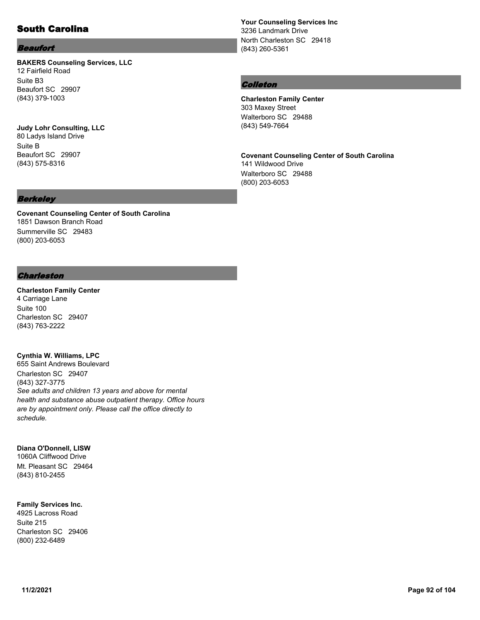## South Carolina

#### Beaufort

### **BAKERS Counseling Services, LLC** 12 Fairfield Road Suite B3

Beaufort SC 29907 (843) 379-1003

#### **Judy Lohr Consulting, LLC** 80 Ladys Island Drive Suite B

Beaufort SC 29907 (843) 575-8316

### Berkeley

**Covenant Counseling Center of South Carolina** 1851 Dawson Branch Road Summerville SC 29483 (800) 203-6053

#### Charleston

### **Charleston Family Center** 4 Carriage Lane Suite 100

Charleston SC 29407 (843) 763-2222

#### **Cynthia W. Williams, LPC**

655 Saint Andrews Boulevard Charleston SC 29407 (843) 327-3775 *See adults and children 13 years and above for mental health and substance abuse outpatient therapy. Office hours are by appointment only. Please call the office directly to schedule.*

#### **Diana O'Donnell, LISW**

1060A Cliffwood Drive Mt. Pleasant SC 29464 (843) 810-2455

### **Family Services Inc.**

4925 Lacross Road Suite 215 Charleston SC 29406 (800) 232-6489

**Your Counseling Services Inc** 3236 Landmark Drive North Charleston SC 29418 (843) 260-5361

#### Colleton

**Charleston Family Center** 303 Maxey Street Walterboro SC 29488 (843) 549-7664

## **Covenant Counseling Center of South Carolina**

141 Wildwood Drive Walterboro SC 29488 (800) 203-6053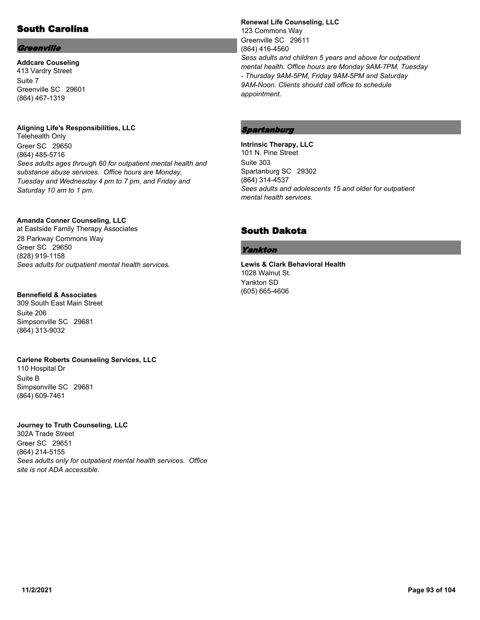# South Carolina

### **Greenville**

**Addcare Couseling** 413 Vardry Street Suite 7 Greenville SC 29601 (864) 467-1319

#### **Aligning Life's Responsibilities, LLC**

Telehealth Only Greer SC 29650 (864) 485-5716 *Sees adults ages through 60 for outpatient mental health and substance abuse services. Office hours are Monday, Tuesday and Wednesday 4 pm to 7 pm, and Friday and Saturday 10 am to 1 pm.*

#### **Amanda Conner Counseling, LLC**

at Eastside Family Therapy Associates 28 Parkway Commons Way Greer SC 29650 (828) 919-1158 *Sees adults for outpatient mental health services.*

#### **Bennefield & Associates**

309 South East Main Street Suite 206 Simpsonville SC 29681 (864) 313-9032

### **Carlene Roberts Counseling Services, LLC**

110 Hospital Dr Suite B Simpsonville SC 29681 (864) 609-7461

# **Journey to Truth Counseling, LLC**

302A Trade Street Greer SC 29651 (864) 214-5155 *Sees adults only for outpatient mental health services. Office site is not ADA accessible.*

**Renewal Life Counseling, LLC** 123 Commons Way Greenville SC 29611 (864) 416-4560 *Sess adults and children 5 years and above for outpatient mental health. Office hours are Monday 9AM-7PM, Tuesday - Thursday 9AM-5PM, Friday 9AM-5PM and Saturday 9AM-Noon. Clients should call office to schedule appointment.*

## Spartanburg

**Intrinsic Therapy, LLC** 101 N. Pine Street Suite 303 Spartanburg SC 29302 (864) 314-4537 *Sees adults and adolescents 15 and older for outpatient mental health services.*

## South Dakota

### Yankton

**Lewis & Clark Behavioral Health** 1028 Walnut St. Yankton SD (605) 665-4606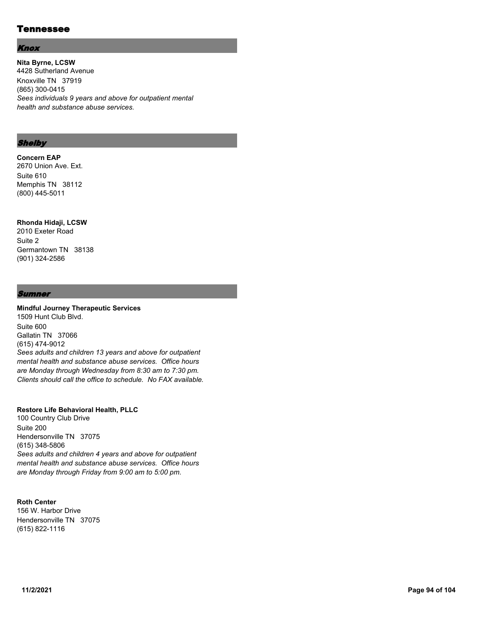### Tennessee

#### Knox

**Nita Byrne, LCSW** 4428 Sutherland Avenue Knoxville TN 37919 (865) 300-0415 *Sees individuals 9 years and above for outpatient mental health and substance abuse services.*

#### Shelby

#### **Concern EAP**

2670 Union Ave. Ext. Suite 610 Memphis TN 38112 (800) 445-5011

## **Rhonda Hidaji, LCSW**

2010 Exeter Road Suite 2 Germantown TN 38138 (901) 324-2586

#### **Sumner**

### **Mindful Journey Therapeutic Services** 1509 Hunt Club Blvd. Suite 600 Gallatin TN 37066 (615) 474-9012 *Sees adults and children 13 years and above for outpatient mental health and substance abuse services. Office hours*

### **Restore Life Behavioral Health, PLLC**

100 Country Club Drive Suite 200 Hendersonville TN 37075 (615) 348-5806 *Sees adults and children 4 years and above for outpatient mental health and substance abuse services. Office hours are Monday through Friday from 9:00 am to 5:00 pm.*

*are Monday through Wednesday from 8:30 am to 7:30 pm. Clients should call the office to schedule. No FAX available.*

## **Roth Center**

156 W. Harbor Drive Hendersonville TN 37075 (615) 822-1116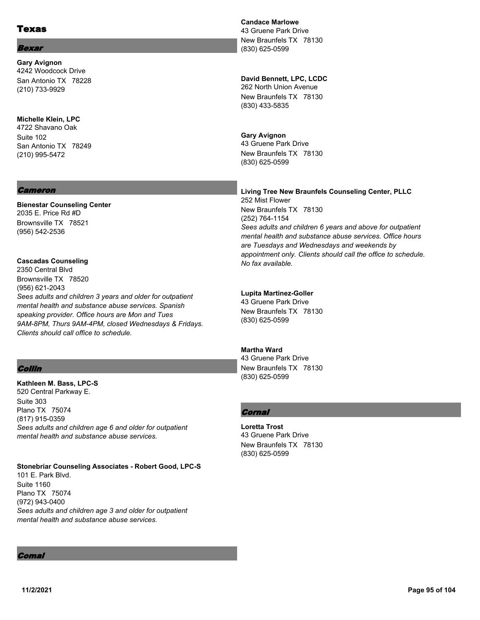### Texas

#### **Bexar**

**Gary Avignon** 4242 Woodcock Drive San Antonio TX 78228 (210) 733-9929

#### **Michelle Klein, LPC**

4722 Shavano Oak Suite 102 San Antonio TX 78249 (210) 995-5472

#### Cameron

**Bienestar Counseling Center** 2035 E. Price Rd #D Brownsville TX 78521 (956) 542-2536

## **Cascadas Counseling**

2350 Central Blvd Brownsville TX 78520 (956) 621-2043 *Sees adults and children 3 years and older for outpatient mental health and substance abuse services. Spanish speaking provider. Office hours are Mon and Tues 9AM-8PM, Thurs 9AM-4PM, closed Wednesdays & Fridays. Clients should call office to schedule.*

### Collin

**Kathleen M. Bass, LPC-S** 520 Central Parkway E. Suite 303 Plano TX 75074 (817) 915-0359 *Sees adults and children age 6 and older for outpatient mental health and substance abuse services.*

#### **Stonebriar Counseling Associates - Robert Good, LPC-S** 101 E. Park Blvd. Suite 1160 Plano TX 75074 (972) 943-0400 *Sees adults and children age 3 and older for outpatient mental health and substance abuse services.*

### **Candace Marlowe**

43 Gruene Park Drive New Braunfels TX 78130 (830) 625-0599

### **David Bennett, LPC, LCDC**

262 North Union Avenue New Braunfels TX 78130 (830) 433-5835

#### **Gary Avignon**

43 Gruene Park Drive New Braunfels TX 78130 (830) 625-0599

#### **Living Tree New Braunfels Counseling Center, PLLC** 252 Mist Flower New Braunfels TX 78130 (252) 764-1154 *Sees adults and children 6 years and above for outpatient mental health and substance abuse services. Office hours are Tuesdays and Wednesdays and weekends by appointment only. Clients should call the office to schedule. No fax available.*

#### **Lupita Martinez-Goller**

43 Gruene Park Drive New Braunfels TX 78130 (830) 625-0599

### **Martha Ward**

43 Gruene Park Drive New Braunfels TX 78130 (830) 625-0599

### **Cornal**

**Loretta Trost** 43 Gruene Park Drive New Braunfels TX 78130 (830) 625-0599

Comal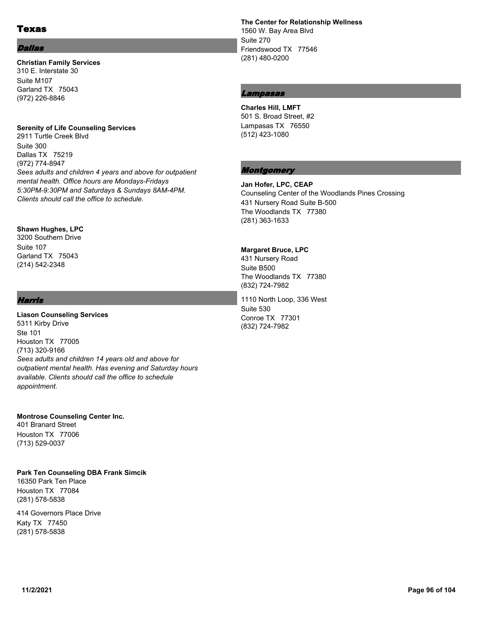### Texas

#### Dallas

#### **Christian Family Services** 310 E. Interstate 30

Suite M107 Garland TX 75043 (972) 226-8846

#### **Serenity of Life Counseling Services**

2911 Turtle Creek Blvd Suite 300 Dallas TX 75219 (972) 774-8947 *Sees adults and children 4 years and above for outpatient mental health. Office hours are Mondays-Fridays 5:30PM-9:30PM and Saturdays & Sundays 8AM-4PM. Clients should call the office to schedule.*

### **Shawn Hughes, LPC**

3200 Southern Drive Suite 107 Garland TX 75043 (214) 542-2348

### Harris

**Liason Counseling Services** 5311 Kirby Drive Ste 101 Houston TX 77005 (713) 320-9166 *Sees adults and children 14 years old and above for outpatient mental health. Has evening and Saturday hours available. Clients should call the office to schedule appointment.*

#### **Montrose Counseling Center Inc.**

401 Branard Street Houston TX 77006 (713) 529-0037

#### **Park Ten Counseling DBA Frank Simcik**

16350 Park Ten Place Houston TX 77084 (281) 578-5838

414 Governors Place Drive Katy TX 77450 (281) 578-5838

**The Center for Relationship Wellness** 1560 W. Bay Area Blvd Suite 270 Friendswood TX 77546 (281) 480-0200

### Lampasas

**Charles Hill, LMFT** 501 S. Broad Street, #2 Lampasas TX 76550 (512) 423-1080

### **Montgomery**

**Jan Hofer, LPC, CEAP** Counseling Center of the Woodlands Pines Crossing 431 Nursery Road Suite B-500 The Woodlands TX 77380 (281) 363-1633

#### **Margaret Bruce, LPC**

431 Nursery Road Suite B500 The Woodlands TX 77380 (832) 724-7982

1110 North Loop, 336 West Suite 530 Conroe TX 77301 (832) 724-7982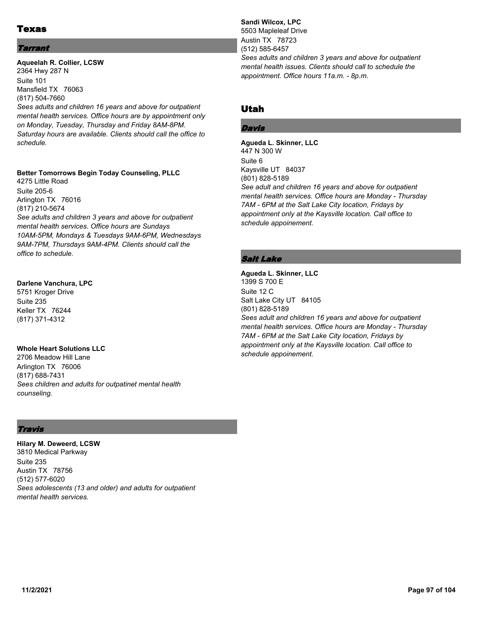## Texas

### **Tarrant**

### **Aqueelah R. Collier, LCSW** 2364 Hwy 287 N Suite 101 Mansfield TX 76063 (817) 504-7660 *Sees adults and children 16 years and above for outpatient*

*mental health services. Office hours are by appointment only on Monday, Tuesday, Thursday and Friday 8AM-8PM. Saturday hours are available. Clients should call the office to schedule.*

### **Better Tomorrows Begin Today Counseling, PLLC**

4275 Little Road Suite 205-6 Arlington TX 76016 (817) 210-5674 *See adults and children 3 years and above for outpatient mental health services. Office hours are Sundays 10AM-5PM, Mondays & Tuesdays 9AM-6PM, Wednesdays 9AM-7PM, Thursdays 9AM-4PM. Clients should call the office to schedule.*

#### **Darlene Vanchura, LPC**

5751 Kroger Drive Suite 235 Keller TX 76244 (817) 371-4312

### **Whole Heart Solutions LLC**

2706 Meadow Hill Lane Arlington TX 76006 (817) 688-7431 *Sees children and adults for outpatinet mental health counseling.*

### Travis

**Hilary M. Deweerd, LCSW** 3810 Medical Parkway Suite 235 Austin TX 78756 (512) 577-6020 *Sees adolescents (13 and older) and adults for outpatient mental health services.*

#### **Sandi Wilcox, LPC** 5503 Mapleleaf Drive Austin TX 78723 (512) 585-6457 *Sees adults and children 3 years and above for outpatient mental health issues. Clients should call to schedule the*

*appointment. Office hours 11a.m. - 8p.m.*

## Utah

### Davis

**Agueda L. Skinner, LLC** 447 N 300 W Suite 6 Kaysville UT 84037 (801) 828-5189 *See adult and children 16 years and above for outpatient mental health services. Office hours are Monday - Thursday 7AM - 6PM at the Salt Lake City location, Fridays by appointment only at the Kaysville location. Call office to schedule appoinement.*

### Salt Lake

**Agueda L. Skinner, LLC** 1399 S 700 E Suite 12 C Salt Lake City UT 84105 (801) 828-5189 *Sees adult and children 16 years and above for outpatient mental health services. Office hours are Monday - Thursday 7AM - 6PM at the Salt Lake City location, Fridays by appointment only at the Kaysville location. Call office to schedule appoinement.*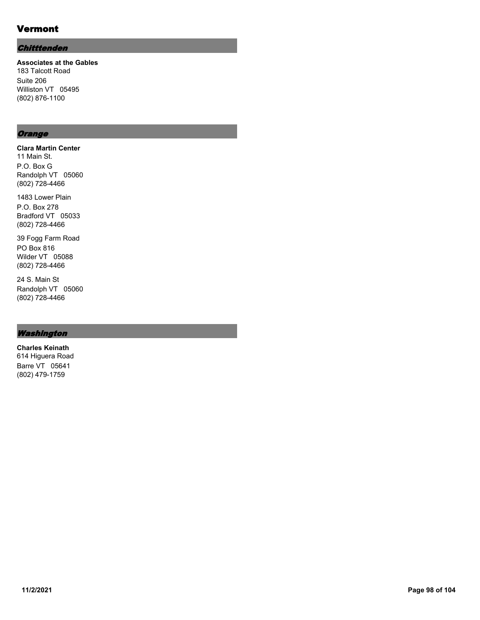# Vermont

### **Chitttenden**

**Associates at the Gables** 183 Talcott Road Suite 206 Williston VT 05495 (802) 876-1100

### **Orange**

**Clara Martin Center** 11 Main St. P.O. Box G Randolph VT 05060 (802) 728-4466

1483 Lower Plain P.O. Box 278 Bradford VT 05033 (802) 728-4466

39 Fogg Farm Road PO Box 816 Wilder VT 05088 (802) 728-4466

24 S. Main St Randolph VT 05060 (802) 728-4466

### Washington

**Charles Keinath** 614 Higuera Road Barre VT 05641 (802) 479-1759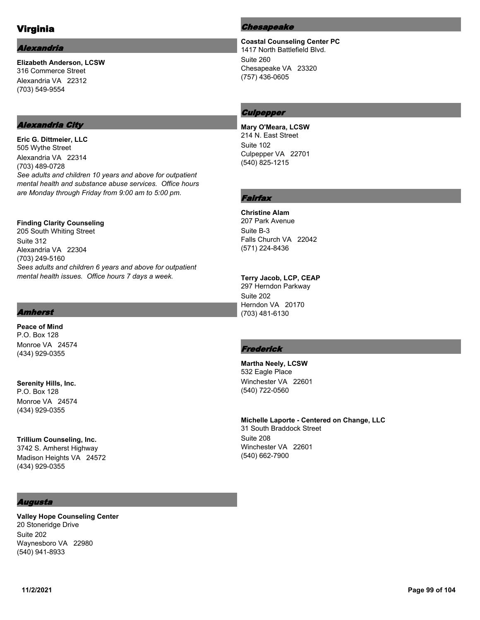# Virginia

### *<u> Ilexandria</u>*

**Elizabeth Anderson, LCSW** 316 Commerce Street Alexandria VA 22312 (703) 549-9554

### Alexandria City

**Eric G. Dittmeier, LLC** 505 Wythe Street Alexandria VA 22314 (703) 489-0728 *See adults and children 10 years and above for outpatient mental health and substance abuse services. Office hours are Monday through Friday from 9:00 am to 5:00 pm.*

**Finding Clarity Counseling** 205 South Whiting Street Suite 312 Alexandria VA 22304 (703) 249-5160 *Sees adults and children 6 years and above for outpatient mental health issues. Office hours 7 days a week.*

### Amherst

**Peace of Mind** P.O. Box 128 Monroe VA 24574 (434) 929-0355

**Serenity Hills, Inc.** P.O. Box 128 Monroe VA 24574 (434) 929-0355

**Trillium Counseling, Inc.** 3742 S. Amherst Highway Madison Heights VA 24572 (434) 929-0355

### Augusta

**Valley Hope Counseling Center** 20 Stoneridge Drive Suite 202 Waynesboro VA 22980 (540) 941-8933

#### Chesapeake

**Coastal Counseling Center PC** 1417 North Battlefield Blvd. Suite 260 Chesapeake VA 23320 (757) 436-0605

### **Culpepper**

**Mary O'Meara, LCSW** 214 N. East Street Suite 102 Culpepper VA 22701 (540) 825-1215

## Fairfax

#### **Christine Alam**

207 Park Avenue Suite B-3 Falls Church VA 22042 (571) 224-8436

#### **Terry Jacob, LCP, CEAP**

297 Herndon Parkway Suite 202 Herndon VA 20170 (703) 481-6130

### **Frederick**

**Martha Neely, LCSW** 532 Eagle Place Winchester VA 22601 (540) 722-0560

**Michelle Laporte - Centered on Change, LLC** 31 South Braddock Street Suite 208 Winchester VA 22601 (540) 662-7900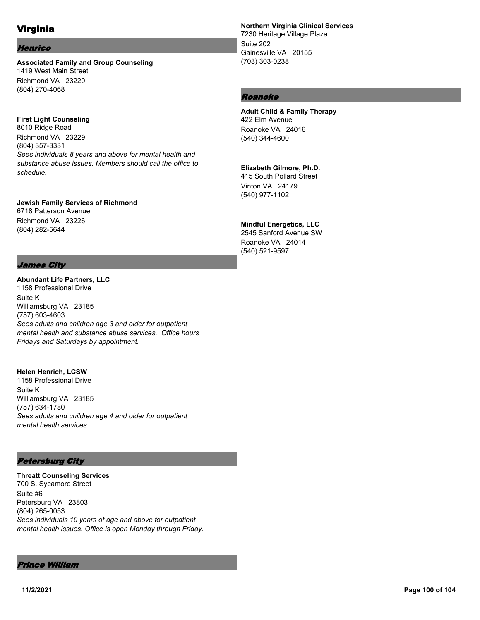# Virginia

#### Henrico

**Associated Family and Group Counseling** 1419 West Main Street Richmond VA 23220 (804) 270-4068

## **First Light Counseling**

8010 Ridge Road Richmond VA 23229 (804) 357-3331 *Sees individuals 8 years and above for mental health and substance abuse issues. Members should call the office to schedule.*

### **Jewish Family Services of Richmond**

*Fridays and Saturdays by appointment.*

6718 Patterson Avenue Richmond VA 23226 (804) 282-5644

### James City

#### **Abundant Life Partners, LLC** 1158 Professional Drive Suite K Williamsburg VA 23185 (757) 603-4603 *Sees adults and children age 3 and older for outpatient mental health and substance abuse services. Office hours*

### **Helen Henrich, LCSW**

1158 Professional Drive Suite K Williamsburg VA 23185 (757) 634-1780 *Sees adults and children age 4 and older for outpatient mental health services.*

### Petersburg City

**Threatt Counseling Services** 700 S. Sycamore Street Suite #6 Petersburg VA 23803 (804) 265-0053 *Sees individuals 10 years of age and above for outpatient mental health issues. Office is open Monday through Friday.*

#### Prince William

### **Northern Virginia Clinical Services**

7230 Heritage Village Plaza Suite 202 Gainesville VA 20155 (703) 303-0238

### Roanoke

#### **Adult Child & Family Therapy** 422 Elm Avenue Roanoke VA 24016 (540) 344-4600

### **Elizabeth Gilmore, Ph.D.**

415 South Pollard Street Vinton VA 24179 (540) 977-1102

### **Mindful Energetics, LLC**

2545 Sanford Avenue SW Roanoke VA 24014 (540) 521-9597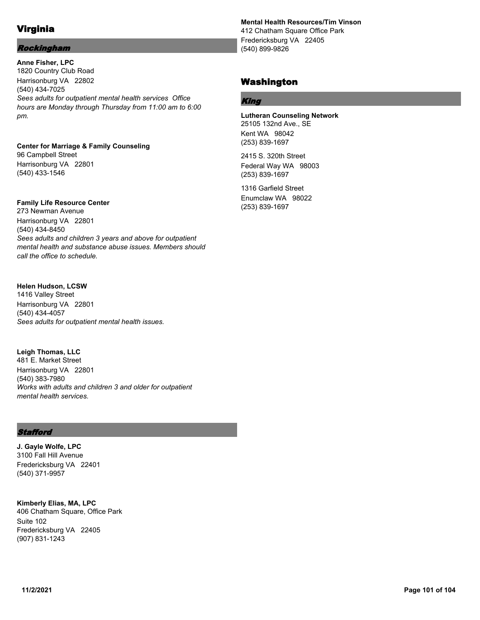# Virginia

### Rockingham

**Anne Fisher, LPC** 1820 Country Club Road Harrisonburg VA 22802 (540) 434-7025 *Sees adults for outpatient mental health services Office hours are Monday through Thursday from 11:00 am to 6:00 pm.*

**Center for Marriage & Family Counseling** 96 Campbell Street Harrisonburg VA 22801 (540) 433-1546

### **Family Life Resource Center**

273 Newman Avenue Harrisonburg VA 22801 (540) 434-8450 *Sees adults and children 3 years and above for outpatient mental health and substance abuse issues. Members should call the office to schedule.*

### **Helen Hudson, LCSW**

1416 Valley Street Harrisonburg VA 22801 (540) 434-4057 *Sees adults for outpatient mental health issues.*

**Leigh Thomas, LLC** 481 E. Market Street Harrisonburg VA 22801 (540) 383-7980 *Works with adults and children 3 and older for outpatient mental health services.*

### **Stafford**

**J. Gayle Wolfe, LPC** 3100 Fall Hill Avenue Fredericksburg VA 22401 (540) 371-9957

**Kimberly Elias, MA, LPC** 406 Chatham Square, Office Park Suite 102 Fredericksburg VA 22405 (907) 831-1243

#### **Mental Health Resources/Tim Vinson** 412 Chatham Square Office Park

Fredericksburg VA 22405 (540) 899-9826

## Washington

### King

**Lutheran Counseling Network** 25105 132nd Ave., SE Kent WA 98042 (253) 839-1697

2415 S. 320th Street Federal Way WA 98003 (253) 839-1697

1316 Garfield Street Enumclaw WA 98022 (253) 839-1697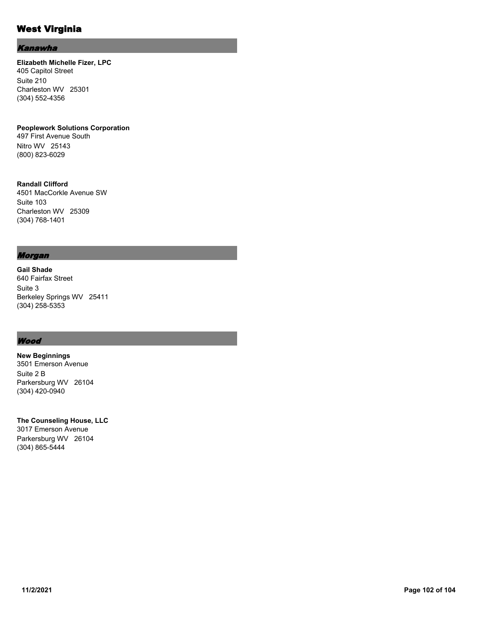## West Virginia

### Kanawha

**Elizabeth Michelle Fizer, LPC** 405 Capitol Street Suite 210 Charleston WV 25301 (304) 552-4356

**Peoplework Solutions Corporation** 497 First Avenue South Nitro WV 25143 (800) 823-6029

**Randall Clifford** 4501 MacCorkle Avenue SW Suite 103 Charleston WV 25309 (304) 768-1401

### Morgan

**Gail Shade** 640 Fairfax Street Suite 3 Berkeley Springs WV 25411 (304) 258-5353

### **Wood**

**New Beginnings** 3501 Emerson Avenue Suite 2 B Parkersburg WV 26104 (304) 420-0940

**The Counseling House, LLC** 3017 Emerson Avenue Parkersburg WV 26104 (304) 865-5444